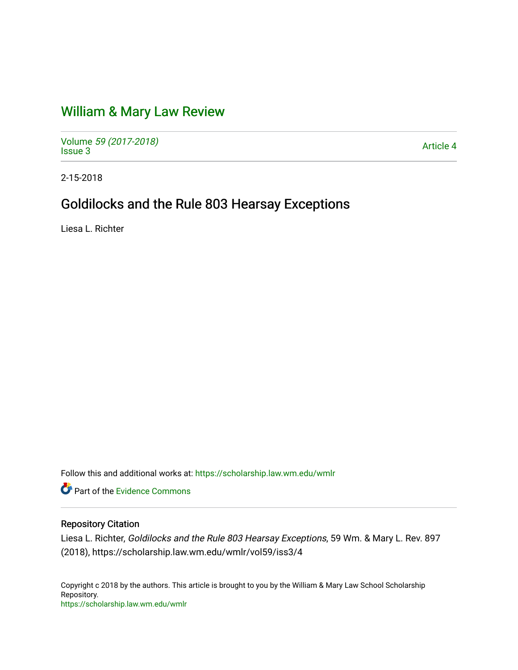# [William & Mary Law Review](https://scholarship.law.wm.edu/wmlr)

Volume [59 \(2017-2018\)](https://scholarship.law.wm.edu/wmlr/vol59)  volume 39 (2017-2010)<br>[Issue 3](https://scholarship.law.wm.edu/wmlr/vol59/iss3) Article 4

2-15-2018

## Goldilocks and the Rule 803 Hearsay Exceptions

Liesa L. Richter

Follow this and additional works at: [https://scholarship.law.wm.edu/wmlr](https://scholarship.law.wm.edu/wmlr?utm_source=scholarship.law.wm.edu%2Fwmlr%2Fvol59%2Fiss3%2F4&utm_medium=PDF&utm_campaign=PDFCoverPages)

**P** Part of the Evidence Commons

## Repository Citation

Liesa L. Richter, Goldilocks and the Rule 803 Hearsay Exceptions, 59 Wm. & Mary L. Rev. 897 (2018), https://scholarship.law.wm.edu/wmlr/vol59/iss3/4

Copyright c 2018 by the authors. This article is brought to you by the William & Mary Law School Scholarship Repository. <https://scholarship.law.wm.edu/wmlr>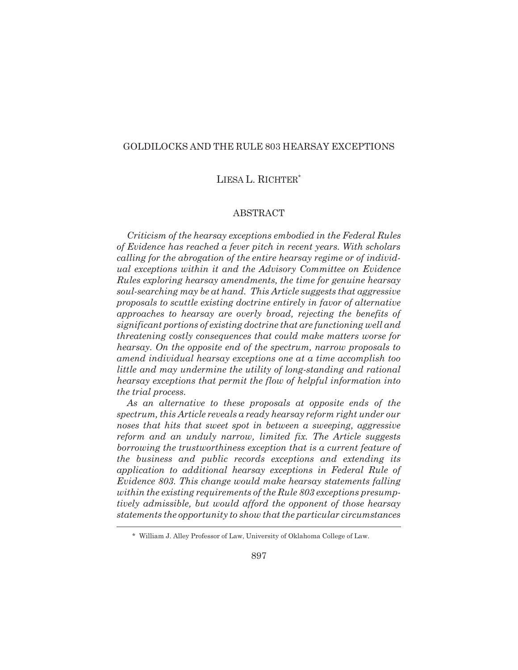## GOLDILOCKS AND THE RULE 803 HEARSAY EXCEPTIONS

## LIESA L. RICHTER\*

#### ABSTRACT

*Criticism of the hearsay exceptions embodied in the Federal Rules of Evidence has reached a fever pitch in recent years. With scholars calling for the abrogation of the entire hearsay regime or of individual exceptions within it and the Advisory Committee on Evidence Rules exploring hearsay amendments, the time for genuine hearsay soul-searching may be at hand. This Article suggests that aggressive proposals to scuttle existing doctrine entirely in favor of alternative approaches to hearsay are overly broad, rejecting the benefits of significant portions of existing doctrine that are functioning well and threatening costly consequences that could make matters worse for hearsay. On the opposite end of the spectrum, narrow proposals to amend individual hearsay exceptions one at a time accomplish too little and may undermine the utility of long-standing and rational hearsay exceptions that permit the flow of helpful information into the trial process.*

*As an alternative to these proposals at opposite ends of the spectrum, this Article reveals a ready hearsay reform right under our noses that hits that sweet spot in between a sweeping, aggressive reform and an unduly narrow, limited fix. The Article suggests borrowing the trustworthiness exception that is a current feature of the business and public records exceptions and extending its application to additional hearsay exceptions in Federal Rule of Evidence 803. This change would make hearsay statements falling within the existing requirements of the Rule 803 exceptions presumptively admissible, but would afford the opponent of those hearsay statements the opportunity to show that the particular circumstances*

<sup>\*</sup> William J. Alley Professor of Law, University of Oklahoma College of Law.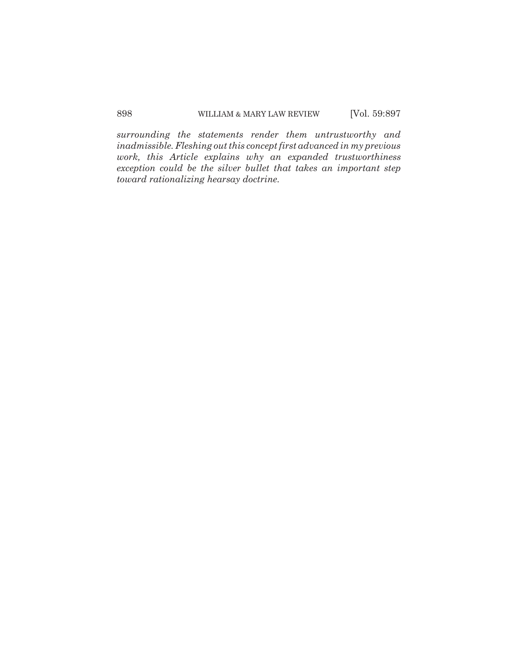*surrounding the statements render them untrustworthy and inadmissible. Fleshing out this concept first advanced in my previous work, this Article explains why an expanded trustworthiness exception could be the silver bullet that takes an important step toward rationalizing hearsay doctrine.*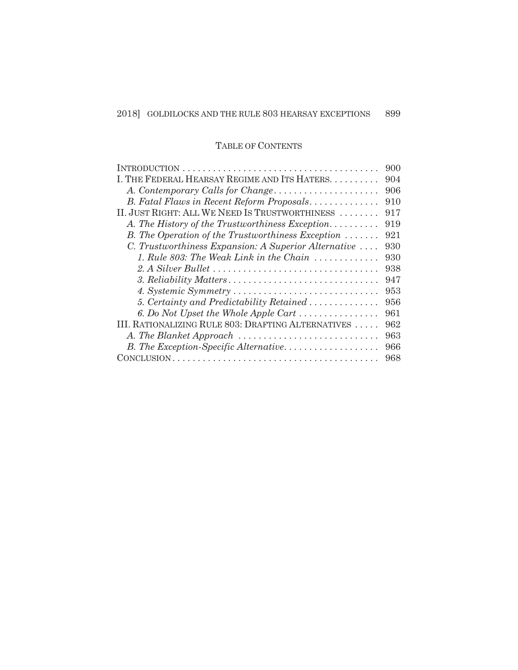## TABLE OF CONTENTS

|                                                                   | 900 |
|-------------------------------------------------------------------|-----|
| I. THE FEDERAL HEARSAY REGIME AND ITS HATERS.                     | 904 |
| A. Contemporary Calls for Change                                  | 906 |
| B. Fatal Flaws in Recent Reform Proposals                         | 910 |
| II. JUST RIGHT: ALL WE NEED IS TRUSTWORTHINESS                    | 917 |
| A. The History of the Trustworthiness Exception                   | 919 |
| B. The Operation of the Trustworthiness Exception $\ldots \ldots$ | 921 |
| C. Trustworthiness Expansion: A Superior Alternative              | 930 |
| 1. Rule 803: The Weak Link in the Chain $\ldots \ldots \ldots$    | 930 |
|                                                                   | 938 |
|                                                                   | 947 |
|                                                                   | 953 |
| 5. Certainty and Predictability Retained                          | 956 |
| 6. Do Not Upset the Whole Apple Cart                              | 961 |
| III. RATIONALIZING RULE 803: DRAFTING ALTERNATIVES                | 962 |
| A. The Blanket Approach                                           | 963 |
| B. The Exception-Specific Alternative                             | 966 |
|                                                                   | 968 |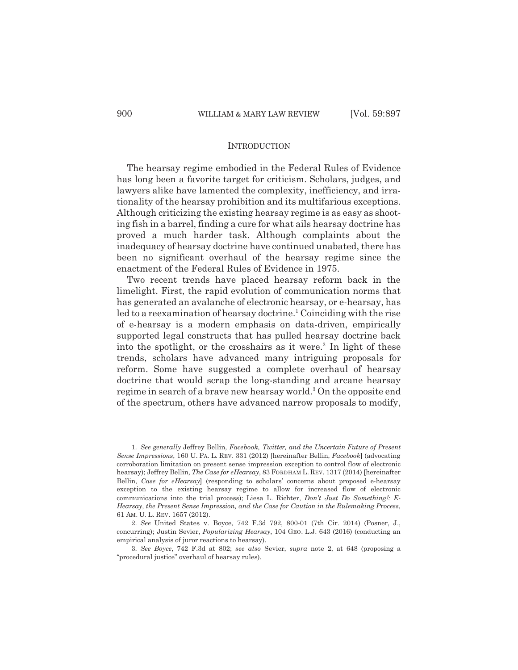#### **INTRODUCTION**

The hearsay regime embodied in the Federal Rules of Evidence has long been a favorite target for criticism. Scholars, judges, and lawyers alike have lamented the complexity, inefficiency, and irrationality of the hearsay prohibition and its multifarious exceptions. Although criticizing the existing hearsay regime is as easy as shooting fish in a barrel, finding a cure for what ails hearsay doctrine has proved a much harder task. Although complaints about the inadequacy of hearsay doctrine have continued unabated, there has been no significant overhaul of the hearsay regime since the enactment of the Federal Rules of Evidence in 1975.

Two recent trends have placed hearsay reform back in the limelight. First, the rapid evolution of communication norms that has generated an avalanche of electronic hearsay, or e-hearsay, has led to a reexamination of hearsay doctrine.<sup>1</sup> Coinciding with the rise of e-hearsay is a modern emphasis on data-driven, empirically supported legal constructs that has pulled hearsay doctrine back into the spotlight, or the crosshairs as it were.<sup>2</sup> In light of these trends, scholars have advanced many intriguing proposals for reform. Some have suggested a complete overhaul of hearsay doctrine that would scrap the long-standing and arcane hearsay regime in search of a brave new hearsay world.<sup>3</sup> On the opposite end of the spectrum, others have advanced narrow proposals to modify,

<sup>1.</sup> *See generally* Jeffrey Bellin, *Facebook, Twitter, and the Uncertain Future of Present Sense Impressions*, 160 U. PA. L. REV. 331 (2012) [hereinafter Bellin, *Facebook*] (advocating corroboration limitation on present sense impression exception to control flow of electronic hearsay); Jeffrey Bellin, *The Case for eHearsay*, 83 FORDHAM L. REV. 1317 (2014) [hereinafter Bellin, *Case for eHearsay*] (responding to scholars' concerns about proposed e-hearsay exception to the existing hearsay regime to allow for increased flow of electronic communications into the trial process); Liesa L. Richter, *Don't Just Do Something!: E-Hearsay, the Present Sense Impression, and the Case for Caution in the Rulemaking Process*, 61 AM. U. L. REV. 1657 (2012).

<sup>2.</sup> *See* United States v. Boyce, 742 F.3d 792, 800-01 (7th Cir. 2014) (Posner, J., concurring); Justin Sevier, *Popularizing Hearsay*, 104 GEO. L.J. 643 (2016) (conducting an empirical analysis of juror reactions to hearsay).

<sup>3.</sup> *See Boyce*, 742 F.3d at 802; *see also* Sevier, *supra* note 2, at 648 (proposing a "procedural justice" overhaul of hearsay rules).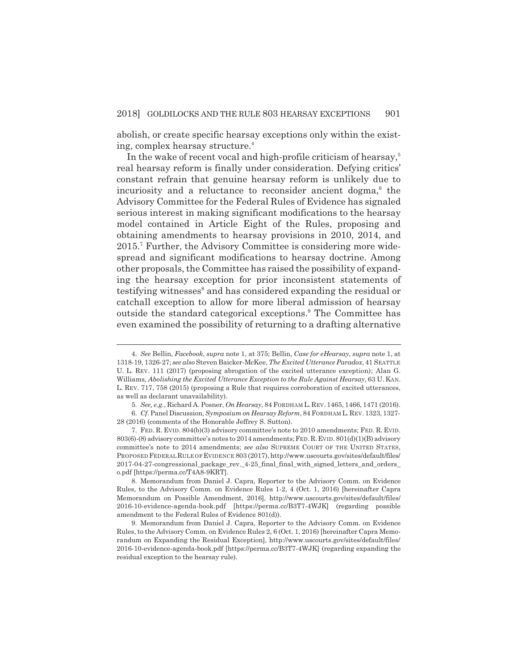abolish, or create specific hearsay exceptions only within the existing, complex hearsay structure.4

In the wake of recent vocal and high-profile criticism of hearsay, $5$ real hearsay reform is finally under consideration. Defying critics' constant refrain that genuine hearsay reform is unlikely due to incuriosity and a reluctance to reconsider ancient dogma,<sup>6</sup> the Advisory Committee for the Federal Rules of Evidence has signaled serious interest in making significant modifications to the hearsay model contained in Article Eight of the Rules, proposing and obtaining amendments to hearsay provisions in 2010, 2014, and 2015.<sup>7</sup> Further, the Advisory Committee is considering more widespread and significant modifications to hearsay doctrine. Among other proposals, the Committee has raised the possibility of expanding the hearsay exception for prior inconsistent statements of testifying witnesses<sup>8</sup> and has considered expanding the residual or catchall exception to allow for more liberal admission of hearsay outside the standard categorical exceptions.<sup>9</sup> The Committee has even examined the possibility of returning to a drafting alternative

<sup>4.</sup> *See* Bellin, *Facebook*, *supra* note 1, at 375; Bellin, *Case for eHearsay*, *supra* note 1, at 1318-19, 1326-27; *see also* Steven Baicker-McKee, *The Excited Utterance Paradox*, 41 SEATTLE U. L. REV. 111 (2017) (proposing abrogation of the excited utterance exception); Alan G. Williams, *Abolishing the Excited Utterance Exception to the Rule Against Hearsay*, 63 U. KAN. L. REV. 717, 758 (2015) (proposing a Rule that requires corroboration of excited utterances, as well as declarant unavailability).

<sup>5.</sup> *See, e.g.*, Richard A. Posner, *On Hearsay*, 84 FORDHAM L.REV. 1465, 1466, 1471 (2016).

<sup>6.</sup> *Cf.* Panel Discussion, *Symposium on Hearsay Reform*, 84 FORDHAM L.REV. 1323, 1327- 28 (2016) (comments of the Honorable Jeffrey S. Sutton).

<sup>7.</sup> FED. R. EVID. 804(b)(3) advisory committee's note to 2010 amendments; FED. R. EVID. 803(6)-(8) advisory committee's notes to 2014 amendments;FED.R.EVID. 801(d)(1)(B) advisory committee's note to 2014 amendments; *see also* SUPREME COURT OF THE UNITED STATES, PROPOSED FEDERAL RULE OF EVIDENCE 803 (2017), http://www.uscourts.gov/sites/default/files/ 2017-04-27-congressional\_package\_rev.\_4-25\_final\_final\_with\_signed\_letters\_and\_orders\_ o.pdf [https://perma.cc/T4A8-9KRT].

<sup>8.</sup> Memorandum from Daniel J. Capra, Reporter to the Advisory Comm. on Evidence Rules, to the Advisory Comm. on Evidence Rules 1-2, 4 (Oct. 1, 2016) [hereinafter Capra Memorandum on Possible Amendment, 2016], http://www.uscourts.gov/sites/default/files/ 2016-10-evidence-agenda-book.pdf [https://perma.cc/B3T7-4WJK] (regarding possible amendment to the Federal Rules of Evidence 801(d)).

<sup>9.</sup> Memorandum from Daniel J. Capra, Reporter to the Advisory Comm. on Evidence Rules, to the Advisory Comm. on Evidence Rules 2, 6 (Oct. 1, 2016) [hereinafter Capra Memorandum on Expanding the Residual Exception], http://www.uscourts.gov/sites/default/files/ 2016-10-evidence-agenda-book.pdf [https://perma.cc/B3T7-4WJK] (regarding expanding the residual exception to the hearsay rule).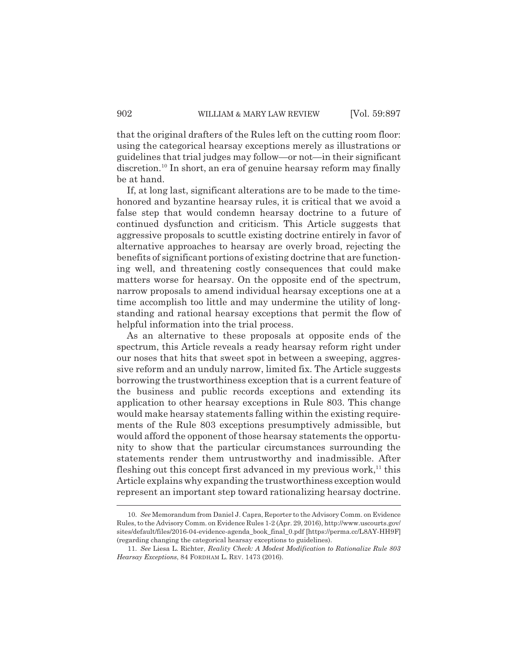that the original drafters of the Rules left on the cutting room floor: using the categorical hearsay exceptions merely as illustrations or guidelines that trial judges may follow—or not—in their significant discretion.<sup>10</sup> In short, an era of genuine hearsay reform may finally be at hand.

If, at long last, significant alterations are to be made to the timehonored and byzantine hearsay rules, it is critical that we avoid a false step that would condemn hearsay doctrine to a future of continued dysfunction and criticism. This Article suggests that aggressive proposals to scuttle existing doctrine entirely in favor of alternative approaches to hearsay are overly broad, rejecting the benefits of significant portions of existing doctrine that are functioning well, and threatening costly consequences that could make matters worse for hearsay. On the opposite end of the spectrum, narrow proposals to amend individual hearsay exceptions one at a time accomplish too little and may undermine the utility of longstanding and rational hearsay exceptions that permit the flow of helpful information into the trial process.

As an alternative to these proposals at opposite ends of the spectrum, this Article reveals a ready hearsay reform right under our noses that hits that sweet spot in between a sweeping, aggressive reform and an unduly narrow, limited fix. The Article suggests borrowing the trustworthiness exception that is a current feature of the business and public records exceptions and extending its application to other hearsay exceptions in Rule 803. This change would make hearsay statements falling within the existing requirements of the Rule 803 exceptions presumptively admissible, but would afford the opponent of those hearsay statements the opportunity to show that the particular circumstances surrounding the statements render them untrustworthy and inadmissible. After fleshing out this concept first advanced in my previous work, $^{11}$  this Article explains why expanding the trustworthiness exception would represent an important step toward rationalizing hearsay doctrine.

<sup>10.</sup> *See* Memorandum from Daniel J. Capra, Reporter to the Advisory Comm. on Evidence Rules, to the Advisory Comm. on Evidence Rules 1-2 (Apr. 29, 2016), http://www.uscourts.gov/ sites/default/files/2016-04-evidence-agenda\_book\_final\_0.pdf [https://perma.cc/L8AY-HH9F] (regarding changing the categorical hearsay exceptions to guidelines).

<sup>11.</sup> *See* Liesa L. Richter, *Reality Check: A Modest Modification to Rationalize Rule 803 Hearsay Exceptions*, 84 FORDHAM L. REV. 1473 (2016).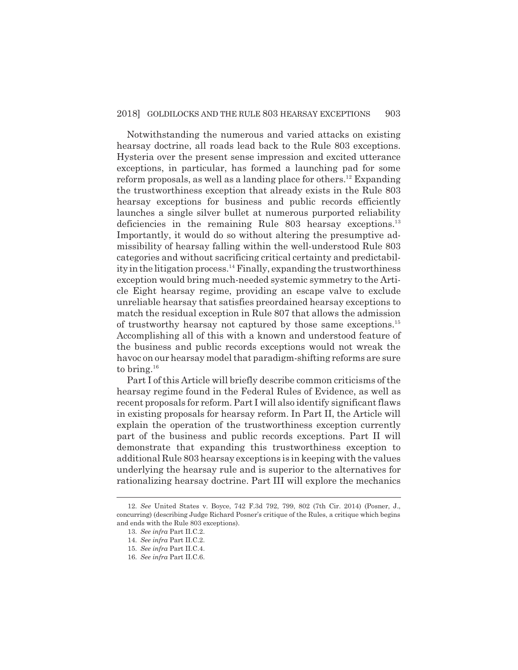Notwithstanding the numerous and varied attacks on existing hearsay doctrine, all roads lead back to the Rule 803 exceptions. Hysteria over the present sense impression and excited utterance exceptions, in particular, has formed a launching pad for some reform proposals, as well as a landing place for others.<sup>12</sup> Expanding the trustworthiness exception that already exists in the Rule 803 hearsay exceptions for business and public records efficiently launches a single silver bullet at numerous purported reliability deficiencies in the remaining Rule 803 hearsay exceptions.<sup>13</sup> Importantly, it would do so without altering the presumptive admissibility of hearsay falling within the well-understood Rule 803 categories and without sacrificing critical certainty and predictability in the litigation process.<sup>14</sup> Finally, expanding the trustworthiness exception would bring much-needed systemic symmetry to the Article Eight hearsay regime, providing an escape valve to exclude unreliable hearsay that satisfies preordained hearsay exceptions to match the residual exception in Rule 807 that allows the admission of trustworthy hearsay not captured by those same exceptions.15 Accomplishing all of this with a known and understood feature of the business and public records exceptions would not wreak the havoc on our hearsay model that paradigm-shifting reforms are sure to bring.16

Part I of this Article will briefly describe common criticisms of the hearsay regime found in the Federal Rules of Evidence, as well as recent proposals for reform. Part I will also identify significant flaws in existing proposals for hearsay reform. In Part II, the Article will explain the operation of the trustworthiness exception currently part of the business and public records exceptions. Part II will demonstrate that expanding this trustworthiness exception to additional Rule 803 hearsay exceptions is in keeping with the values underlying the hearsay rule and is superior to the alternatives for rationalizing hearsay doctrine. Part III will explore the mechanics

<sup>12.</sup> *See* United States v. Boyce, 742 F.3d 792, 799, 802 (7th Cir. 2014) (Posner, J., concurring) (describing Judge Richard Posner's critique of the Rules, a critique which begins and ends with the Rule 803 exceptions).

<sup>13.</sup> *See infra* Part II.C.2.

<sup>14.</sup> *See infra* Part II.C.2.

<sup>15.</sup> *See infra* Part II.C.4.

<sup>16.</sup> *See infra* Part II.C.6.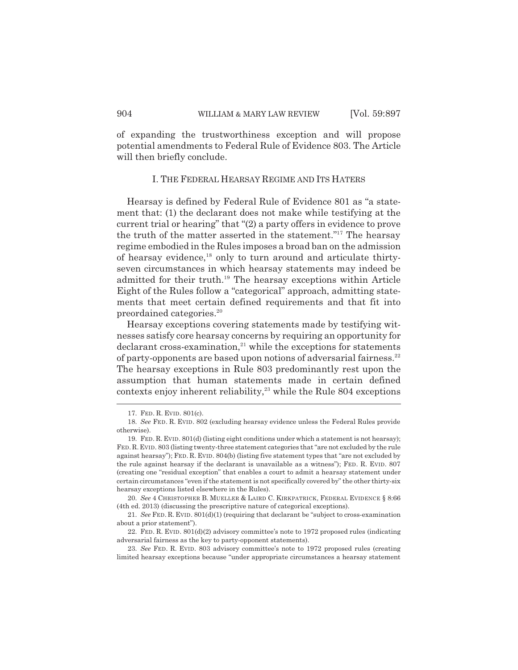of expanding the trustworthiness exception and will propose potential amendments to Federal Rule of Evidence 803. The Article will then briefly conclude.

#### I. THE FEDERAL HEARSAY REGIME AND ITS HATERS

Hearsay is defined by Federal Rule of Evidence 801 as "a statement that: (1) the declarant does not make while testifying at the current trial or hearing" that "(2) a party offers in evidence to prove the truth of the matter asserted in the statement."17 The hearsay regime embodied in the Rules imposes a broad ban on the admission of hearsay evidence,<sup>18</sup> only to turn around and articulate thirtyseven circumstances in which hearsay statements may indeed be admitted for their truth.19 The hearsay exceptions within Article Eight of the Rules follow a "categorical" approach, admitting statements that meet certain defined requirements and that fit into preordained categories.20

Hearsay exceptions covering statements made by testifying witnesses satisfy core hearsay concerns by requiring an opportunity for  $\alpha$  declarant cross-examination,<sup>21</sup> while the exceptions for statements of party-opponents are based upon notions of adversarial fairness.<sup>22</sup> The hearsay exceptions in Rule 803 predominantly rest upon the assumption that human statements made in certain defined contexts enjoy inherent reliability, $^{23}$  while the Rule 804 exceptions

<sup>17.</sup> FED. R. EVID. 801(c).

<sup>18.</sup> *See* FED. R. EVID. 802 (excluding hearsay evidence unless the Federal Rules provide otherwise).

<sup>19.</sup> FED. R. EVID. 801(d) (listing eight conditions under which a statement is not hearsay); FED.R.EVID. 803 (listing twenty-three statement categories that "are not excluded by the rule against hearsay"); FED. R. EVID. 804(b) (listing five statement types that "are not excluded by the rule against hearsay if the declarant is unavailable as a witness"); FED. R. EVID. 807 (creating one "residual exception" that enables a court to admit a hearsay statement under certain circumstances "even if the statement is not specifically covered by" the other thirty-six hearsay exceptions listed elsewhere in the Rules).

<sup>20.</sup> *See* 4 CHRISTOPHER B. MUELLER & LAIRD C. KIRKPATRICK, FEDERAL EVIDENCE § 8:66 (4th ed. 2013) (discussing the prescriptive nature of categorical exceptions).

<sup>21.</sup> *See* FED. R. EVID. 801(d)(1) (requiring that declarant be "subject to cross-examination about a prior statement").

<sup>22.</sup> FED. R. EVID. 801(d)(2) advisory committee's note to 1972 proposed rules (indicating adversarial fairness as the key to party-opponent statements).

<sup>23.</sup> *See* FED. R. EVID. 803 advisory committee's note to 1972 proposed rules (creating limited hearsay exceptions because "under appropriate circumstances a hearsay statement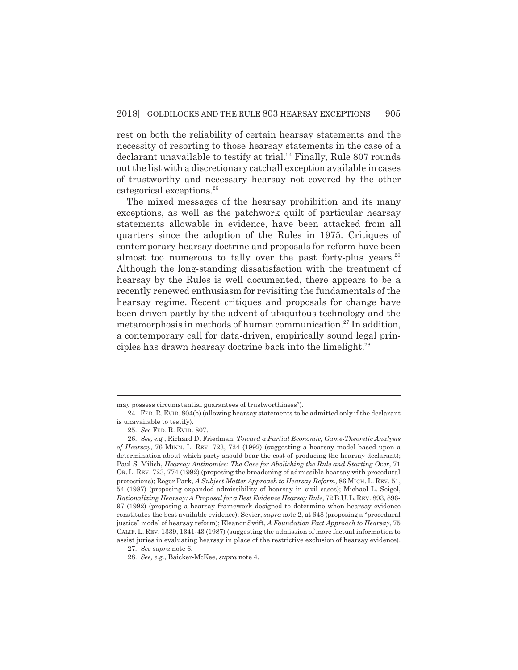rest on both the reliability of certain hearsay statements and the necessity of resorting to those hearsay statements in the case of a declarant unavailable to testify at trial.<sup>24</sup> Finally, Rule 807 rounds out the list with a discretionary catchall exception available in cases of trustworthy and necessary hearsay not covered by the other categorical exceptions.25

The mixed messages of the hearsay prohibition and its many exceptions, as well as the patchwork quilt of particular hearsay statements allowable in evidence, have been attacked from all quarters since the adoption of the Rules in 1975. Critiques of contemporary hearsay doctrine and proposals for reform have been almost too numerous to tally over the past forty-plus years.<sup>26</sup> Although the long-standing dissatisfaction with the treatment of hearsay by the Rules is well documented, there appears to be a recently renewed enthusiasm for revisiting the fundamentals of the hearsay regime. Recent critiques and proposals for change have been driven partly by the advent of ubiquitous technology and the metamorphosis in methods of human communication.<sup>27</sup> In addition, a contemporary call for data-driven, empirically sound legal principles has drawn hearsay doctrine back into the limelight. $^{28}$ 

may possess circumstantial guarantees of trustworthiness").

<sup>24.</sup> FED. R. EVID. 804(b) (allowing hearsay statements to be admitted only if the declarant is unavailable to testify).

<sup>25.</sup> *See* FED. R. EVID. 807.

<sup>26.</sup> *See, e.g.*, Richard D. Friedman, *Toward a Partial Economic, Game-Theoretic Analysis of Hearsay*, 76 MINN. L. REV. 723, 724 (1992) (suggesting a hearsay model based upon a determination about which party should bear the cost of producing the hearsay declarant); Paul S. Milich, *Hearsay Antinomies: The Case for Abolishing the Rule and Starting Over*, 71 OR. L. REV. 723, 774 (1992) (proposing the broadening of admissible hearsay with procedural protections); Roger Park, *A Subject Matter Approach to Hearsay Reform*, 86 MICH. L. REV. 51, 54 (1987) (proposing expanded admissibility of hearsay in civil cases); Michael L. Seigel, *Rationalizing Hearsay: A Proposal for a Best Evidence Hearsay Rule*, 72 B.U.L. REV. 893, 896- 97 (1992) (proposing a hearsay framework designed to determine when hearsay evidence constitutes the best available evidence); Sevier, *supra* note 2, at 648 (proposing a "procedural justice" model of hearsay reform); Eleanor Swift, *A Foundation Fact Approach to Hearsay*, 75 CALIF. L. REV. 1339, 1341-43 (1987) (suggesting the admission of more factual information to assist juries in evaluating hearsay in place of the restrictive exclusion of hearsay evidence).

<sup>27.</sup> *See supra* note 6.

<sup>28.</sup> *See, e.g.*, Baicker-McKee, *supra* note 4.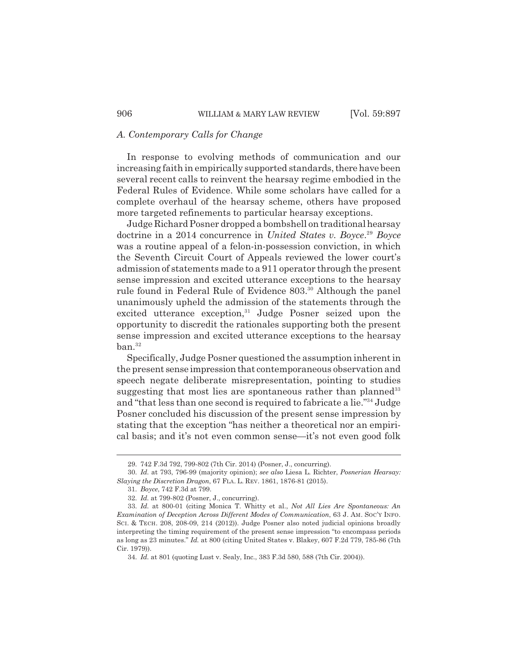## *A. Contemporary Calls for Change*

In response to evolving methods of communication and our increasing faith in empirically supported standards, there have been several recent calls to reinvent the hearsay regime embodied in the Federal Rules of Evidence. While some scholars have called for a complete overhaul of the hearsay scheme, others have proposed more targeted refinements to particular hearsay exceptions.

Judge Richard Posner dropped a bombshell on traditional hearsay doctrine in a 2014 concurrence in *United States v. Boyce*. <sup>29</sup> *Boyce* was a routine appeal of a felon-in-possession conviction, in which the Seventh Circuit Court of Appeals reviewed the lower court's admission of statements made to a 911 operator through the present sense impression and excited utterance exceptions to the hearsay rule found in Federal Rule of Evidence 803.<sup>30</sup> Although the panel unanimously upheld the admission of the statements through the excited utterance exception, $31$  Judge Posner seized upon the opportunity to discredit the rationales supporting both the present sense impression and excited utterance exceptions to the hearsay  $ban.<sup>32</sup>$ 

Specifically, Judge Posner questioned the assumption inherent in the present sense impression that contemporaneous observation and speech negate deliberate misrepresentation, pointing to studies suggesting that most lies are spontaneous rather than planned<sup>33</sup> and "that less than one second is required to fabricate a lie."34 Judge Posner concluded his discussion of the present sense impression by stating that the exception "has neither a theoretical nor an empirical basis; and it's not even common sense—it's not even good folk

<sup>29. 742</sup> F.3d 792, 799-802 (7th Cir. 2014) (Posner, J., concurring).

<sup>30.</sup> *Id.* at 793, 796-99 (majority opinion); *see also* Liesa L. Richter, *Posnerian Hearsay: Slaying the Discretion Dragon*, 67 FLA. L. REV. 1861, 1876-81 (2015).

<sup>31.</sup> *Boyce*, 742 F.3d at 799.

<sup>32.</sup> *Id.* at 799-802 (Posner, J., concurring).

<sup>33.</sup> *Id.* at 800-01 (citing Monica T. Whitty et al., *Not All Lies Are Spontaneous: An Examination of Deception Across Different Modes of Communication*, 63 J. AM. SOC'Y INFO. SCI. & TECH. 208, 208-09, 214 (2012)). Judge Posner also noted judicial opinions broadly interpreting the timing requirement of the present sense impression "to encompass periods as long as 23 minutes." *Id.* at 800 (citing United States v. Blakey, 607 F.2d 779, 785-86 (7th Cir. 1979)).

<sup>34.</sup> *Id.* at 801 (quoting Lust v. Sealy, Inc., 383 F.3d 580, 588 (7th Cir. 2004)).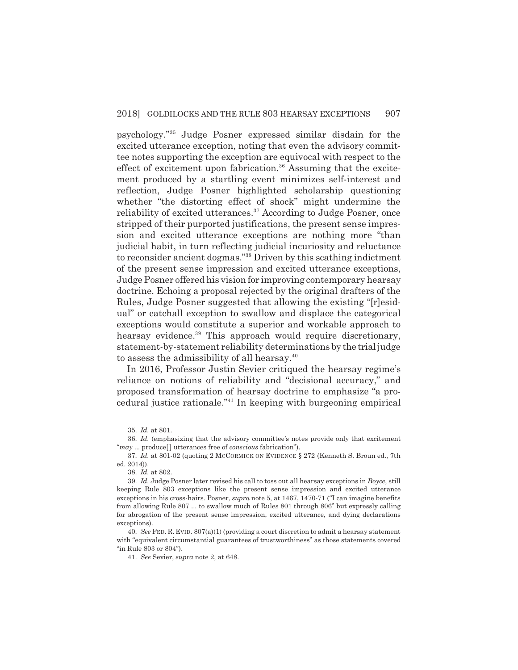psychology."35 Judge Posner expressed similar disdain for the excited utterance exception, noting that even the advisory committee notes supporting the exception are equivocal with respect to the effect of excitement upon fabrication.<sup>36</sup> Assuming that the excitement produced by a startling event minimizes self-interest and reflection, Judge Posner highlighted scholarship questioning whether "the distorting effect of shock" might undermine the reliability of excited utterances.<sup>37</sup> According to Judge Posner, once stripped of their purported justifications, the present sense impression and excited utterance exceptions are nothing more "than judicial habit, in turn reflecting judicial incuriosity and reluctance to reconsider ancient dogmas."38 Driven by this scathing indictment of the present sense impression and excited utterance exceptions, Judge Posner offered his vision for improving contemporary hearsay doctrine. Echoing a proposal rejected by the original drafters of the Rules, Judge Posner suggested that allowing the existing "[r]esidual" or catchall exception to swallow and displace the categorical exceptions would constitute a superior and workable approach to hearsay evidence.<sup>39</sup> This approach would require discretionary, statement-by-statement reliability determinations by the trial judge to assess the admissibility of all hearsay.<sup>40</sup>

In 2016, Professor Justin Sevier critiqued the hearsay regime's reliance on notions of reliability and "decisional accuracy," and proposed transformation of hearsay doctrine to emphasize "a procedural justice rationale."41 In keeping with burgeoning empirical

<sup>35.</sup> *Id.* at 801.

<sup>36.</sup> *Id.* (emphasizing that the advisory committee's notes provide only that excitement "*may* ... produce[ ] utterances free of *conscious* fabrication").

<sup>37.</sup> *Id.* at 801-02 (quoting 2 MCCORMICK ON EVIDENCE § 272 (Kenneth S. Broun ed., 7th ed. 2014)).

<sup>38.</sup> *Id.* at 802.

<sup>39.</sup> *Id.* Judge Posner later revised his call to toss out all hearsay exceptions in *Boyce*, still keeping Rule 803 exceptions like the present sense impression and excited utterance exceptions in his cross-hairs. Posner, *supra* note 5, at 1467, 1470-71 ("I can imagine benefits from allowing Rule 807 ... to swallow much of Rules 801 through 806" but expressly calling for abrogation of the present sense impression, excited utterance, and dying declarations exceptions).

<sup>40.</sup> *See* FED. R. EVID. 807(a)(1) (providing a court discretion to admit a hearsay statement with "equivalent circumstantial guarantees of trustworthiness" as those statements covered "in Rule 803 or 804").

<sup>41.</sup> *See* Sevier, *supra* note 2, at 648.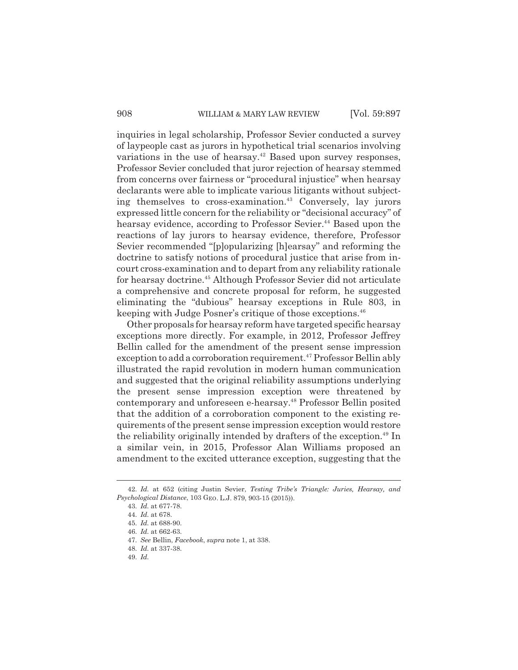inquiries in legal scholarship, Professor Sevier conducted a survey of laypeople cast as jurors in hypothetical trial scenarios involving variations in the use of hearsay.<sup>42</sup> Based upon survey responses, Professor Sevier concluded that juror rejection of hearsay stemmed from concerns over fairness or "procedural injustice" when hearsay declarants were able to implicate various litigants without subjecting themselves to cross-examination.<sup>43</sup> Conversely, lay jurors expressed little concern for the reliability or "decisional accuracy" of hearsay evidence, according to Professor Sevier.<sup>44</sup> Based upon the reactions of lay jurors to hearsay evidence, therefore, Professor Sevier recommended "[p]opularizing [h]earsay" and reforming the doctrine to satisfy notions of procedural justice that arise from incourt cross-examination and to depart from any reliability rationale for hearsay doctrine.<sup>45</sup> Although Professor Sevier did not articulate a comprehensive and concrete proposal for reform, he suggested eliminating the "dubious" hearsay exceptions in Rule 803, in keeping with Judge Posner's critique of those exceptions.<sup>46</sup>

Other proposals for hearsay reform have targeted specific hearsay exceptions more directly. For example, in 2012, Professor Jeffrey Bellin called for the amendment of the present sense impression exception to add a corroboration requirement.<sup>47</sup> Professor Bellin ably illustrated the rapid revolution in modern human communication and suggested that the original reliability assumptions underlying the present sense impression exception were threatened by contemporary and unforeseen e-hearsay.<sup>48</sup> Professor Bellin posited that the addition of a corroboration component to the existing requirements of the present sense impression exception would restore the reliability originally intended by drafters of the exception.<sup>49</sup> In a similar vein, in 2015, Professor Alan Williams proposed an amendment to the excited utterance exception, suggesting that the

<sup>42.</sup> *Id.* at 652 (citing Justin Sevier, *Testing Tribe's Triangle: Juries, Hearsay, and Psychological Distance*, 103 GEO. L.J. 879, 903-15 (2015)).

<sup>43.</sup> *Id.* at 677-78.

<sup>44.</sup> *Id.* at 678.

<sup>45.</sup> *Id.* at 688-90.

<sup>46.</sup> *Id.* at 662-63.

<sup>47.</sup> *See* Bellin, *Facebook*, *supra* note 1, at 338.

<sup>48.</sup> *Id.* at 337-38.

<sup>49.</sup> *Id.*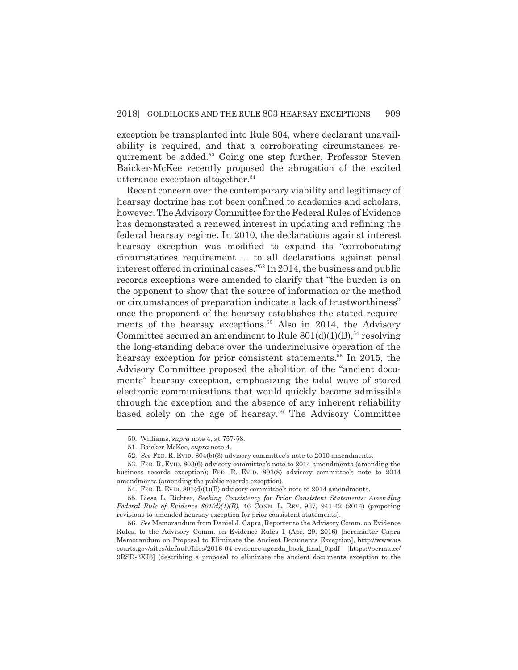exception be transplanted into Rule 804, where declarant unavailability is required, and that a corroborating circumstances requirement be added.<sup>50</sup> Going one step further, Professor Steven Baicker-McKee recently proposed the abrogation of the excited utterance exception altogether.<sup>51</sup>

Recent concern over the contemporary viability and legitimacy of hearsay doctrine has not been confined to academics and scholars, however. The Advisory Committee for the Federal Rules of Evidence has demonstrated a renewed interest in updating and refining the federal hearsay regime. In 2010, the declarations against interest hearsay exception was modified to expand its "corroborating circumstances requirement ... to all declarations against penal interest offered in criminal cases."52 In 2014, the business and public records exceptions were amended to clarify that "the burden is on the opponent to show that the source of information or the method or circumstances of preparation indicate a lack of trustworthiness" once the proponent of the hearsay establishes the stated requirements of the hearsay exceptions.<sup>53</sup> Also in 2014, the Advisory Committee secured an amendment to Rule  $801(d)(1)(B)$ ,<sup>54</sup> resolving the long-standing debate over the underinclusive operation of the hearsay exception for prior consistent statements.<sup>55</sup> In 2015, the Advisory Committee proposed the abolition of the "ancient documents" hearsay exception, emphasizing the tidal wave of stored electronic communications that would quickly become admissible through the exception and the absence of any inherent reliability based solely on the age of hearsay.<sup>56</sup> The Advisory Committee

<sup>50.</sup> Williams, *supra* note 4, at 757-58.

<sup>51.</sup> Baicker-McKee, *supra* note 4.

<sup>52.</sup> *See* FED. R. EVID. 804(b)(3) advisory committee's note to 2010 amendments.

<sup>53.</sup> FED. R. EVID. 803(6) advisory committee's note to 2014 amendments (amending the business records exception); FED. R. EVID. 803(8) advisory committee's note to 2014 amendments (amending the public records exception).

<sup>54.</sup> FED. R. EVID. 801(d)(1)(B) advisory committee's note to 2014 amendments.

<sup>55.</sup> Liesa L. Richter, *Seeking Consistency for Prior Consistent Statements: Amending Federal Rule of Evidence 801(d)(1)(B)*, 46 CONN. L. REV. 937, 941-42 (2014) (proposing revisions to amended hearsay exception for prior consistent statements).

<sup>56.</sup> *See* Memorandum from Daniel J. Capra, Reporter to the Advisory Comm. on Evidence Rules, to the Advisory Comm. on Evidence Rules 1 (Apr. 29, 2016) [hereinafter Capra Memorandum on Proposal to Eliminate the Ancient Documents Exception], http://www.us courts.gov/sites/default/files/2016-04-evidence-agenda\_book\_final\_0.pdf [https://perma.cc/ 9RSD-3XJ6] (describing a proposal to eliminate the ancient documents exception to the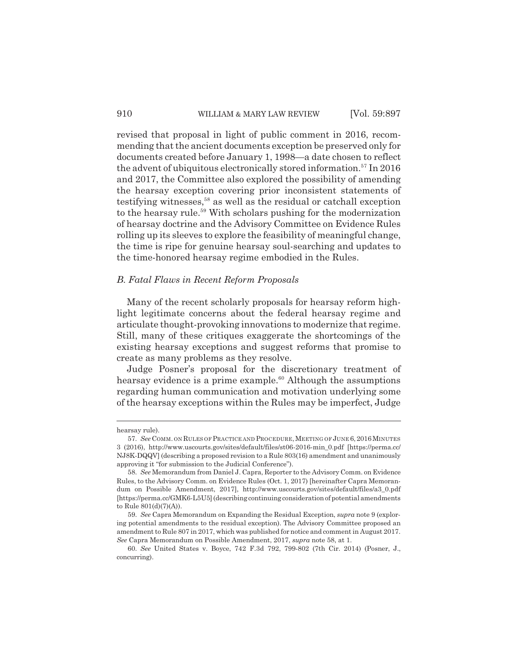revised that proposal in light of public comment in 2016, recommending that the ancient documents exception be preserved only for documents created before January 1, 1998—a date chosen to reflect the advent of ubiquitous electronically stored information.<sup>57</sup> In 2016 and 2017, the Committee also explored the possibility of amending the hearsay exception covering prior inconsistent statements of testifying witnesses, $58$  as well as the residual or catchall exception to the hearsay rule.<sup>59</sup> With scholars pushing for the modernization of hearsay doctrine and the Advisory Committee on Evidence Rules rolling up its sleeves to explore the feasibility of meaningful change, the time is ripe for genuine hearsay soul-searching and updates to the time-honored hearsay regime embodied in the Rules.

### *B. Fatal Flaws in Recent Reform Proposals*

Many of the recent scholarly proposals for hearsay reform highlight legitimate concerns about the federal hearsay regime and articulate thought-provoking innovations to modernize that regime. Still, many of these critiques exaggerate the shortcomings of the existing hearsay exceptions and suggest reforms that promise to create as many problems as they resolve.

Judge Posner's proposal for the discretionary treatment of hearsay evidence is a prime example.<sup>60</sup> Although the assumptions regarding human communication and motivation underlying some of the hearsay exceptions within the Rules may be imperfect, Judge

hearsay rule).

<sup>57.</sup> See COMM. ON RULES OF PRACTICE AND PROCEDURE, MEETING OF JUNE 6, 2016 MINUTES 3 (2016), http://www.uscourts.gov/sites/default/files/st06-2016-min\_0.pdf [https://perma.cc/ NJ8K-DQQV] (describing a proposed revision to a Rule 803(16) amendment and unanimously approving it "for submission to the Judicial Conference").

<sup>58.</sup> *See* Memorandum from Daniel J. Capra, Reporter to the Advisory Comm. on Evidence Rules, to the Advisory Comm. on Evidence Rules (Oct. 1, 2017) [hereinafter Capra Memorandum on Possible Amendment, 2017], http://www.uscourts.gov/sites/default/files/a3\_0.pdf [https://perma.cc/GMK6-L5U5] (describing continuing consideration of potential amendments to Rule  $801(d)(7)(A)$ ).

<sup>59.</sup> *See* Capra Memorandum on Expanding the Residual Exception, *supra* note 9 (exploring potential amendments to the residual exception). The Advisory Committee proposed an amendment to Rule 807 in 2017, which was published for notice and comment in August 2017. *See* Capra Memorandum on Possible Amendment, 2017, *supra* note 58, at 1.

<sup>60.</sup> *See* United States v. Boyce, 742 F.3d 792, 799-802 (7th Cir. 2014) (Posner, J., concurring).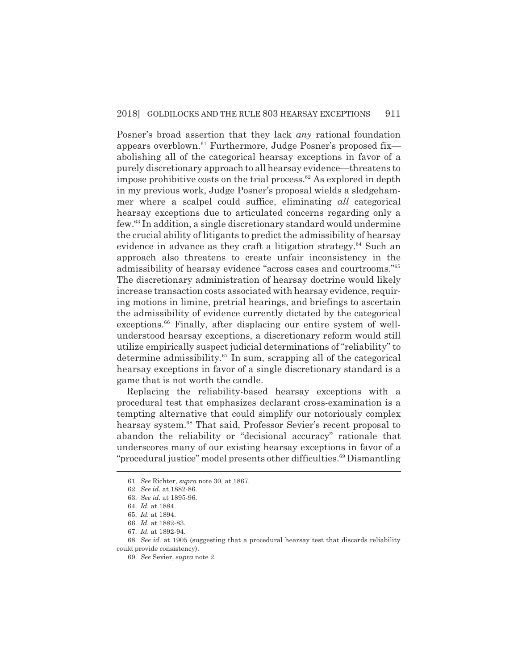Posner's broad assertion that they lack *any* rational foundation appears overblown.61 Furthermore, Judge Posner's proposed fix abolishing all of the categorical hearsay exceptions in favor of a purely discretionary approach to all hearsay evidence—threatens to impose prohibitive costs on the trial process.<sup>62</sup> As explored in depth in my previous work, Judge Posner's proposal wields a sledgehammer where a scalpel could suffice, eliminating *all* categorical hearsay exceptions due to articulated concerns regarding only a few.63 In addition, a single discretionary standard would undermine the crucial ability of litigants to predict the admissibility of hearsay evidence in advance as they craft a litigation strategy.<sup>64</sup> Such an approach also threatens to create unfair inconsistency in the admissibility of hearsay evidence "across cases and courtrooms."65 The discretionary administration of hearsay doctrine would likely increase transaction costs associated with hearsay evidence, requiring motions in limine, pretrial hearings, and briefings to ascertain the admissibility of evidence currently dictated by the categorical exceptions.<sup>66</sup> Finally, after displacing our entire system of wellunderstood hearsay exceptions, a discretionary reform would still utilize empirically suspect judicial determinations of "reliability" to determine admissibility.<sup>67</sup> In sum, scrapping all of the categorical hearsay exceptions in favor of a single discretionary standard is a game that is not worth the candle.

Replacing the reliability-based hearsay exceptions with a procedural test that emphasizes declarant cross-examination is a tempting alternative that could simplify our notoriously complex hearsay system.<sup>68</sup> That said, Professor Sevier's recent proposal to abandon the reliability or "decisional accuracy" rationale that underscores many of our existing hearsay exceptions in favor of a "procedural justice" model presents other difficulties.<sup>69</sup> Dismantling

<sup>61.</sup> *See* Richter, *supra* note 30, at 1867.

<sup>62.</sup> *See id.* at 1882-86.

<sup>63.</sup> *See id.* at 1895-96.

<sup>64.</sup> *Id.* at 1884.

<sup>65.</sup> *Id.* at 1894.

<sup>66.</sup> *Id.* at 1882-83.

<sup>67.</sup> *Id.* at 1892-94.

<sup>68.</sup> *See id.* at 1905 (suggesting that a procedural hearsay test that discards reliability could provide consistency).

<sup>69.</sup> *See* Sevier, *supra* note 2.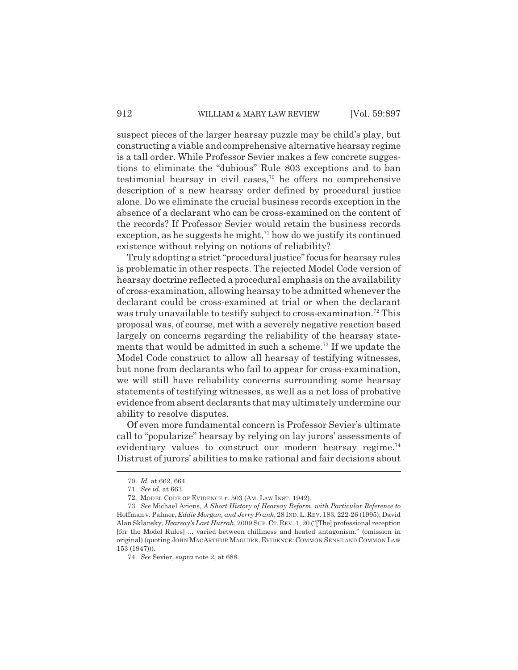suspect pieces of the larger hearsay puzzle may be child's play, but constructing a viable and comprehensive alternative hearsay regime is a tall order. While Professor Sevier makes a few concrete suggestions to eliminate the "dubious" Rule 803 exceptions and to ban testimonial hearsay in civil cases,<sup>70</sup> he offers no comprehensive description of a new hearsay order defined by procedural justice alone. Do we eliminate the crucial business records exception in the absence of a declarant who can be cross-examined on the content of the records? If Professor Sevier would retain the business records exception, as he suggests he might, $71$  how do we justify its continued existence without relying on notions of reliability?

Truly adopting a strict "procedural justice" focus for hearsay rules is problematic in other respects. The rejected Model Code version of hearsay doctrine reflected a procedural emphasis on the availability of cross-examination, allowing hearsay to be admitted whenever the declarant could be cross-examined at trial or when the declarant was truly unavailable to testify subject to cross-examination.<sup>72</sup> This proposal was, of course, met with a severely negative reaction based largely on concerns regarding the reliability of the hearsay statements that would be admitted in such a scheme.<sup>73</sup> If we update the Model Code construct to allow all hearsay of testifying witnesses, but none from declarants who fail to appear for cross-examination, we will still have reliability concerns surrounding some hearsay statements of testifying witnesses, as well as a net loss of probative evidence from absent declarants that may ultimately undermine our ability to resolve disputes.

Of even more fundamental concern is Professor Sevier's ultimate call to "popularize" hearsay by relying on lay jurors' assessments of evidentiary values to construct our modern hearsay regime.<sup>74</sup> Distrust of jurors' abilities to make rational and fair decisions about

<sup>70.</sup> *Id.* at 662, 664.

<sup>71.</sup> *See id.* at 663.

<sup>72.</sup> MODEL CODE OF EVIDENCE r. 503 (AM. LAW INST. 1942).

<sup>73.</sup> *See* Michael Ariens, *A Short History of Hearsay Reform, with Particular Reference to* Hoffman v. Palmer, *Eddie Morgan, and Jerry Frank*, 28 IND.L.REV. 183, 222-26 (1995); David Alan Sklansky, *Hearsay's Last Hurrah*, 2009 SUP.CT.REV. 1, 20 ("[The] professional reception [for the Model Rules] ... varied between chilliness and heated antagonism." (omission in original) (quoting JOHN MACARTHUR MAGUIRE, EVIDENCE: COMMON SENSE AND COMMON LAW 153 (1947))).

<sup>74.</sup> *See* Sevier, *supra* note 2, at 688.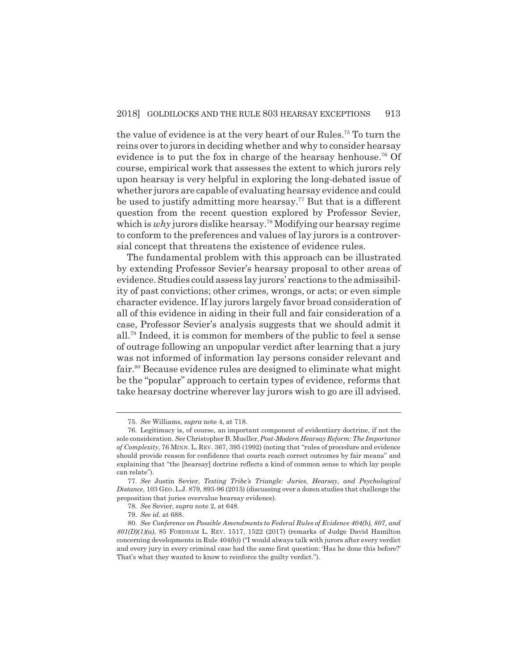the value of evidence is at the very heart of our Rules.75 To turn the reins over to jurors in deciding whether and why to consider hearsay evidence is to put the fox in charge of the hearsay henhouse.<sup>76</sup> Of course, empirical work that assesses the extent to which jurors rely upon hearsay is very helpful in exploring the long-debated issue of whether jurors are capable of evaluating hearsay evidence and could be used to justify admitting more hearsay.<sup>77</sup> But that is a different question from the recent question explored by Professor Sevier, which is *why* jurors dislike hearsay.<sup>78</sup> Modifying our hearsay regime to conform to the preferences and values of lay jurors is a controversial concept that threatens the existence of evidence rules.

The fundamental problem with this approach can be illustrated by extending Professor Sevier's hearsay proposal to other areas of evidence. Studies could assess lay jurors' reactions to the admissibility of past convictions; other crimes, wrongs, or acts; or even simple character evidence. If lay jurors largely favor broad consideration of all of this evidence in aiding in their full and fair consideration of a case, Professor Sevier's analysis suggests that we should admit it all.79 Indeed, it is common for members of the public to feel a sense of outrage following an unpopular verdict after learning that a jury was not informed of information lay persons consider relevant and fair.80 Because evidence rules are designed to eliminate what might be the "popular" approach to certain types of evidence, reforms that take hearsay doctrine wherever lay jurors wish to go are ill advised.

<sup>75.</sup> *See* Williams, *supra* note 4, at 718.

<sup>76.</sup> Legitimacy is, of course, an important component of evidentiary doctrine, if not the sole consideration. *See* Christopher B. Mueller, *Post-Modern Hearsay Reform: The Importance of Complexity*, 76 MINN. L. REV. 367, 395 (1992) (noting that "rules of procedure and evidence should provide reason for confidence that courts reach correct outcomes by fair means" and explaining that "the [hearsay] doctrine reflects a kind of common sense to which lay people can relate").

<sup>77.</sup> *See* Justin Sevier, *Testing Tribe's Triangle: Juries, Hearsay, and Psychological Distance*, 103 GEO.L.J. 879, 893-96 (2015) (discussing over a dozen studies that challenge the proposition that juries overvalue hearsay evidence).

<sup>78.</sup> *See* Sevier, *supra* note 2, at 648.

<sup>79.</sup> *See id.* at 688.

<sup>80.</sup> *See Conference on Possible Amendments to Federal Rules of Evidence 404(b), 807, and 801(D)(1)(a)*, 85 FORDHAM L. REV. 1517, 1522 (2017) (remarks of Judge David Hamilton concerning developments in Rule 404(b)) ("I would always talk with jurors after every verdict and every jury in every criminal case had the same first question: 'Has he done this before?' That's what they wanted to know to reinforce the guilty verdict.").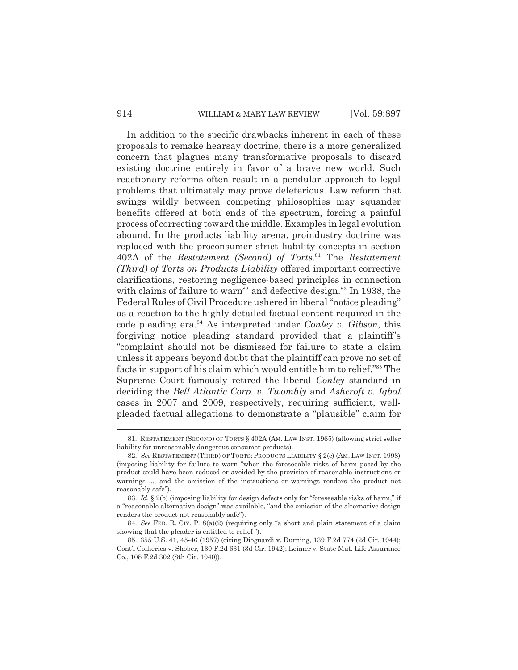#### 914 WILLIAM & MARY LAW REVIEW [Vol. 59:897]

In addition to the specific drawbacks inherent in each of these proposals to remake hearsay doctrine, there is a more generalized concern that plagues many transformative proposals to discard existing doctrine entirely in favor of a brave new world. Such reactionary reforms often result in a pendular approach to legal problems that ultimately may prove deleterious. Law reform that swings wildly between competing philosophies may squander benefits offered at both ends of the spectrum, forcing a painful process of correcting toward the middle. Examples in legal evolution abound. In the products liability arena, proindustry doctrine was replaced with the proconsumer strict liability concepts in section 402A of the *Restatement (Second) of Torts*. 81 The *Restatement (Third) of Torts on Products Liability* offered important corrective clarifications, restoring negligence-based principles in connection with claims of failure to warn<sup>82</sup> and defective design.<sup>83</sup> In 1938, the Federal Rules of Civil Procedure ushered in liberal "notice pleading" as a reaction to the highly detailed factual content required in the code pleading era.84 As interpreted under *Conley v. Gibson*, this forgiving notice pleading standard provided that a plaintiff's "complaint should not be dismissed for failure to state a claim unless it appears beyond doubt that the plaintiff can prove no set of facts in support of his claim which would entitle him to relief."85 The Supreme Court famously retired the liberal *Conley* standard in deciding the *Bell Atlantic Corp. v. Twombly* and *Ashcroft v. Iqbal* cases in 2007 and 2009, respectively, requiring sufficient, wellpleaded factual allegations to demonstrate a "plausible" claim for

<sup>81.</sup> RESTATEMENT (SECOND) OF TORTS § 402A (AM. LAW INST. 1965) (allowing strict seller liability for unreasonably dangerous consumer products).

<sup>82.</sup> *See* RESTATEMENT (THIRD) OF TORTS: PRODUCTS LIABILITY § 2(c) (AM. LAW INST. 1998) (imposing liability for failure to warn "when the foreseeable risks of harm posed by the product could have been reduced or avoided by the provision of reasonable instructions or warnings ..., and the omission of the instructions or warnings renders the product not reasonably safe").

<sup>83.</sup> *Id.* § 2(b) (imposing liability for design defects only for "foreseeable risks of harm," if a "reasonable alternative design" was available, "and the omission of the alternative design renders the product not reasonably safe").

<sup>84.</sup> *See* FED. R. CIV. P. 8(a)(2) (requiring only "a short and plain statement of a claim showing that the pleader is entitled to relief ").

<sup>85. 355</sup> U.S. 41, 45-46 (1957) (citing Dioguardi v. Durning, 139 F.2d 774 (2d Cir. 1944); Cont'l Collieries v. Shober, 130 F.2d 631 (3d Cir. 1942); Leimer v. State Mut. Life Assurance Co., 108 F.2d 302 (8th Cir. 1940)).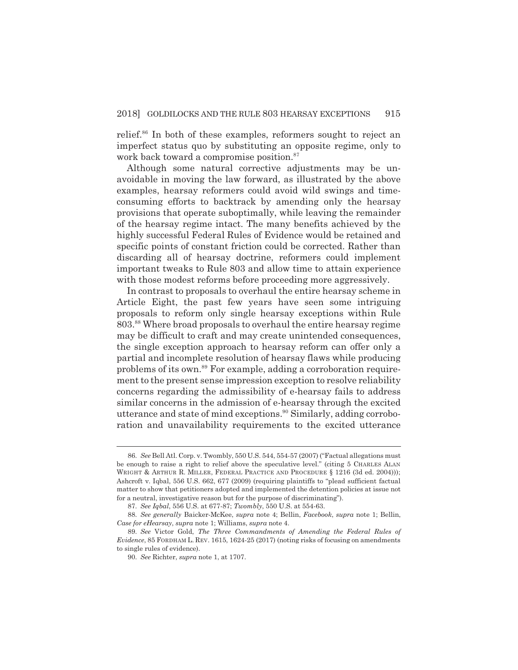relief.<sup>86</sup> In both of these examples, reformers sought to reject an imperfect status quo by substituting an opposite regime, only to work back toward a compromise position.<sup>87</sup>

Although some natural corrective adjustments may be unavoidable in moving the law forward, as illustrated by the above examples, hearsay reformers could avoid wild swings and timeconsuming efforts to backtrack by amending only the hearsay provisions that operate suboptimally, while leaving the remainder of the hearsay regime intact. The many benefits achieved by the highly successful Federal Rules of Evidence would be retained and specific points of constant friction could be corrected. Rather than discarding all of hearsay doctrine, reformers could implement important tweaks to Rule 803 and allow time to attain experience with those modest reforms before proceeding more aggressively.

In contrast to proposals to overhaul the entire hearsay scheme in Article Eight, the past few years have seen some intriguing proposals to reform only single hearsay exceptions within Rule 803.88 Where broad proposals to overhaul the entire hearsay regime may be difficult to craft and may create unintended consequences, the single exception approach to hearsay reform can offer only a partial and incomplete resolution of hearsay flaws while producing problems of its own.89 For example, adding a corroboration requirement to the present sense impression exception to resolve reliability concerns regarding the admissibility of e-hearsay fails to address similar concerns in the admission of e-hearsay through the excited utterance and state of mind exceptions.<sup>90</sup> Similarly, adding corroboration and unavailability requirements to the excited utterance

<sup>86.</sup> *See* Bell Atl. Corp. v. Twombly, 550 U.S. 544, 554-57 (2007) ("Factual allegations must be enough to raise a right to relief above the speculative level." (citing 5 CHARLES ALAN WRIGHT & ARTHUR R. MILLER, FEDERAL PRACTICE AND PROCEDURE § 1216 (3d ed. 2004))); Ashcroft v. Iqbal, 556 U.S. 662, 677 (2009) (requiring plaintiffs to "plead sufficient factual matter to show that petitioners adopted and implemented the detention policies at issue not for a neutral, investigative reason but for the purpose of discriminating").

<sup>87.</sup> *See Iqbal*, 556 U.S. at 677-87; *Twombly*, 550 U.S. at 554-63.

<sup>88.</sup> *See generally* Baicker-McKee, *supra* note 4; Bellin, *Facebook*, *supra* note 1; Bellin, *Case for eHearsay*, *supra* note 1; Williams, *supra* note 4.

<sup>89.</sup> *See* Victor Gold, *The Three Commandments of Amending the Federal Rules of Evidence*, 85 FORDHAM L. REV. 1615, 1624-25 (2017) (noting risks of focusing on amendments to single rules of evidence).

<sup>90.</sup> *See* Richter, *supra* note 1, at 1707.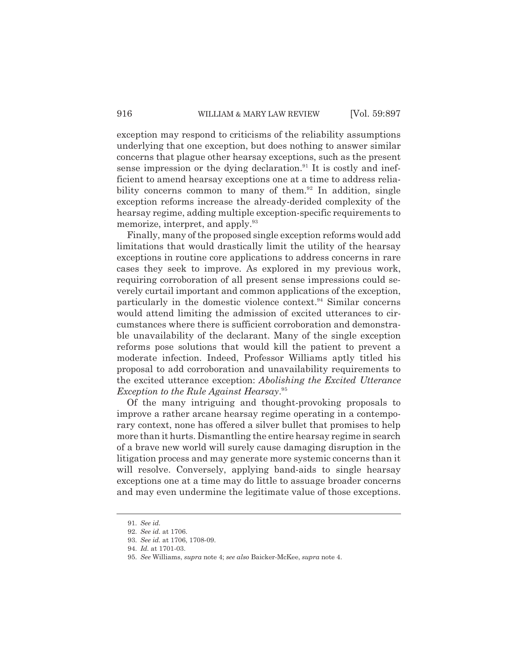exception may respond to criticisms of the reliability assumptions underlying that one exception, but does nothing to answer similar concerns that plague other hearsay exceptions, such as the present sense impression or the dying declaration.<sup>91</sup> It is costly and inefficient to amend hearsay exceptions one at a time to address reliability concerns common to many of them. $92$  In addition, single exception reforms increase the already-derided complexity of the hearsay regime, adding multiple exception-specific requirements to memorize, interpret, and apply.<sup>93</sup>

Finally, many of the proposed single exception reforms would add limitations that would drastically limit the utility of the hearsay exceptions in routine core applications to address concerns in rare cases they seek to improve. As explored in my previous work, requiring corroboration of all present sense impressions could severely curtail important and common applications of the exception, particularly in the domestic violence context.<sup>94</sup> Similar concerns would attend limiting the admission of excited utterances to circumstances where there is sufficient corroboration and demonstrable unavailability of the declarant. Many of the single exception reforms pose solutions that would kill the patient to prevent a moderate infection. Indeed, Professor Williams aptly titled his proposal to add corroboration and unavailability requirements to the excited utterance exception: *Abolishing the Excited Utterance Exception to the Rule Against Hearsay*. 95

Of the many intriguing and thought-provoking proposals to improve a rather arcane hearsay regime operating in a contemporary context, none has offered a silver bullet that promises to help more than it hurts. Dismantling the entire hearsay regime in search of a brave new world will surely cause damaging disruption in the litigation process and may generate more systemic concerns than it will resolve. Conversely, applying band-aids to single hearsay exceptions one at a time may do little to assuage broader concerns and may even undermine the legitimate value of those exceptions.

<sup>91.</sup> *See id.*

<sup>92.</sup> *See id.* at 1706.

<sup>93.</sup> *See id.* at 1706, 1708-09.

<sup>94.</sup> *Id.* at 1701-03.

<sup>95.</sup> *See* Williams, *supra* note 4; *see also* Baicker-McKee, *supra* note 4.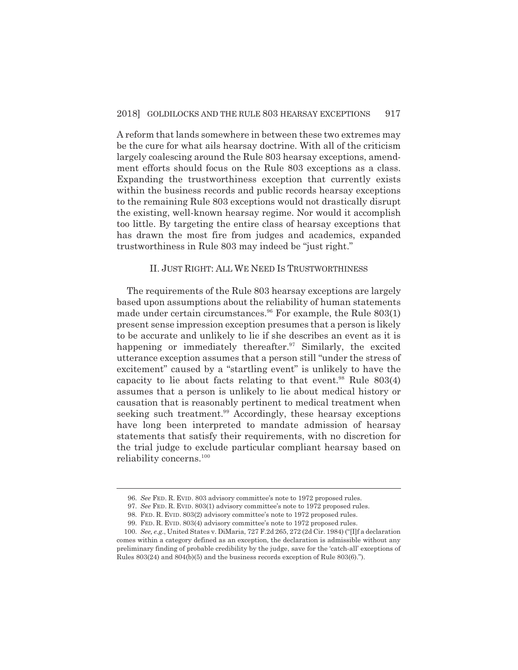A reform that lands somewhere in between these two extremes may be the cure for what ails hearsay doctrine. With all of the criticism largely coalescing around the Rule 803 hearsay exceptions, amendment efforts should focus on the Rule 803 exceptions as a class. Expanding the trustworthiness exception that currently exists within the business records and public records hearsay exceptions to the remaining Rule 803 exceptions would not drastically disrupt the existing, well-known hearsay regime. Nor would it accomplish too little. By targeting the entire class of hearsay exceptions that has drawn the most fire from judges and academics, expanded trustworthiness in Rule 803 may indeed be "just right."

#### II. JUST RIGHT: ALL WE NEED IS TRUSTWORTHINESS

The requirements of the Rule 803 hearsay exceptions are largely based upon assumptions about the reliability of human statements made under certain circumstances.<sup>96</sup> For example, the Rule  $803(1)$ present sense impression exception presumes that a person is likely to be accurate and unlikely to lie if she describes an event as it is happening or immediately thereafter. $97$  Similarly, the excited utterance exception assumes that a person still "under the stress of excitement" caused by a "startling event" is unlikely to have the capacity to lie about facts relating to that event.<sup>98</sup> Rule  $803(4)$ assumes that a person is unlikely to lie about medical history or causation that is reasonably pertinent to medical treatment when seeking such treatment.<sup>99</sup> Accordingly, these hearsay exceptions have long been interpreted to mandate admission of hearsay statements that satisfy their requirements, with no discretion for the trial judge to exclude particular compliant hearsay based on reliability concerns.100

<sup>96.</sup> *See* FED. R. EVID. 803 advisory committee's note to 1972 proposed rules.

<sup>97.</sup> *See* FED. R. EVID. 803(1) advisory committee's note to 1972 proposed rules.

<sup>98.</sup> FED. R. EVID. 803(2) advisory committee's note to 1972 proposed rules.

<sup>99.</sup> FED. R. EVID. 803(4) advisory committee's note to 1972 proposed rules.

<sup>100.</sup> *See, e.g.*, United States v. DiMaria, 727 F.2d 265, 272 (2d Cir. 1984) ("[I]f a declaration comes within a category defined as an exception, the declaration is admissible without any preliminary finding of probable credibility by the judge, save for the 'catch-all' exceptions of Rules 803(24) and 804(b)(5) and the business records exception of Rule 803(6).").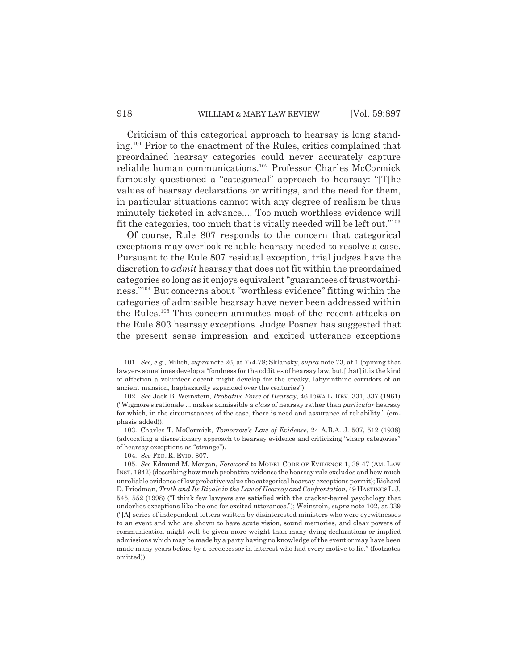Criticism of this categorical approach to hearsay is long standing.101 Prior to the enactment of the Rules, critics complained that preordained hearsay categories could never accurately capture reliable human communications.102 Professor Charles McCormick famously questioned a "categorical" approach to hearsay: "[T]he values of hearsay declarations or writings, and the need for them, in particular situations cannot with any degree of realism be thus minutely ticketed in advance.... Too much worthless evidence will fit the categories, too much that is vitally needed will be left out."103

Of course, Rule 807 responds to the concern that categorical exceptions may overlook reliable hearsay needed to resolve a case. Pursuant to the Rule 807 residual exception, trial judges have the discretion to *admit* hearsay that does not fit within the preordained categories so long as it enjoys equivalent "guarantees of trustworthiness."104 But concerns about "worthless evidence" fitting within the categories of admissible hearsay have never been addressed within the Rules.105 This concern animates most of the recent attacks on the Rule 803 hearsay exceptions. Judge Posner has suggested that the present sense impression and excited utterance exceptions

<sup>101.</sup> *See, e.g.*, Milich, *supra* note 26, at 774-78; Sklansky, *supra* note 73, at 1 (opining that lawyers sometimes develop a "fondness for the oddities of hearsay law, but [that] it is the kind of affection a volunteer docent might develop for the creaky, labyrinthine corridors of an ancient mansion, haphazardly expanded over the centuries").

<sup>102.</sup> *See* Jack B. Weinstein, *Probative Force of Hearsay*, 46 IOWA L. REV. 331, 337 (1961) ("Wigmore's rationale ... makes admissible a *class* of hearsay rather than *particular* hearsay for which, in the circumstances of the case, there is need and assurance of reliability." (emphasis added)).

<sup>103.</sup> Charles T. McCormick, *Tomorrow's Law of Evidence*, 24 A.B.A. J. 507, 512 (1938) (advocating a discretionary approach to hearsay evidence and criticizing "sharp categories" of hearsay exceptions as "strange").

<sup>104.</sup> *See* FED. R. EVID. 807.

<sup>105.</sup> *See* Edmund M. Morgan, *Foreword* to MODEL CODE OF EVIDENCE 1, 38-47 (AM. LAW INST. 1942) (describing how much probative evidence the hearsay rule excludes and how much unreliable evidence of low probative value the categorical hearsay exceptions permit); Richard D. Friedman, *Truth and Its Rivals in the Law of Hearsay and Confrontation*, 49 HASTINGS L.J. 545, 552 (1998) ("I think few lawyers are satisfied with the cracker-barrel psychology that underlies exceptions like the one for excited utterances."); Weinstein, *supra* note 102, at 339 ("[A] series of independent letters written by disinterested ministers who were eyewitnesses to an event and who are shown to have acute vision, sound memories, and clear powers of communication might well be given more weight than many dying declarations or implied admissions which may be made by a party having no knowledge of the event or may have been made many years before by a predecessor in interest who had every motive to lie." (footnotes omitted)).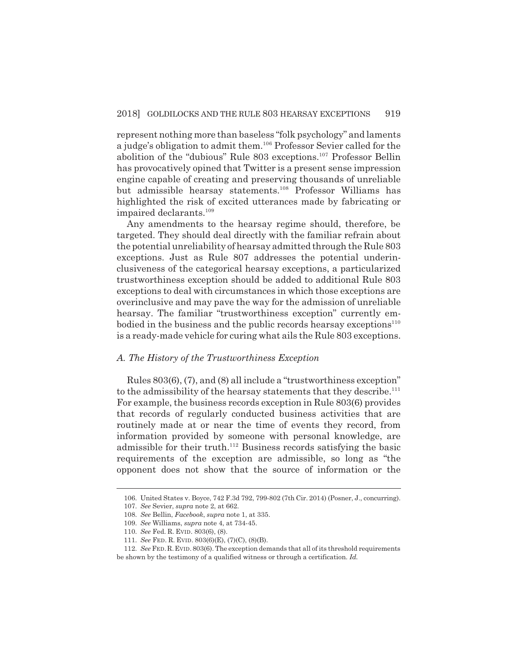represent nothing more than baseless "folk psychology" and laments a judge's obligation to admit them.106 Professor Sevier called for the abolition of the "dubious" Rule 803 exceptions.<sup>107</sup> Professor Bellin has provocatively opined that Twitter is a present sense impression engine capable of creating and preserving thousands of unreliable but admissible hearsay statements.108 Professor Williams has highlighted the risk of excited utterances made by fabricating or impaired declarants.<sup>109</sup>

Any amendments to the hearsay regime should, therefore, be targeted. They should deal directly with the familiar refrain about the potential unreliability of hearsay admitted through the Rule 803 exceptions. Just as Rule 807 addresses the potential underinclusiveness of the categorical hearsay exceptions, a particularized trustworthiness exception should be added to additional Rule 803 exceptions to deal with circumstances in which those exceptions are overinclusive and may pave the way for the admission of unreliable hearsay. The familiar "trustworthiness exception" currently embodied in the business and the public records hearsay exceptions $110$ is a ready-made vehicle for curing what ails the Rule 803 exceptions.

#### *A. The History of the Trustworthiness Exception*

Rules 803(6), (7), and (8) all include a "trustworthiness exception" to the admissibility of the hearsay statements that they describe.<sup>111</sup> For example, the business records exception in Rule 803(6) provides that records of regularly conducted business activities that are routinely made at or near the time of events they record, from information provided by someone with personal knowledge, are admissible for their truth.<sup>112</sup> Business records satisfying the basic requirements of the exception are admissible, so long as "the opponent does not show that the source of information or the

<sup>106.</sup> United States v. Boyce, 742 F.3d 792, 799-802 (7th Cir. 2014) (Posner, J., concurring).

<sup>107.</sup> *See* Sevier, *supra* note 2, at 662.

<sup>108.</sup> *See* Bellin, *Facebook*, *supra* note 1, at 335.

<sup>109.</sup> *See* Williams, *supra* note 4, at 734-45.

<sup>110.</sup> *See* Fed. R. EVID. 803(6), (8).

<sup>111.</sup> *See* FED. R. EVID. 803(6)(E), (7)(C), (8)(B).

<sup>112.</sup> *See* FED.R.EVID.803(6). The exception demands that all of its threshold requirements be shown by the testimony of a qualified witness or through a certification. *Id.*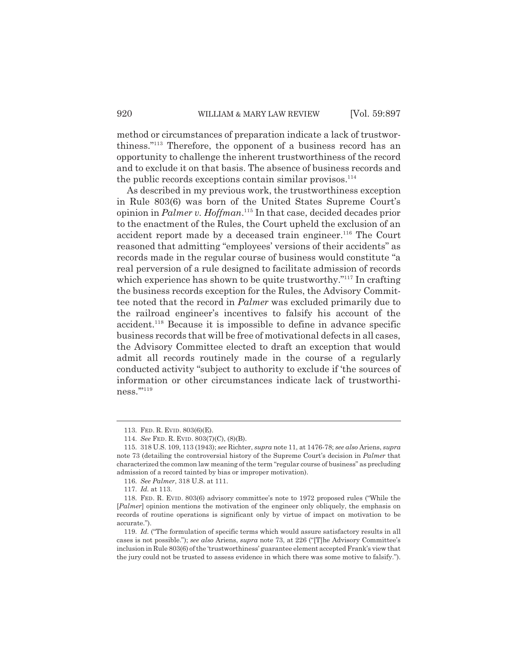method or circumstances of preparation indicate a lack of trustworthiness."113 Therefore, the opponent of a business record has an opportunity to challenge the inherent trustworthiness of the record and to exclude it on that basis. The absence of business records and the public records exceptions contain similar provisos. $114$ 

As described in my previous work, the trustworthiness exception in Rule 803(6) was born of the United States Supreme Court's opinion in *Palmer v. Hoffman*. 115 In that case, decided decades prior to the enactment of the Rules, the Court upheld the exclusion of an accident report made by a deceased train engineer.<sup>116</sup> The Court reasoned that admitting "employees' versions of their accidents" as records made in the regular course of business would constitute "a real perversion of a rule designed to facilitate admission of records which experience has shown to be quite trustworthy."<sup>117</sup> In crafting the business records exception for the Rules, the Advisory Committee noted that the record in *Palmer* was excluded primarily due to the railroad engineer's incentives to falsify his account of the accident.118 Because it is impossible to define in advance specific business records that will be free of motivational defects in all cases, the Advisory Committee elected to draft an exception that would admit all records routinely made in the course of a regularly conducted activity "subject to authority to exclude if 'the sources of information or other circumstances indicate lack of trustworthiness."'<sup>119</sup>

<sup>113.</sup> FED. R. EVID. 803(6)(E).

<sup>114.</sup> *See* FED. R. EVID. 803(7)(C), (8)(B).

<sup>115. 318</sup> U.S. 109, 113 (1943); *see* Richter, *supra* note 11, at 1476-78; *see also* Ariens, *supra* note 73 (detailing the controversial history of the Supreme Court's decision in *Palmer* that characterized the common law meaning of the term "regular course of business" as precluding admission of a record tainted by bias or improper motivation).

<sup>116.</sup> *See Palmer*, 318 U.S. at 111.

<sup>117.</sup> *Id.* at 113.

<sup>118.</sup> FED. R. EVID. 803(6) advisory committee's note to 1972 proposed rules ("While the [*Palmer*] opinion mentions the motivation of the engineer only obliquely, the emphasis on records of routine operations is significant only by virtue of impact on motivation to be accurate.").

<sup>119.</sup> *Id.* ("The formulation of specific terms which would assure satisfactory results in all cases is not possible."); *see also* Ariens, *supra* note 73, at 226 ("[T]he Advisory Committee's inclusion in Rule 803(6) of the 'trustworthiness' guarantee element accepted Frank's view that the jury could not be trusted to assess evidence in which there was some motive to falsify.").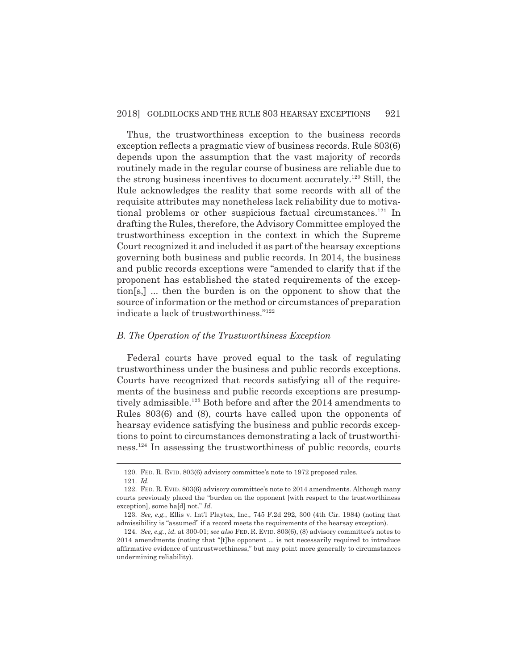Thus, the trustworthiness exception to the business records exception reflects a pragmatic view of business records. Rule 803(6) depends upon the assumption that the vast majority of records routinely made in the regular course of business are reliable due to the strong business incentives to document accurately.120 Still, the Rule acknowledges the reality that some records with all of the requisite attributes may nonetheless lack reliability due to motivational problems or other suspicious factual circumstances.<sup>121</sup> In drafting the Rules, therefore, the Advisory Committee employed the trustworthiness exception in the context in which the Supreme Court recognized it and included it as part of the hearsay exceptions governing both business and public records. In 2014, the business and public records exceptions were "amended to clarify that if the proponent has established the stated requirements of the exception[s,] ... then the burden is on the opponent to show that the source of information or the method or circumstances of preparation indicate a lack of trustworthiness."122

## *B. The Operation of the Trustworthiness Exception*

Federal courts have proved equal to the task of regulating trustworthiness under the business and public records exceptions. Courts have recognized that records satisfying all of the requirements of the business and public records exceptions are presumptively admissible.<sup>123</sup> Both before and after the 2014 amendments to Rules 803(6) and (8), courts have called upon the opponents of hearsay evidence satisfying the business and public records exceptions to point to circumstances demonstrating a lack of trustworthiness.124 In assessing the trustworthiness of public records, courts

<sup>120.</sup> FED. R. EVID. 803(6) advisory committee's note to 1972 proposed rules.

<sup>121.</sup> *Id.*

<sup>122.</sup> FED. R. EVID. 803(6) advisory committee's note to 2014 amendments. Although many courts previously placed the "burden on the opponent [with respect to the trustworthiness exception], some ha[d] not." *Id.*

<sup>123.</sup> *See, e.g.*, Ellis v. Int'l Playtex, Inc., 745 F.2d 292, 300 (4th Cir. 1984) (noting that admissibility is "assumed" if a record meets the requirements of the hearsay exception).

<sup>124.</sup> *See, e.g.*, *id.* at 300-01; *see also* FED. R. EVID. 803(6), (8) advisory committee's notes to 2014 amendments (noting that "[t]he opponent ... is not necessarily required to introduce affirmative evidence of untrustworthiness," but may point more generally to circumstances undermining reliability).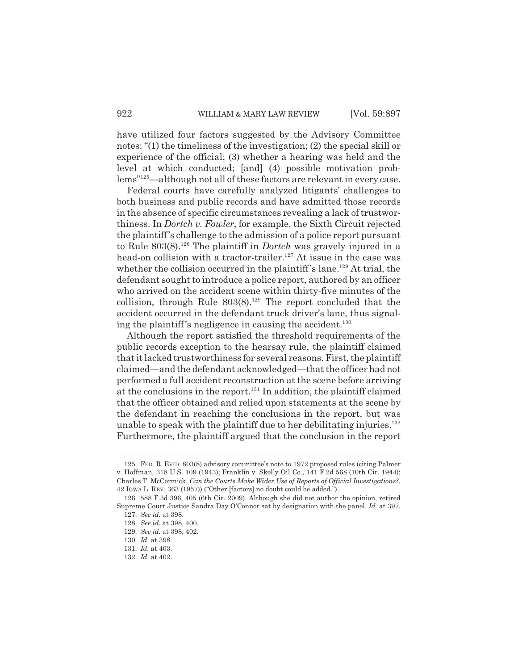have utilized four factors suggested by the Advisory Committee notes: "(1) the timeliness of the investigation; (2) the special skill or experience of the official; (3) whether a hearing was held and the level at which conducted; [and] (4) possible motivation problems"125—although not all of these factors are relevant in every case.

Federal courts have carefully analyzed litigants' challenges to both business and public records and have admitted those records in the absence of specific circumstances revealing a lack of trustworthiness. In *Dortch v. Fowler*, for example, the Sixth Circuit rejected the plaintiff's challenge to the admission of a police report pursuant to Rule 803(8).126 The plaintiff in *Dortch* was gravely injured in a head-on collision with a tractor-trailer.<sup>127</sup> At issue in the case was whether the collision occurred in the plaintiff's lane.<sup>128</sup> At trial, the defendant sought to introduce a police report, authored by an officer who arrived on the accident scene within thirty-five minutes of the collision, through Rule  $803(8)$ .<sup>129</sup> The report concluded that the accident occurred in the defendant truck driver's lane, thus signaling the plaintiff's negligence in causing the accident.<sup>130</sup>

Although the report satisfied the threshold requirements of the public records exception to the hearsay rule, the plaintiff claimed that it lacked trustworthiness for several reasons. First, the plaintiff claimed—and the defendant acknowledged—that the officer had not performed a full accident reconstruction at the scene before arriving at the conclusions in the report.131 In addition, the plaintiff claimed that the officer obtained and relied upon statements at the scene by the defendant in reaching the conclusions in the report, but was unable to speak with the plaintiff due to her debilitating injuries. $^{132}$ Furthermore, the plaintiff argued that the conclusion in the report

<sup>125.</sup> FED. R. EVID. 803(8) advisory committee's note to 1972 proposed rules (citing Palmer v. Hoffman, 318 U.S. 109 (1943); Franklin v. Skelly Oil Co., 141 F.2d 568 (10th Cir. 1944); Charles T. McCormick, *Can the Courts Make Wider Use of Reports of Official Investigations?*, 42 IOWA L. REV. 363 (1957)) ("Other [factors] no doubt could be added.").

<sup>126. 588</sup> F.3d 396, 405 (6th Cir. 2009). Although she did not author the opinion, retired Supreme Court Justice Sandra Day O'Connor sat by designation with the panel. *Id.* at 397.

<sup>127.</sup> *See id.* at 398.

<sup>128.</sup> *See id.* at 398, 400.

<sup>129.</sup> *See id.* at 398, 402.

<sup>130.</sup> *Id.* at 398.

<sup>131.</sup> *Id.* at 403.

<sup>132.</sup> *Id.* at 402.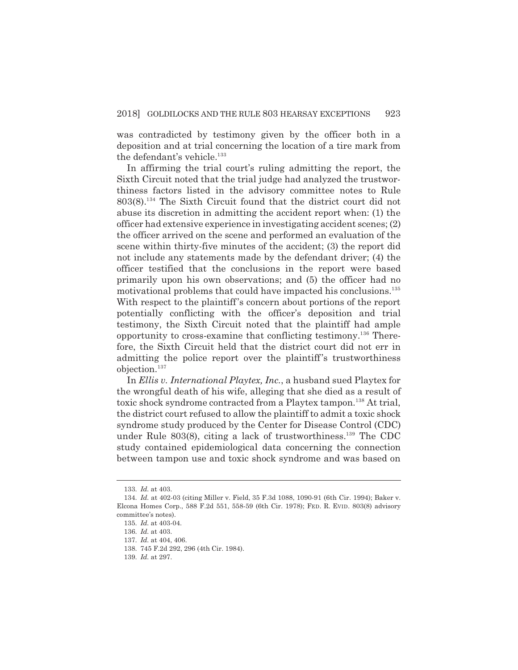was contradicted by testimony given by the officer both in a deposition and at trial concerning the location of a tire mark from the defendant's vehicle.<sup>133</sup>

In affirming the trial court's ruling admitting the report, the Sixth Circuit noted that the trial judge had analyzed the trustworthiness factors listed in the advisory committee notes to Rule 803(8).134 The Sixth Circuit found that the district court did not abuse its discretion in admitting the accident report when: (1) the officer had extensive experience in investigating accident scenes; (2) the officer arrived on the scene and performed an evaluation of the scene within thirty-five minutes of the accident; (3) the report did not include any statements made by the defendant driver; (4) the officer testified that the conclusions in the report were based primarily upon his own observations; and (5) the officer had no motivational problems that could have impacted his conclusions.<sup>135</sup> With respect to the plaintiff's concern about portions of the report potentially conflicting with the officer's deposition and trial testimony, the Sixth Circuit noted that the plaintiff had ample opportunity to cross-examine that conflicting testimony.<sup>136</sup> Therefore, the Sixth Circuit held that the district court did not err in admitting the police report over the plaintiff's trustworthiness objection.137

In *Ellis v. International Playtex, Inc.*, a husband sued Playtex for the wrongful death of his wife, alleging that she died as a result of toxic shock syndrome contracted from a Playtex tampon.<sup>138</sup> At trial, the district court refused to allow the plaintiff to admit a toxic shock syndrome study produced by the Center for Disease Control (CDC) under Rule  $803(8)$ , citing a lack of trustworthiness.<sup>139</sup> The CDC study contained epidemiological data concerning the connection between tampon use and toxic shock syndrome and was based on

<sup>133.</sup> *Id.* at 403.

<sup>134.</sup> *Id.* at 402-03 (citing Miller v. Field, 35 F.3d 1088, 1090-91 (6th Cir. 1994); Baker v. Elcona Homes Corp., 588 F.2d 551, 558-59 (6th Cir. 1978); FED. R. EVID. 803(8) advisory committee's notes).

<sup>135.</sup> *Id.* at 403-04.

<sup>136.</sup> *Id.* at 403.

<sup>137.</sup> *Id.* at 404, 406.

<sup>138. 745</sup> F.2d 292, 296 (4th Cir. 1984).

<sup>139.</sup> *Id.* at 297.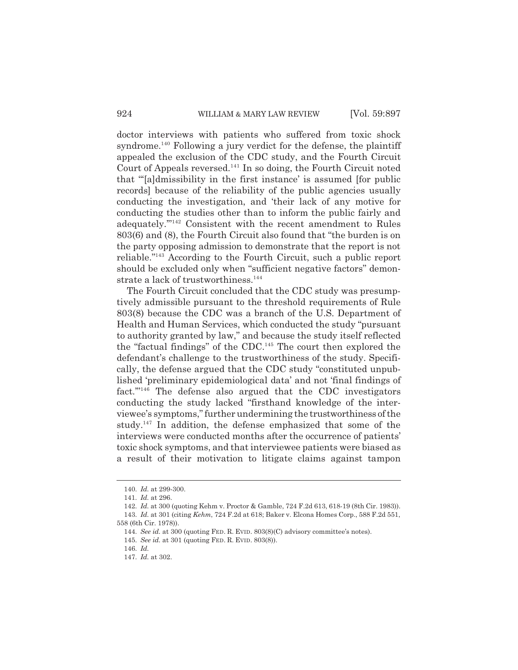doctor interviews with patients who suffered from toxic shock syndrome.<sup>140</sup> Following a jury verdict for the defense, the plaintiff appealed the exclusion of the CDC study, and the Fourth Circuit Court of Appeals reversed.<sup>141</sup> In so doing, the Fourth Circuit noted that "'[a]dmissibility in the first instance' is assumed [for public records] because of the reliability of the public agencies usually conducting the investigation, and 'their lack of any motive for conducting the studies other than to inform the public fairly and adequately.'"142 Consistent with the recent amendment to Rules 803(6) and (8), the Fourth Circuit also found that "the burden is on the party opposing admission to demonstrate that the report is not reliable."143 According to the Fourth Circuit, such a public report should be excluded only when "sufficient negative factors" demonstrate a lack of trustworthiness.<sup>144</sup>

The Fourth Circuit concluded that the CDC study was presumptively admissible pursuant to the threshold requirements of Rule 803(8) because the CDC was a branch of the U.S. Department of Health and Human Services, which conducted the study "pursuant to authority granted by law," and because the study itself reflected the "factual findings" of the CDC.<sup>145</sup> The court then explored the defendant's challenge to the trustworthiness of the study. Specifically, the defense argued that the CDC study "constituted unpublished 'preliminary epidemiological data' and not 'final findings of fact."<sup>146</sup> The defense also argued that the CDC investigators conducting the study lacked "firsthand knowledge of the interviewee's symptoms," further undermining the trustworthiness of the study.<sup>147</sup> In addition, the defense emphasized that some of the interviews were conducted months after the occurrence of patients' toxic shock symptoms, and that interviewee patients were biased as a result of their motivation to litigate claims against tampon

<sup>140.</sup> *Id.* at 299-300.

<sup>141.</sup> *Id.* at 296.

<sup>142.</sup> *Id.* at 300 (quoting Kehm v. Proctor & Gamble, 724 F.2d 613, 618-19 (8th Cir. 1983)).

<sup>143.</sup> *Id.* at 301 (citing *Kehm*, 724 F.2d at 618; Baker v. Elcona Homes Corp., 588 F.2d 551, 558 (6th Cir. 1978)).

<sup>144.</sup> *See id.* at 300 (quoting FED. R. EVID. 803(8)(C) advisory committee's notes).

<sup>145.</sup> *See id.* at 301 (quoting FED. R. EVID. 803(8)).

<sup>146.</sup> *Id.*

<sup>147.</sup> *Id.* at 302.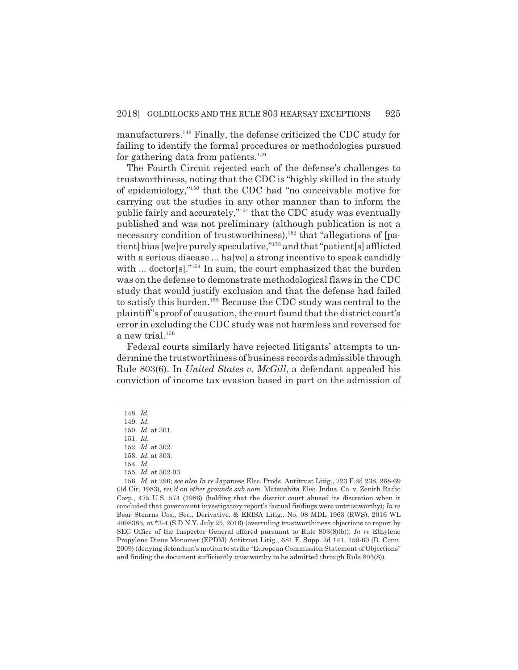manufacturers.<sup>148</sup> Finally, the defense criticized the CDC study for failing to identify the formal procedures or methodologies pursued for gathering data from patients. $149$ 

The Fourth Circuit rejected each of the defense's challenges to trustworthiness, noting that the CDC is "highly skilled in the study of epidemiology,"150 that the CDC had "no conceivable motive for carrying out the studies in any other manner than to inform the public fairly and accurately,"151 that the CDC study was eventually published and was not preliminary (although publication is not a necessary condition of trustworthiness), $152$  that "allegations of [patient] bias [we]re purely speculative,"<sup>153</sup> and that "patient[s] afflicted with a serious disease ... ha<sup>[ve]</sup> a strong incentive to speak candidly with ... doctor<sup>[s]</sup>.<sup>"154</sup> In sum, the court emphasized that the burden was on the defense to demonstrate methodological flaws in the CDC study that would justify exclusion and that the defense had failed to satisfy this burden.155 Because the CDC study was central to the plaintiff's proof of causation, the court found that the district court's error in excluding the CDC study was not harmless and reversed for a new trial.<sup>156</sup>

Federal courts similarly have rejected litigants' attempts to undermine the trustworthiness of business records admissible through Rule 803(6). In *United States v. McGill*, a defendant appealed his conviction of income tax evasion based in part on the admission of

<sup>148.</sup> *Id.*

<sup>149.</sup> *Id.*

<sup>150.</sup> *Id.* at 301.

<sup>151.</sup> *Id.*

<sup>152.</sup> *Id.* at 302.

<sup>153.</sup> *Id.* at 303.

<sup>154.</sup> *Id.*

<sup>155.</sup> *Id.* at 302-03.

<sup>156.</sup> *Id.* at 296; *see also In re* Japanese Elec. Prods. Antitrust Litig., 723 F.2d 238, 268-69 (3d Cir. 1983), *rev'd on other grounds sub nom.* Matsushita Elec. Indus. Co. v. Zenith Radio Corp., 475 U.S. 574 (1986) (holding that the district court abused its discretion when it concluded that government investigatory report's factual findings were untrustworthy); *In re* Bear Stearns Cos., Sec., Derivative, & ERISA Litig., No. 08 MDL 1963 (RWS), 2016 WL 4098385, at \*3-4 (S.D.N.Y. July 25, 2016) (overruling trustworthiness objections to report by SEC Office of the Inspector General offered pursuant to Rule 803(8)(b)); *In re* Ethylene Propylene Diene Monomer (EPDM) Antitrust Litig., 681 F. Supp. 2d 141, 159-60 (D. Conn. 2009) (denying defendant's motion to strike "European Commission Statement of Objections" and finding the document sufficiently trustworthy to be admitted through Rule 803(8)).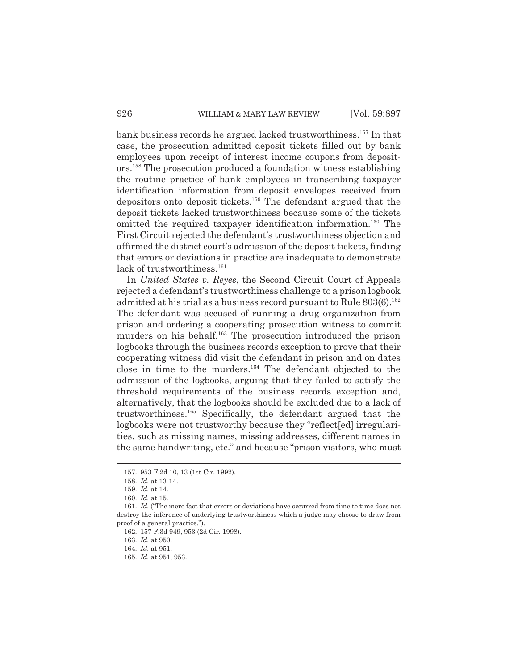bank business records he argued lacked trustworthiness.157 In that case, the prosecution admitted deposit tickets filled out by bank employees upon receipt of interest income coupons from depositors.158 The prosecution produced a foundation witness establishing the routine practice of bank employees in transcribing taxpayer identification information from deposit envelopes received from depositors onto deposit tickets.<sup>159</sup> The defendant argued that the deposit tickets lacked trustworthiness because some of the tickets omitted the required taxpayer identification information.<sup>160</sup> The First Circuit rejected the defendant's trustworthiness objection and affirmed the district court's admission of the deposit tickets, finding that errors or deviations in practice are inadequate to demonstrate lack of trustworthiness.<sup>161</sup>

In *United States v. Reyes*, the Second Circuit Court of Appeals rejected a defendant's trustworthiness challenge to a prison logbook admitted at his trial as a business record pursuant to Rule  $803(6).^{162}$ The defendant was accused of running a drug organization from prison and ordering a cooperating prosecution witness to commit murders on his behalf.<sup>163</sup> The prosecution introduced the prison logbooks through the business records exception to prove that their cooperating witness did visit the defendant in prison and on dates close in time to the murders.164 The defendant objected to the admission of the logbooks, arguing that they failed to satisfy the threshold requirements of the business records exception and, alternatively, that the logbooks should be excluded due to a lack of trustworthiness.165 Specifically, the defendant argued that the logbooks were not trustworthy because they "reflect[ed] irregularities, such as missing names, missing addresses, different names in the same handwriting, etc." and because "prison visitors, who must

<sup>157. 953</sup> F.2d 10, 13 (1st Cir. 1992).

<sup>158.</sup> *Id.* at 13-14.

<sup>159.</sup> *Id.* at 14.

<sup>160.</sup> *Id.* at 15.

<sup>161.</sup> *Id.* ("The mere fact that errors or deviations have occurred from time to time does not destroy the inference of underlying trustworthiness which a judge may choose to draw from proof of a general practice.").

<sup>162. 157</sup> F.3d 949, 953 (2d Cir. 1998).

<sup>163.</sup> *Id.* at 950.

<sup>164.</sup> *Id.* at 951.

<sup>165.</sup> *Id.* at 951, 953.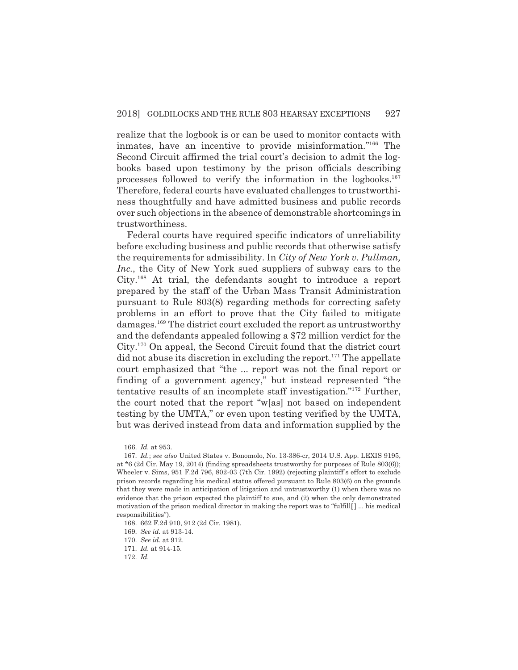realize that the logbook is or can be used to monitor contacts with inmates, have an incentive to provide misinformation."166 The Second Circuit affirmed the trial court's decision to admit the logbooks based upon testimony by the prison officials describing processes followed to verify the information in the logbooks.<sup>167</sup> Therefore, federal courts have evaluated challenges to trustworthiness thoughtfully and have admitted business and public records over such objections in the absence of demonstrable shortcomings in trustworthiness.

Federal courts have required specific indicators of unreliability before excluding business and public records that otherwise satisfy the requirements for admissibility. In *City of New York v. Pullman, Inc.*, the City of New York sued suppliers of subway cars to the City.168 At trial, the defendants sought to introduce a report prepared by the staff of the Urban Mass Transit Administration pursuant to Rule 803(8) regarding methods for correcting safety problems in an effort to prove that the City failed to mitigate damages.169 The district court excluded the report as untrustworthy and the defendants appealed following a \$72 million verdict for the City.170 On appeal, the Second Circuit found that the district court  $\mathbf{d}$  did not abuse its discretion in excluding the report.<sup>171</sup> The appellate court emphasized that "the ... report was not the final report or finding of a government agency," but instead represented "the tentative results of an incomplete staff investigation."172 Further, the court noted that the report "w[as] not based on independent testing by the UMTA," or even upon testing verified by the UMTA, but was derived instead from data and information supplied by the

<sup>166.</sup> *Id.* at 953.

<sup>167.</sup> *Id.*; *see also* United States v. Bonomolo, No. 13-386-cr, 2014 U.S. App. LEXIS 9195, at \*6 (2d Cir. May 19, 2014) (finding spreadsheets trustworthy for purposes of Rule 803(6)); Wheeler v. Sims, 951 F.2d 796, 802-03 (7th Cir. 1992) (rejecting plaintiff's effort to exclude prison records regarding his medical status offered pursuant to Rule 803(6) on the grounds that they were made in anticipation of litigation and untrustworthy (1) when there was no evidence that the prison expected the plaintiff to sue, and (2) when the only demonstrated motivation of the prison medical director in making the report was to "fulfill[ ] ... his medical responsibilities").

<sup>168. 662</sup> F.2d 910, 912 (2d Cir. 1981).

<sup>169.</sup> *See id.* at 913-14.

<sup>170.</sup> *See id.* at 912.

<sup>171.</sup> *Id.* at 914-15.

<sup>172.</sup> *Id.*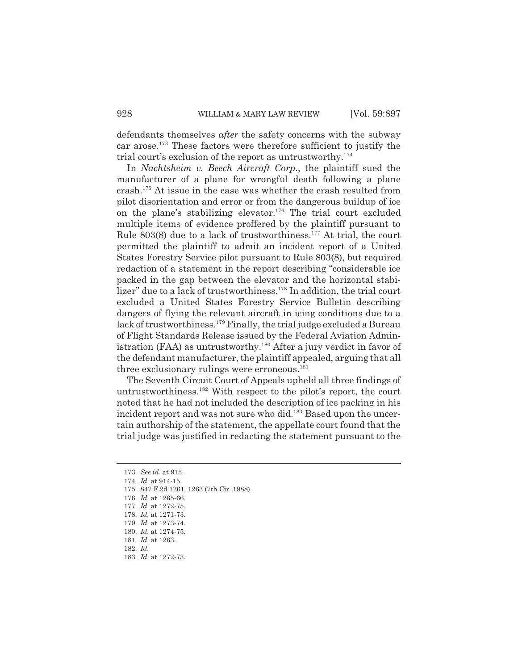defendants themselves *after* the safety concerns with the subway car arose.173 These factors were therefore sufficient to justify the trial court's exclusion of the report as untrustworthy.174

In *Nachtsheim v. Beech Aircraft Corp.*, the plaintiff sued the manufacturer of a plane for wrongful death following a plane crash.175 At issue in the case was whether the crash resulted from pilot disorientation and error or from the dangerous buildup of ice on the plane's stabilizing elevator.<sup>176</sup> The trial court excluded multiple items of evidence proffered by the plaintiff pursuant to Rule  $803(8)$  due to a lack of trustworthiness.<sup>177</sup> At trial, the court permitted the plaintiff to admit an incident report of a United States Forestry Service pilot pursuant to Rule 803(8), but required redaction of a statement in the report describing "considerable ice packed in the gap between the elevator and the horizontal stabilizer" due to a lack of trustworthiness.<sup>178</sup> In addition, the trial court excluded a United States Forestry Service Bulletin describing dangers of flying the relevant aircraft in icing conditions due to a lack of trustworthiness.<sup>179</sup> Finally, the trial judge excluded a Bureau of Flight Standards Release issued by the Federal Aviation Administration (FAA) as untrustworthy.<sup>180</sup> After a jury verdict in favor of the defendant manufacturer, the plaintiff appealed, arguing that all three exclusionary rulings were erroneous.<sup>181</sup>

The Seventh Circuit Court of Appeals upheld all three findings of untrustworthiness.182 With respect to the pilot's report, the court noted that he had not included the description of ice packing in his incident report and was not sure who did.<sup>183</sup> Based upon the uncertain authorship of the statement, the appellate court found that the trial judge was justified in redacting the statement pursuant to the

175. 847 F.2d 1261, 1263 (7th Cir. 1988).

182. *Id.*

<sup>173.</sup> *See id.* at 915.

<sup>174.</sup> *Id.* at 914-15.

<sup>176.</sup> *Id.* at 1265-66.

<sup>177.</sup> *Id.* at 1272-75.

<sup>178.</sup> *Id.* at 1271-73.

<sup>179.</sup> *Id.* at 1273-74.

<sup>180.</sup> *Id.* at 1274-75.

<sup>181.</sup> *Id.* at 1263.

<sup>183.</sup> *Id.* at 1272-73.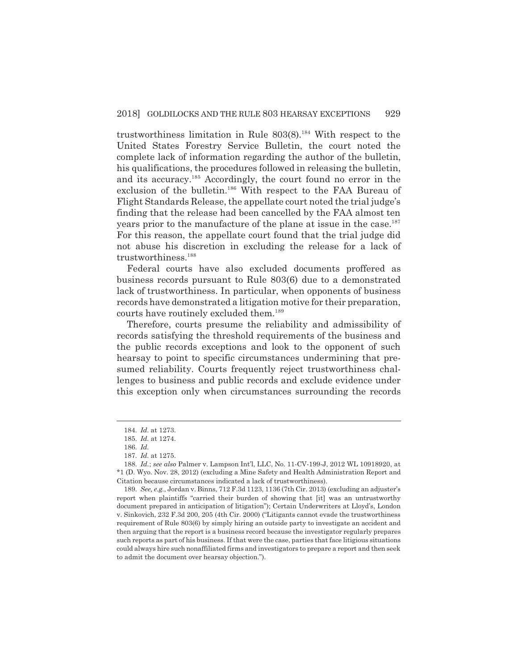trustworthiness limitation in Rule  $803(8).^{184}$  With respect to the United States Forestry Service Bulletin, the court noted the complete lack of information regarding the author of the bulletin, his qualifications, the procedures followed in releasing the bulletin, and its accuracy.185 Accordingly, the court found no error in the exclusion of the bulletin.<sup>186</sup> With respect to the FAA Bureau of Flight Standards Release, the appellate court noted the trial judge's finding that the release had been cancelled by the FAA almost ten years prior to the manufacture of the plane at issue in the case.<sup>187</sup> For this reason, the appellate court found that the trial judge did not abuse his discretion in excluding the release for a lack of trustworthiness.188

Federal courts have also excluded documents proffered as business records pursuant to Rule 803(6) due to a demonstrated lack of trustworthiness. In particular, when opponents of business records have demonstrated a litigation motive for their preparation, courts have routinely excluded them.189

Therefore, courts presume the reliability and admissibility of records satisfying the threshold requirements of the business and the public records exceptions and look to the opponent of such hearsay to point to specific circumstances undermining that presumed reliability. Courts frequently reject trustworthiness challenges to business and public records and exclude evidence under this exception only when circumstances surrounding the records

<sup>184.</sup> *Id.* at 1273.

<sup>185.</sup> *Id.* at 1274.

<sup>186.</sup> *Id.*

<sup>187.</sup> *Id.* at 1275.

<sup>188.</sup> *Id.*; *see also* Palmer v. Lampson Int'l, LLC, No. 11-CV-199-J, 2012 WL 10918920, at \*1 (D. Wyo. Nov. 28, 2012) (excluding a Mine Safety and Health Administration Report and Citation because circumstances indicated a lack of trustworthiness).

<sup>189.</sup> *See, e.g.*, Jordan v. Binns, 712 F.3d 1123, 1136 (7th Cir. 2013) (excluding an adjuster's report when plaintiffs "carried their burden of showing that [it] was an untrustworthy document prepared in anticipation of litigation"); Certain Underwriters at Lloyd's, London v. Sinkovich, 232 F.3d 200, 205 (4th Cir. 2000) ("Litigants cannot evade the trustworthiness requirement of Rule 803(6) by simply hiring an outside party to investigate an accident and then arguing that the report is a business record because the investigator regularly prepares such reports as part of his business. If that were the case, parties that face litigious situations could always hire such nonaffiliated firms and investigators to prepare a report and then seek to admit the document over hearsay objection.").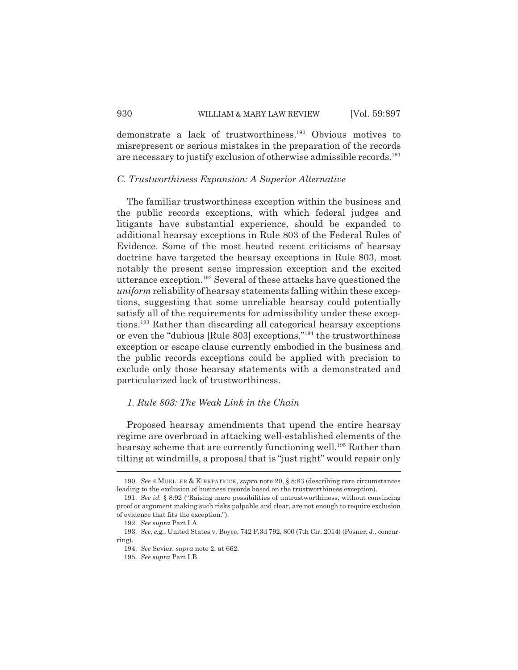demonstrate a lack of trustworthiness.190 Obvious motives to misrepresent or serious mistakes in the preparation of the records are necessary to justify exclusion of otherwise admissible records.<sup>191</sup>

#### *C. Trustworthiness Expansion: A Superior Alternative*

The familiar trustworthiness exception within the business and the public records exceptions, with which federal judges and litigants have substantial experience, should be expanded to additional hearsay exceptions in Rule 803 of the Federal Rules of Evidence. Some of the most heated recent criticisms of hearsay doctrine have targeted the hearsay exceptions in Rule 803, most notably the present sense impression exception and the excited utterance exception.192 Several of these attacks have questioned the *uniform* reliability of hearsay statements falling within these exceptions, suggesting that some unreliable hearsay could potentially satisfy all of the requirements for admissibility under these exceptions.193 Rather than discarding all categorical hearsay exceptions or even the "dubious [Rule 803] exceptions,"194 the trustworthiness exception or escape clause currently embodied in the business and the public records exceptions could be applied with precision to exclude only those hearsay statements with a demonstrated and particularized lack of trustworthiness.

### *1. Rule 803: The Weak Link in the Chain*

Proposed hearsay amendments that upend the entire hearsay regime are overbroad in attacking well-established elements of the hearsay scheme that are currently functioning well.<sup>195</sup> Rather than tilting at windmills, a proposal that is "just right" would repair only

<sup>190.</sup> *See* 4 MUELLER & KIRKPATRICK, *supra* note 20, § 8:83 (describing rare circumstances leading to the exclusion of business records based on the trustworthiness exception).

<sup>191.</sup> *See id.* § 8:92 ("Raising mere possibilities of untrustworthiness, without convincing proof or argument making such risks palpable and clear, are not enough to require exclusion of evidence that fits the exception.").

<sup>192.</sup> *See supra* Part I.A.

<sup>193.</sup> *See, e.g.*, United States v. Boyce, 742 F.3d 792, 800 (7th Cir. 2014) (Posner, J., concurring).

<sup>194.</sup> *See* Sevier, *supra* note 2, at 662.

<sup>195.</sup> *See supra* Part I.B.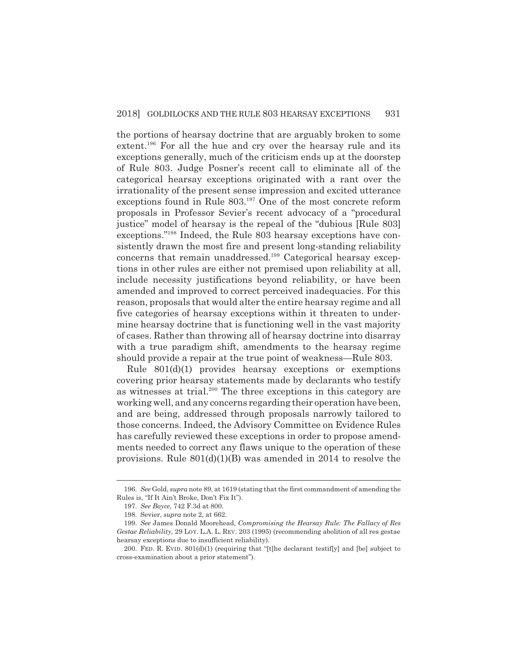the portions of hearsay doctrine that are arguably broken to some extent.<sup>196</sup> For all the hue and cry over the hearsay rule and its exceptions generally, much of the criticism ends up at the doorstep of Rule 803. Judge Posner's recent call to eliminate all of the categorical hearsay exceptions originated with a rant over the irrationality of the present sense impression and excited utterance exceptions found in Rule 803.197 One of the most concrete reform proposals in Professor Sevier's recent advocacy of a "procedural justice" model of hearsay is the repeal of the "dubious [Rule 803] exceptions."198 Indeed, the Rule 803 hearsay exceptions have consistently drawn the most fire and present long-standing reliability concerns that remain unaddressed.199 Categorical hearsay exceptions in other rules are either not premised upon reliability at all, include necessity justifications beyond reliability, or have been amended and improved to correct perceived inadequacies. For this reason, proposals that would alter the entire hearsay regime and all five categories of hearsay exceptions within it threaten to undermine hearsay doctrine that is functioning well in the vast majority of cases. Rather than throwing all of hearsay doctrine into disarray with a true paradigm shift, amendments to the hearsay regime should provide a repair at the true point of weakness—Rule 803.

Rule 801(d)(1) provides hearsay exceptions or exemptions covering prior hearsay statements made by declarants who testify as witnesses at trial.<sup>200</sup> The three exceptions in this category are working well, and any concerns regarding their operation have been, and are being, addressed through proposals narrowly tailored to those concerns. Indeed, the Advisory Committee on Evidence Rules has carefully reviewed these exceptions in order to propose amendments needed to correct any flaws unique to the operation of these provisions. Rule 801(d)(1)(B) was amended in 2014 to resolve the

<sup>196.</sup> *See* Gold, *supra* note 89, at 1619 (stating that the first commandment of amending the Rules is, "If It Ain't Broke, Don't Fix It").

<sup>197.</sup> *See Boyce*, 742 F.3d at 800.

<sup>198.</sup> Sevier, *supra* note 2, at 662.

<sup>199.</sup> *See* James Donald Moorehead, *Compromising the Hearsay Rule: The Fallacy of Res Gestae Reliability*, 29 LOY. L.A. L. REV. 203 (1995) (recommending abolition of all res gestae hearsay exceptions due to insufficient reliability).

<sup>200.</sup> FED. R. EVID. 801(d)(1) (requiring that "[t]he declarant testif[y] and [be] subject to cross-examination about a prior statement").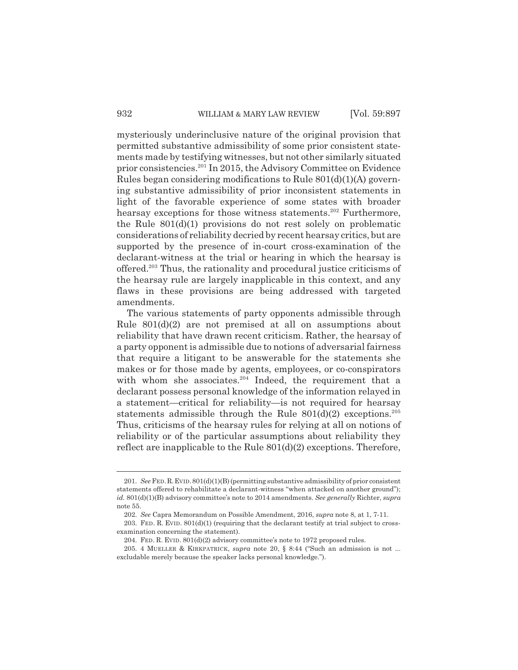mysteriously underinclusive nature of the original provision that permitted substantive admissibility of some prior consistent statements made by testifying witnesses, but not other similarly situated prior consistencies.201 In 2015, the Advisory Committee on Evidence Rules began considering modifications to Rule 801(d)(1)(A) governing substantive admissibility of prior inconsistent statements in light of the favorable experience of some states with broader hearsay exceptions for those witness statements.<sup>202</sup> Furthermore, the Rule 801(d)(1) provisions do not rest solely on problematic considerations of reliability decried by recent hearsay critics, but are supported by the presence of in-court cross-examination of the declarant-witness at the trial or hearing in which the hearsay is offered.203 Thus, the rationality and procedural justice criticisms of the hearsay rule are largely inapplicable in this context, and any flaws in these provisions are being addressed with targeted amendments.

The various statements of party opponents admissible through Rule 801(d)(2) are not premised at all on assumptions about reliability that have drawn recent criticism. Rather, the hearsay of a party opponent is admissible due to notions of adversarial fairness that require a litigant to be answerable for the statements she makes or for those made by agents, employees, or co-conspirators with whom she associates. $204$  Indeed, the requirement that a declarant possess personal knowledge of the information relayed in a statement—critical for reliability—is not required for hearsay statements admissible through the Rule  $801(d)(2)$  exceptions.<sup>205</sup> Thus, criticisms of the hearsay rules for relying at all on notions of reliability or of the particular assumptions about reliability they reflect are inapplicable to the Rule 801(d)(2) exceptions. Therefore,

<sup>201.</sup> *See* FED.R.EVID.801(d)(1)(B) (permitting substantive admissibility of prior consistent statements offered to rehabilitate a declarant-witness "when attacked on another ground"); *id.* 801(d)(1)(B) advisory committee's note to 2014 amendments. *See generally* Richter, *supra* note 55.

<sup>202.</sup> *See* Capra Memorandum on Possible Amendment, 2016, *supra* note 8, at 1, 7-11.

<sup>203.</sup> FED. R. EVID.  $801(d)(1)$  (requiring that the declarant testify at trial subject to crossexamination concerning the statement).

<sup>204.</sup> FED. R. EVID. 801(d)(2) advisory committee's note to 1972 proposed rules.

<sup>205. 4</sup> MUELLER & KIRKPATRICK, *supra* note 20, § 8:44 ("Such an admission is not ... excludable merely because the speaker lacks personal knowledge.").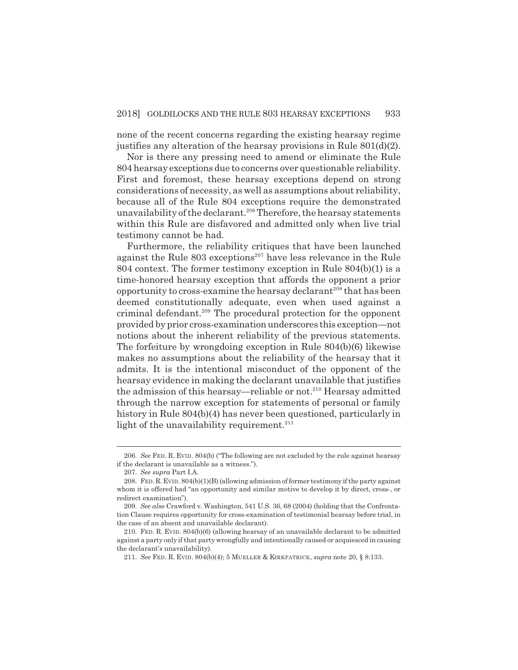none of the recent concerns regarding the existing hearsay regime justifies any alteration of the hearsay provisions in Rule 801(d)(2).

Nor is there any pressing need to amend or eliminate the Rule 804 hearsay exceptions due to concerns over questionable reliability. First and foremost, these hearsay exceptions depend on strong considerations of necessity, as well as assumptions about reliability, because all of the Rule 804 exceptions require the demonstrated unavailability of the declarant.<sup>206</sup> Therefore, the hearsay statements within this Rule are disfavored and admitted only when live trial testimony cannot be had.

Furthermore, the reliability critiques that have been launched against the Rule  $803$  exceptions<sup>207</sup> have less relevance in the Rule 804 context. The former testimony exception in Rule 804(b)(1) is a time-honored hearsay exception that affords the opponent a prior opportunity to cross-examine the hearsay declarant<sup>208</sup> that has been deemed constitutionally adequate, even when used against a criminal defendant.209 The procedural protection for the opponent provided by prior cross-examination underscores this exception—not notions about the inherent reliability of the previous statements. The forfeiture by wrongdoing exception in Rule 804(b)(6) likewise makes no assumptions about the reliability of the hearsay that it admits. It is the intentional misconduct of the opponent of the hearsay evidence in making the declarant unavailable that justifies the admission of this hearsay—reliable or not.<sup>210</sup> Hearsay admitted through the narrow exception for statements of personal or family history in Rule 804(b)(4) has never been questioned, particularly in light of the unavailability requirement. $211$ 

<sup>206.</sup> *See* FED. R. EVID. 804(b) ("The following are not excluded by the rule against hearsay if the declarant is unavailable as a witness.").

<sup>207.</sup> *See supra* Part I.A.

<sup>208.</sup> FED.R.EVID. 804(b)(1)(B) (allowing admission of former testimony if the party against whom it is offered had "an opportunity and similar motive to develop it by direct, cross-, or redirect examination").

<sup>209.</sup> *See also* Crawford v. Washington, 541 U.S. 36, 68 (2004) (holding that the Confrontation Clause requires opportunity for cross-examination of testimonial hearsay before trial, in the case of an absent and unavailable declarant).

<sup>210.</sup> FED. R. EVID. 804(b)(6) (allowing hearsay of an unavailable declarant to be admitted against a party only if that party wrongfully and intentionally caused or acquiesced in causing the declarant's unavailability).

<sup>211.</sup> *See* FED. R. EVID. 804(b)(4); 5 MUELLER & KIRKPATRICK, *supra* note 20, § 8:133.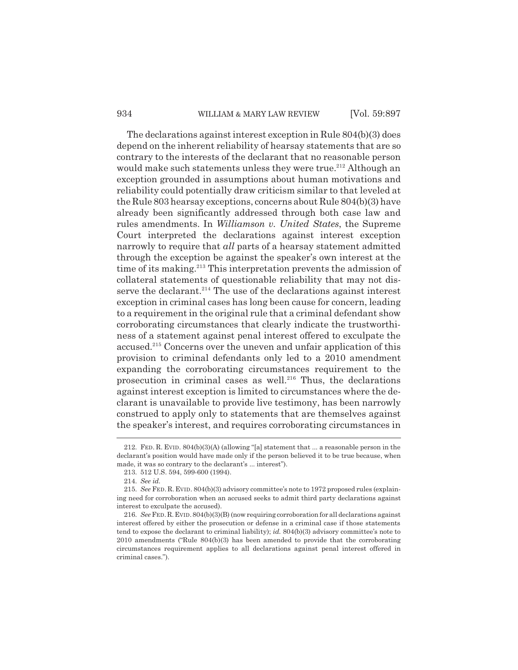### 934 WILLIAM & MARY LAW REVIEW [Vol. 59:897]

The declarations against interest exception in Rule 804(b)(3) does depend on the inherent reliability of hearsay statements that are so contrary to the interests of the declarant that no reasonable person would make such statements unless they were true.<sup>212</sup> Although an exception grounded in assumptions about human motivations and reliability could potentially draw criticism similar to that leveled at the Rule 803 hearsay exceptions, concerns about Rule 804(b)(3) have already been significantly addressed through both case law and rules amendments. In *Williamson v. United States*, the Supreme Court interpreted the declarations against interest exception narrowly to require that *all* parts of a hearsay statement admitted through the exception be against the speaker's own interest at the time of its making.<sup>213</sup> This interpretation prevents the admission of collateral statements of questionable reliability that may not disserve the declarant. $2^{14}$  The use of the declarations against interest exception in criminal cases has long been cause for concern, leading to a requirement in the original rule that a criminal defendant show corroborating circumstances that clearly indicate the trustworthiness of a statement against penal interest offered to exculpate the accused.<sup>215</sup> Concerns over the uneven and unfair application of this provision to criminal defendants only led to a 2010 amendment expanding the corroborating circumstances requirement to the prosecution in criminal cases as well.<sup>216</sup> Thus, the declarations against interest exception is limited to circumstances where the declarant is unavailable to provide live testimony, has been narrowly construed to apply only to statements that are themselves against the speaker's interest, and requires corroborating circumstances in

<sup>212.</sup> FED. R. EVID. 804(b)(3)(A) (allowing "[a] statement that ... a reasonable person in the declarant's position would have made only if the person believed it to be true because, when made, it was so contrary to the declarant's ... interest").

<sup>213. 512</sup> U.S. 594, 599-600 (1994).

<sup>214.</sup> *See id.*

<sup>215.</sup> *See* FED. R. EVID. 804(b)(3) advisory committee's note to 1972 proposed rules (explaining need for corroboration when an accused seeks to admit third party declarations against interest to exculpate the accused).

<sup>216.</sup> *See* FED.R.EVID.804(b)(3)(B) (now requiring corroboration for all declarations against interest offered by either the prosecution or defense in a criminal case if those statements tend to expose the declarant to criminal liability); *id.* 804(b)(3) advisory committee's note to 2010 amendments ("Rule 804(b)(3) has been amended to provide that the corroborating circumstances requirement applies to all declarations against penal interest offered in criminal cases.").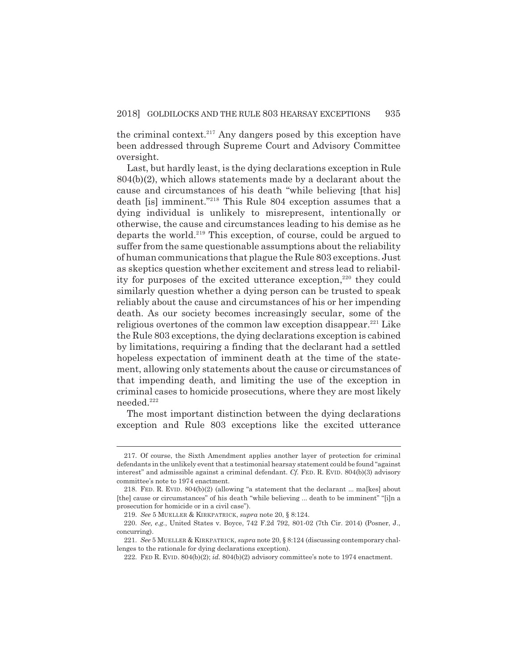the criminal context.<sup>217</sup> Any dangers posed by this exception have been addressed through Supreme Court and Advisory Committee oversight.

Last, but hardly least, is the dying declarations exception in Rule 804(b)(2), which allows statements made by a declarant about the cause and circumstances of his death "while believing [that his] death [is] imminent."218 This Rule 804 exception assumes that a dying individual is unlikely to misrepresent, intentionally or otherwise, the cause and circumstances leading to his demise as he departs the world.<sup>219</sup> This exception, of course, could be argued to suffer from the same questionable assumptions about the reliability of human communications that plague the Rule 803 exceptions. Just as skeptics question whether excitement and stress lead to reliability for purposes of the excited utterance exception, $220$  they could similarly question whether a dying person can be trusted to speak reliably about the cause and circumstances of his or her impending death. As our society becomes increasingly secular, some of the religious overtones of the common law exception disappear.<sup>221</sup> Like the Rule 803 exceptions, the dying declarations exception is cabined by limitations, requiring a finding that the declarant had a settled hopeless expectation of imminent death at the time of the statement, allowing only statements about the cause or circumstances of that impending death, and limiting the use of the exception in criminal cases to homicide prosecutions, where they are most likely needed.222

The most important distinction between the dying declarations exception and Rule 803 exceptions like the excited utterance

<sup>217.</sup> Of course, the Sixth Amendment applies another layer of protection for criminal defendants in the unlikely event that a testimonial hearsay statement could be found "against interest" and admissible against a criminal defendant. *Cf.* FED. R. EVID. 804(b)(3) advisory committee's note to 1974 enactment.

<sup>218.</sup> FED. R. EVID. 804(b)(2) (allowing "a statement that the declarant ... ma[kes] about [the] cause or circumstances" of his death "while believing ... death to be imminent" "[i]n a prosecution for homicide or in a civil case").

<sup>219.</sup> *See* 5 MUELLER & KIRKPATRICK, *supra* note 20, § 8:124.

<sup>220.</sup> *See, e.g.*, United States v. Boyce, 742 F.2d 792, 801-02 (7th Cir. 2014) (Posner, J., concurring).

<sup>221.</sup> *See* 5 MUELLER & KIRKPATRICK, *supra* note 20, § 8:124 (discussing contemporary challenges to the rationale for dying declarations exception).

<sup>222.</sup> FED R. EVID. 804(b)(2); *id.* 804(b)(2) advisory committee's note to 1974 enactment.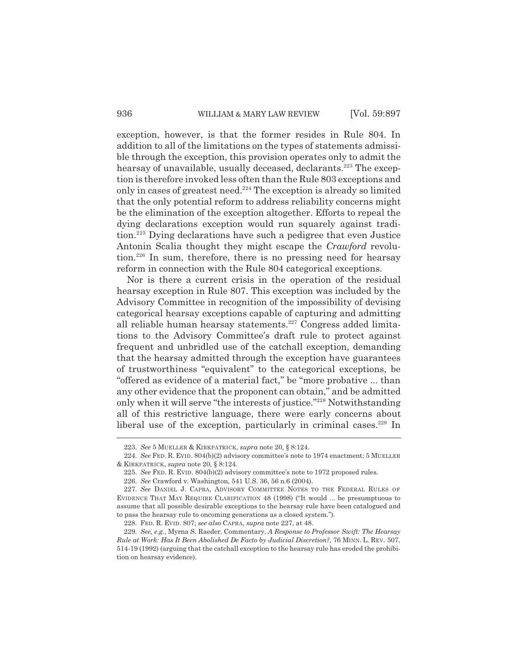exception, however, is that the former resides in Rule 804. In addition to all of the limitations on the types of statements admissible through the exception, this provision operates only to admit the hearsay of unavailable, usually deceased, declarants.<sup>223</sup> The exception is therefore invoked less often than the Rule 803 exceptions and only in cases of greatest need. $224$  The exception is already so limited that the only potential reform to address reliability concerns might be the elimination of the exception altogether. Efforts to repeal the dying declarations exception would run squarely against tradition.225 Dying declarations have such a pedigree that even Justice Antonin Scalia thought they might escape the *Crawford* revolution.226 In sum, therefore, there is no pressing need for hearsay reform in connection with the Rule 804 categorical exceptions.

Nor is there a current crisis in the operation of the residual hearsay exception in Rule 807. This exception was included by the Advisory Committee in recognition of the impossibility of devising categorical hearsay exceptions capable of capturing and admitting all reliable human hearsay statements.<sup>227</sup> Congress added limitations to the Advisory Committee's draft rule to protect against frequent and unbridled use of the catchall exception, demanding that the hearsay admitted through the exception have guarantees of trustworthiness "equivalent" to the categorical exceptions, be "offered as evidence of a material fact," be "more probative ... than any other evidence that the proponent can obtain," and be admitted only when it will serve "the interests of justice."228 Notwithstanding all of this restrictive language, there were early concerns about liberal use of the exception, particularly in criminal cases. $229$  In

<sup>223.</sup> *See* 5 MUELLER & KIRKPATRICK, *supra* note 20, § 8:124.

<sup>224.</sup> *See* FED. R. EVID. 804(b)(2) advisory committee's note to 1974 enactment; 5 MUELLER & KIRKPATRICK, *supra* note 20, § 8:124.

<sup>225.</sup> *See* FED. R. EVID. 804(b)(2) advisory committee's note to 1972 proposed rules.

<sup>226.</sup> *See* Crawford v. Washington, 541 U.S. 36, 56 n.6 (2004).

<sup>227.</sup> *See* DANIEL J. CAPRA, ADVISORY COMMITTEE NOTES TO THE FEDERAL RULES OF EVIDENCE THAT MAY REQUIRE CLARIFICATION 48 (1998) ("It would ... be presumptuous to assume that all possible desirable exceptions to the hearsay rule have been catalogued and to pass the hearsay rule to oncoming generations as a closed system.").

<sup>228.</sup> FED. R. EVID. 807; *see also* CAPRA, *supra* note 227, at 48.

<sup>229.</sup> *See, e.g.*, Myrna S. Raeder, Commentary, *A Response to Professor Swift: The Hearsay Rule at Work: Has It Been Abolished De Facto by Judicial Discretion?*, 76 MINN. L. REV. 507, 514-19 (1992) (arguing that the catchall exception to the hearsay rule has eroded the prohibition on hearsay evidence).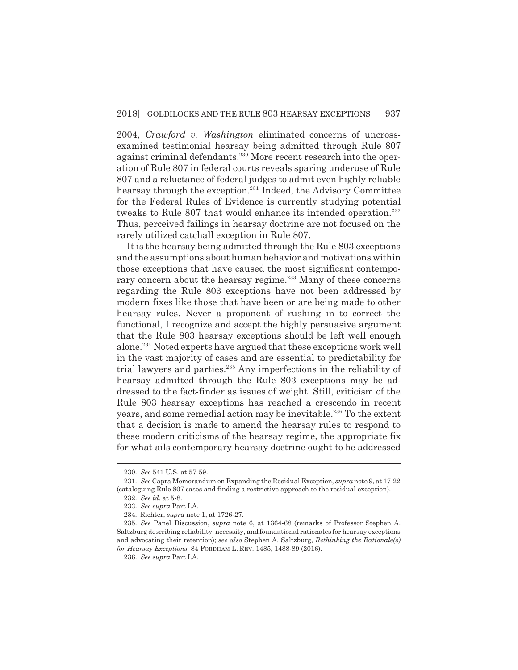2004, *Crawford v. Washington* eliminated concerns of uncrossexamined testimonial hearsay being admitted through Rule 807 against criminal defendants.<sup>230</sup> More recent research into the operation of Rule 807 in federal courts reveals sparing underuse of Rule 807 and a reluctance of federal judges to admit even highly reliable hearsay through the exception.<sup>231</sup> Indeed, the Advisory Committee for the Federal Rules of Evidence is currently studying potential tweaks to Rule 807 that would enhance its intended operation.<sup>232</sup> Thus, perceived failings in hearsay doctrine are not focused on the rarely utilized catchall exception in Rule 807.

It is the hearsay being admitted through the Rule 803 exceptions and the assumptions about human behavior and motivations within those exceptions that have caused the most significant contemporary concern about the hearsay regime.<sup>233</sup> Many of these concerns regarding the Rule 803 exceptions have not been addressed by modern fixes like those that have been or are being made to other hearsay rules. Never a proponent of rushing in to correct the functional, I recognize and accept the highly persuasive argument that the Rule 803 hearsay exceptions should be left well enough alone.234 Noted experts have argued that these exceptions work well in the vast majority of cases and are essential to predictability for trial lawyers and parties.235 Any imperfections in the reliability of hearsay admitted through the Rule 803 exceptions may be addressed to the fact-finder as issues of weight. Still, criticism of the Rule 803 hearsay exceptions has reached a crescendo in recent years, and some remedial action may be inevitable.<sup>236</sup> To the extent that a decision is made to amend the hearsay rules to respond to these modern criticisms of the hearsay regime, the appropriate fix for what ails contemporary hearsay doctrine ought to be addressed

<sup>230.</sup> *See* 541 U.S. at 57-59.

<sup>231.</sup> *See* Capra Memorandum on Expanding the Residual Exception, *supra* note 9, at 17-22 (cataloguing Rule 807 cases and finding a restrictive approach to the residual exception).

<sup>232.</sup> *See id.* at 5-8.

<sup>233.</sup> *See supra* Part I.A.

<sup>234.</sup> Richter, *supra* note 1, at 1726-27.

<sup>235.</sup> *See* Panel Discussion, *supra* note 6, at 1364-68 (remarks of Professor Stephen A. Saltzburg describing reliability, necessity, and foundational rationales for hearsay exceptions and advocating their retention); *see also* Stephen A. Saltzburg, *Rethinking the Rationale(s) for Hearsay Exceptions*, 84 FORDHAM L. REV. 1485, 1488-89 (2016).

<sup>236.</sup> *See supra* Part I.A.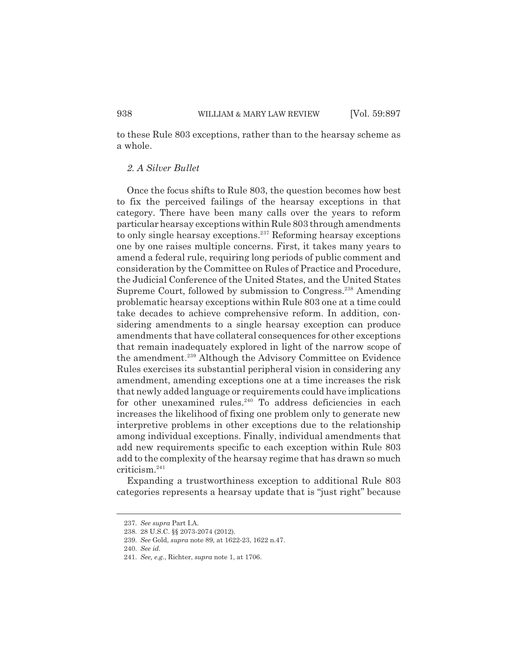to these Rule 803 exceptions, rather than to the hearsay scheme as a whole.

# *2. A Silver Bullet*

Once the focus shifts to Rule 803, the question becomes how best to fix the perceived failings of the hearsay exceptions in that category. There have been many calls over the years to reform particular hearsay exceptions within Rule 803 through amendments to only single hearsay exceptions.<sup>237</sup> Reforming hearsay exceptions one by one raises multiple concerns. First, it takes many years to amend a federal rule, requiring long periods of public comment and consideration by the Committee on Rules of Practice and Procedure, the Judicial Conference of the United States, and the United States Supreme Court, followed by submission to Congress.<sup>238</sup> Amending problematic hearsay exceptions within Rule 803 one at a time could take decades to achieve comprehensive reform. In addition, considering amendments to a single hearsay exception can produce amendments that have collateral consequences for other exceptions that remain inadequately explored in light of the narrow scope of the amendment.<sup>239</sup> Although the Advisory Committee on Evidence Rules exercises its substantial peripheral vision in considering any amendment, amending exceptions one at a time increases the risk that newly added language or requirements could have implications for other unexamined rules.<sup>240</sup> To address deficiencies in each increases the likelihood of fixing one problem only to generate new interpretive problems in other exceptions due to the relationship among individual exceptions. Finally, individual amendments that add new requirements specific to each exception within Rule 803 add to the complexity of the hearsay regime that has drawn so much criticism.241

Expanding a trustworthiness exception to additional Rule 803 categories represents a hearsay update that is "just right" because

<sup>237.</sup> *See supra* Part I.A.

<sup>238. 28</sup> U.S.C. §§ 2073-2074 (2012).

<sup>239.</sup> *See* Gold, *supra* note 89, at 1622-23, 1622 n.47.

<sup>240.</sup> *See id.*

<sup>241.</sup> *See, e.g.*, Richter, *supra* note 1, at 1706.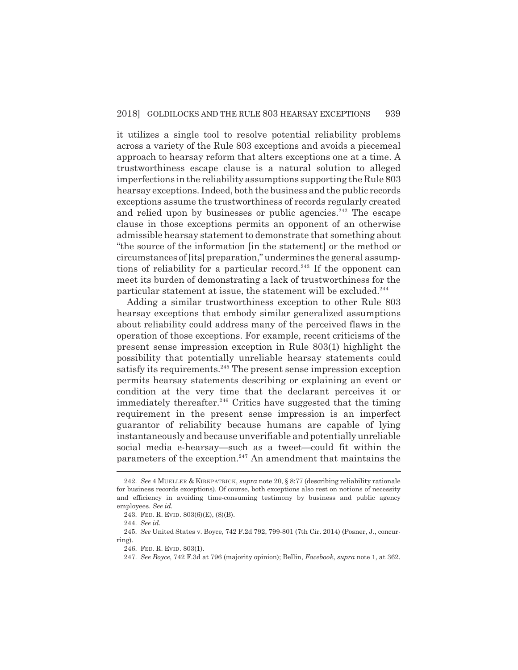it utilizes a single tool to resolve potential reliability problems across a variety of the Rule 803 exceptions and avoids a piecemeal approach to hearsay reform that alters exceptions one at a time. A trustworthiness escape clause is a natural solution to alleged imperfections in the reliability assumptions supporting the Rule 803 hearsay exceptions. Indeed, both the business and the public records exceptions assume the trustworthiness of records regularly created and relied upon by businesses or public agencies.<sup>242</sup> The escape clause in those exceptions permits an opponent of an otherwise admissible hearsay statement to demonstrate that something about "the source of the information [in the statement] or the method or circumstances of [its] preparation," undermines the general assumptions of reliability for a particular record.<sup>243</sup> If the opponent can meet its burden of demonstrating a lack of trustworthiness for the particular statement at issue, the statement will be excluded.<sup>244</sup>

Adding a similar trustworthiness exception to other Rule 803 hearsay exceptions that embody similar generalized assumptions about reliability could address many of the perceived flaws in the operation of those exceptions. For example, recent criticisms of the present sense impression exception in Rule 803(1) highlight the possibility that potentially unreliable hearsay statements could satisfy its requirements.<sup>245</sup> The present sense impression exception permits hearsay statements describing or explaining an event or condition at the very time that the declarant perceives it or immediately thereafter.<sup>246</sup> Critics have suggested that the timing requirement in the present sense impression is an imperfect guarantor of reliability because humans are capable of lying instantaneously and because unverifiable and potentially unreliable social media e-hearsay—such as a tweet—could fit within the parameters of the exception. $247$  An amendment that maintains the

<sup>242.</sup> *See* 4 MUELLER & KIRKPATRICK, *supra* note 20, § 8:77 (describing reliability rationale for business records exceptions). Of course, both exceptions also rest on notions of necessity and efficiency in avoiding time-consuming testimony by business and public agency employees. *See id.*

<sup>243.</sup> FED. R. EVID. 803(6)(E), (8)(B).

<sup>244.</sup> *See id.*

<sup>245.</sup> *See* United States v. Boyce, 742 F.2d 792, 799-801 (7th Cir. 2014) (Posner, J., concurring).

<sup>246.</sup> FED. R. EVID. 803(1).

<sup>247.</sup> *See Boyce*, 742 F.3d at 796 (majority opinion); Bellin, *Facebook*, *supra* note 1, at 362.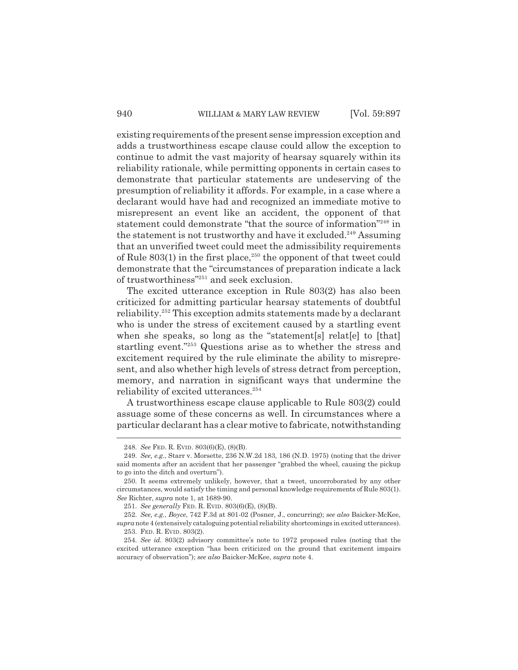#### 940 WILLIAM & MARY LAW REVIEW [Vol. 59:897]

existing requirements of the present sense impression exception and adds a trustworthiness escape clause could allow the exception to continue to admit the vast majority of hearsay squarely within its reliability rationale, while permitting opponents in certain cases to demonstrate that particular statements are undeserving of the presumption of reliability it affords. For example, in a case where a declarant would have had and recognized an immediate motive to misrepresent an event like an accident, the opponent of that statement could demonstrate "that the source of information"<sup>248</sup> in the statement is not trustworthy and have it excluded.<sup>249</sup> Assuming that an unverified tweet could meet the admissibility requirements of Rule  $803(1)$  in the first place,<sup>250</sup> the opponent of that tweet could demonstrate that the "circumstances of preparation indicate a lack of trustworthiness"251 and seek exclusion.

The excited utterance exception in Rule 803(2) has also been criticized for admitting particular hearsay statements of doubtful reliability.252 This exception admits statements made by a declarant who is under the stress of excitement caused by a startling event when she speaks, so long as the "statement<sup>[s]</sup> relat<sup>[e]</sup> to [that] startling event."253 Questions arise as to whether the stress and excitement required by the rule eliminate the ability to misrepresent, and also whether high levels of stress detract from perception, memory, and narration in significant ways that undermine the reliability of excited utterances.<sup>254</sup>

A trustworthiness escape clause applicable to Rule 803(2) could assuage some of these concerns as well. In circumstances where a particular declarant has a clear motive to fabricate, notwithstanding

<sup>248.</sup> *See* FED. R. EVID. 803(6)(E), (8)(B).

<sup>249.</sup> *See, e.g.*, Starr v. Morsette, 236 N.W.2d 183, 186 (N.D. 1975) (noting that the driver said moments after an accident that her passenger "grabbed the wheel, causing the pickup to go into the ditch and overturn").

<sup>250.</sup> It seems extremely unlikely, however, that a tweet, uncorroborated by any other circumstances, would satisfy the timing and personal knowledge requirements of Rule 803(1). *See* Richter, *supra* note 1, at 1689-90.

<sup>251.</sup> *See generally* FED. R. EVID. 803(6)(E), (8)(B).

<sup>252.</sup> *See, e.g.*, *Boyce*, 742 F.3d at 801-02 (Posner, J., concurring); *see also* Baicker-McKee, *supra* note 4 (extensively cataloguing potential reliability shortcomings in excited utterances). 253. FED. R. EVID. 803(2).

<sup>254.</sup> *See id.* 803(2) advisory committee's note to 1972 proposed rules (noting that the excited utterance exception "has been criticized on the ground that excitement impairs accuracy of observation"); *see also* Baicker-McKee, *supra* note 4.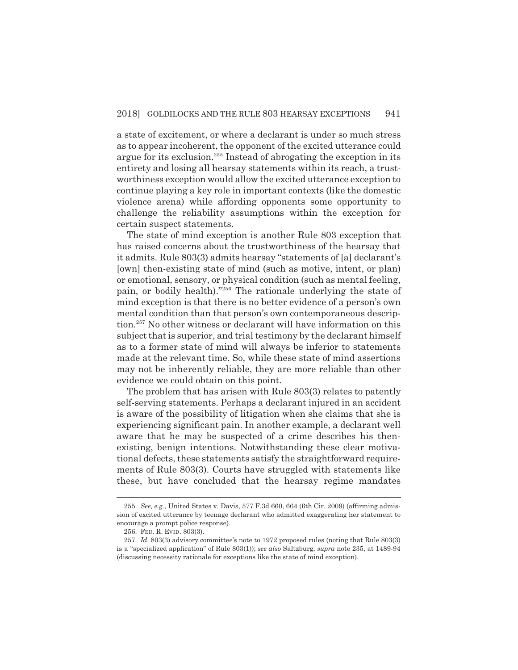a state of excitement, or where a declarant is under so much stress as to appear incoherent, the opponent of the excited utterance could argue for its exclusion.<sup>255</sup> Instead of abrogating the exception in its entirety and losing all hearsay statements within its reach, a trustworthiness exception would allow the excited utterance exception to continue playing a key role in important contexts (like the domestic violence arena) while affording opponents some opportunity to challenge the reliability assumptions within the exception for certain suspect statements.

The state of mind exception is another Rule 803 exception that has raised concerns about the trustworthiness of the hearsay that it admits. Rule 803(3) admits hearsay "statements of [a] declarant's [own] then-existing state of mind (such as motive, intent, or plan) or emotional, sensory, or physical condition (such as mental feeling, pain, or bodily health)."256 The rationale underlying the state of mind exception is that there is no better evidence of a person's own mental condition than that person's own contemporaneous description.257 No other witness or declarant will have information on this subject that is superior, and trial testimony by the declarant himself as to a former state of mind will always be inferior to statements made at the relevant time. So, while these state of mind assertions may not be inherently reliable, they are more reliable than other evidence we could obtain on this point.

The problem that has arisen with Rule 803(3) relates to patently self-serving statements. Perhaps a declarant injured in an accident is aware of the possibility of litigation when she claims that she is experiencing significant pain. In another example, a declarant well aware that he may be suspected of a crime describes his thenexisting, benign intentions. Notwithstanding these clear motivational defects, these statements satisfy the straightforward requirements of Rule 803(3). Courts have struggled with statements like these, but have concluded that the hearsay regime mandates

<sup>255.</sup> *See, e.g.*, United States v. Davis, 577 F.3d 660, 664 (6th Cir. 2009) (affirming admission of excited utterance by teenage declarant who admitted exaggerating her statement to encourage a prompt police response).

<sup>256.</sup> FED. R. EVID. 803(3).

<sup>257.</sup> *Id.* 803(3) advisory committee's note to 1972 proposed rules (noting that Rule 803(3) is a "specialized application" of Rule 803(1)); *see also* Saltzburg, *supra* note 235, at 1489-94 (discussing necessity rationale for exceptions like the state of mind exception).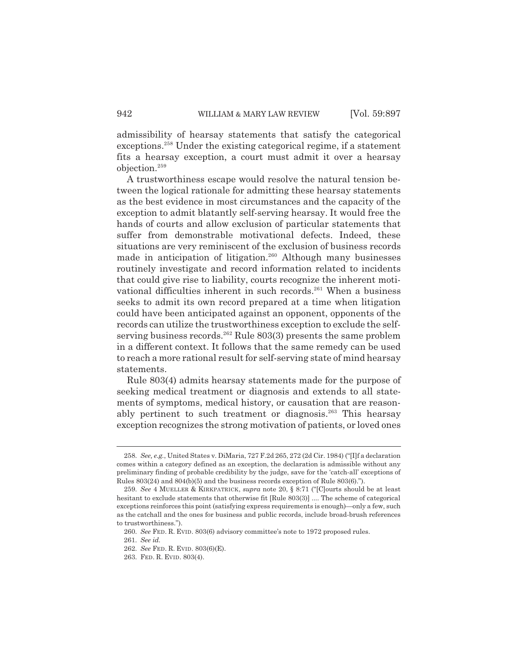admissibility of hearsay statements that satisfy the categorical exceptions.<sup>258</sup> Under the existing categorical regime, if a statement fits a hearsay exception, a court must admit it over a hearsay objection.259

A trustworthiness escape would resolve the natural tension between the logical rationale for admitting these hearsay statements as the best evidence in most circumstances and the capacity of the exception to admit blatantly self-serving hearsay. It would free the hands of courts and allow exclusion of particular statements that suffer from demonstrable motivational defects. Indeed, these situations are very reminiscent of the exclusion of business records made in anticipation of litigation.<sup>260</sup> Although many businesses routinely investigate and record information related to incidents that could give rise to liability, courts recognize the inherent motivational difficulties inherent in such records.<sup>261</sup> When a business seeks to admit its own record prepared at a time when litigation could have been anticipated against an opponent, opponents of the records can utilize the trustworthiness exception to exclude the selfserving business records.<sup>262</sup> Rule  $803(3)$  presents the same problem in a different context. It follows that the same remedy can be used to reach a more rational result for self-serving state of mind hearsay statements.

Rule 803(4) admits hearsay statements made for the purpose of seeking medical treatment or diagnosis and extends to all statements of symptoms, medical history, or causation that are reasonably pertinent to such treatment or diagnosis.<sup>263</sup> This hearsay exception recognizes the strong motivation of patients, or loved ones

<sup>258.</sup> *See, e.g.*, United States v. DiMaria, 727 F.2d 265, 272 (2d Cir. 1984) ("[I]f a declaration comes within a category defined as an exception, the declaration is admissible without any preliminary finding of probable credibility by the judge, save for the 'catch-all' exceptions of Rules 803(24) and 804(b)(5) and the business records exception of Rule 803(6).").

<sup>259.</sup> *See* 4 MUELLER & KIRKPATRICK, *supra* note 20, § 8:71 ("[C]ourts should be at least hesitant to exclude statements that otherwise fit [Rule 803(3)] .... The scheme of categorical exceptions reinforces this point (satisfying express requirements is enough)—only a few, such as the catchall and the ones for business and public records, include broad-brush references to trustworthiness.").

<sup>260.</sup> *See* FED. R. EVID. 803(6) advisory committee's note to 1972 proposed rules.

<sup>261.</sup> *See id.*

<sup>262.</sup> *See* FED. R. EVID. 803(6)(E).

<sup>263.</sup> FED. R. EVID. 803(4).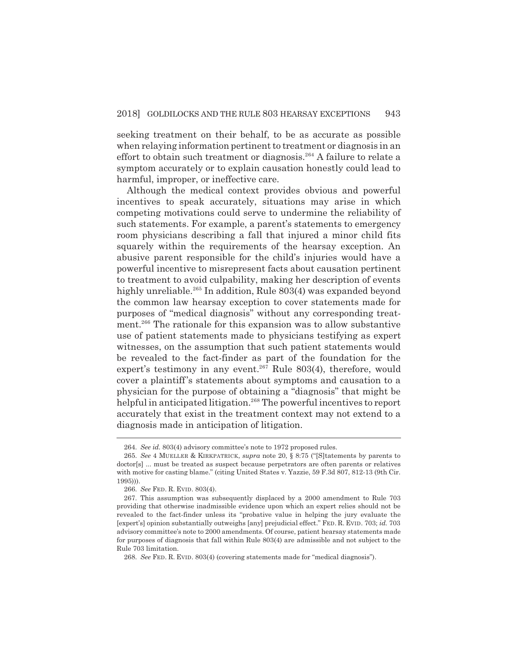seeking treatment on their behalf, to be as accurate as possible when relaying information pertinent to treatment or diagnosis in an effort to obtain such treatment or diagnosis.<sup>264</sup> A failure to relate a symptom accurately or to explain causation honestly could lead to harmful, improper, or ineffective care.

Although the medical context provides obvious and powerful incentives to speak accurately, situations may arise in which competing motivations could serve to undermine the reliability of such statements. For example, a parent's statements to emergency room physicians describing a fall that injured a minor child fits squarely within the requirements of the hearsay exception. An abusive parent responsible for the child's injuries would have a powerful incentive to misrepresent facts about causation pertinent to treatment to avoid culpability, making her description of events highly unreliable.<sup>265</sup> In addition, Rule 803(4) was expanded beyond the common law hearsay exception to cover statements made for purposes of "medical diagnosis" without any corresponding treatment.<sup>266</sup> The rationale for this expansion was to allow substantive use of patient statements made to physicians testifying as expert witnesses, on the assumption that such patient statements would be revealed to the fact-finder as part of the foundation for the expert's testimony in any event.<sup>267</sup> Rule 803(4), therefore, would cover a plaintiff's statements about symptoms and causation to a physician for the purpose of obtaining a "diagnosis" that might be helpful in anticipated litigation.<sup>268</sup> The powerful incentives to report accurately that exist in the treatment context may not extend to a diagnosis made in anticipation of litigation.

<sup>264.</sup> *See id.* 803(4) advisory committee's note to 1972 proposed rules.

<sup>265.</sup> *See* 4 MUELLER & KIRKPATRICK, *supra* note 20, § 8:75 ("[S]tatements by parents to doctor[s] ... must be treated as suspect because perpetrators are often parents or relatives with motive for casting blame." (citing United States v. Yazzie, 59 F.3d 807, 812-13 (9th Cir. 1995))).

<sup>266.</sup> *See* FED. R. EVID. 803(4).

<sup>267.</sup> This assumption was subsequently displaced by a 2000 amendment to Rule 703 providing that otherwise inadmissible evidence upon which an expert relies should not be revealed to the fact-finder unless its "probative value in helping the jury evaluate the [expert's] opinion substantially outweighs [any] prejudicial effect." FED. R. EVID. 703; *id.* 703 advisory committee's note to 2000 amendments. Of course, patient hearsay statements made for purposes of diagnosis that fall within Rule 803(4) are admissible and not subject to the Rule 703 limitation.

<sup>268.</sup> *See* FED. R. EVID. 803(4) (covering statements made for "medical diagnosis").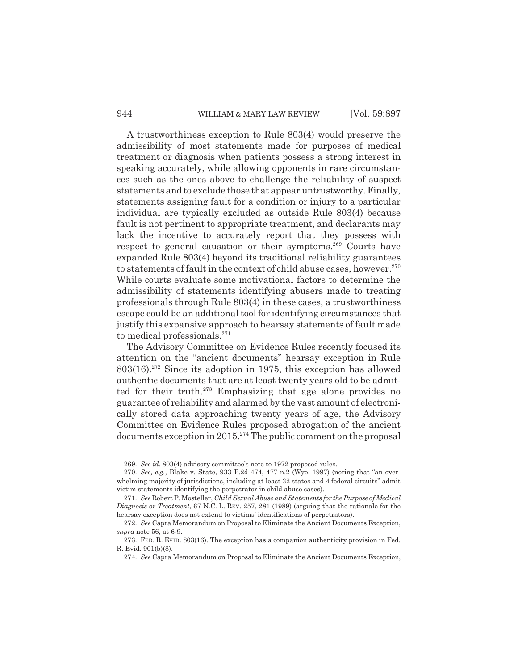#### 944 WILLIAM & MARY LAW REVIEW [Vol. 59:897]

A trustworthiness exception to Rule 803(4) would preserve the admissibility of most statements made for purposes of medical treatment or diagnosis when patients possess a strong interest in speaking accurately, while allowing opponents in rare circumstances such as the ones above to challenge the reliability of suspect statements and to exclude those that appear untrustworthy. Finally, statements assigning fault for a condition or injury to a particular individual are typically excluded as outside Rule 803(4) because fault is not pertinent to appropriate treatment, and declarants may lack the incentive to accurately report that they possess with respect to general causation or their symptoms.<sup>269</sup> Courts have expanded Rule 803(4) beyond its traditional reliability guarantees to statements of fault in the context of child abuse cases, however.<sup>270</sup> While courts evaluate some motivational factors to determine the admissibility of statements identifying abusers made to treating professionals through Rule 803(4) in these cases, a trustworthiness escape could be an additional tool for identifying circumstances that justify this expansive approach to hearsay statements of fault made to medical professionals.<sup>271</sup>

The Advisory Committee on Evidence Rules recently focused its attention on the "ancient documents" hearsay exception in Rule  $803(16).^{272}$  Since its adoption in 1975, this exception has allowed authentic documents that are at least twenty years old to be admitted for their truth.<sup>273</sup> Emphasizing that age alone provides no guarantee of reliability and alarmed by the vast amount of electronically stored data approaching twenty years of age, the Advisory Committee on Evidence Rules proposed abrogation of the ancient documents exception in 2015.<sup>274</sup> The public comment on the proposal

<sup>269.</sup> *See id.* 803(4) advisory committee's note to 1972 proposed rules.

<sup>270.</sup> *See, e.g.*, Blake v. State, 933 P.2d 474, 477 n.2 (Wyo. 1997) (noting that "an overwhelming majority of jurisdictions, including at least 32 states and 4 federal circuits" admit victim statements identifying the perpetrator in child abuse cases).

<sup>271.</sup> *See* Robert P. Mosteller, *Child Sexual Abuse and Statements for the Purpose of Medical Diagnosis or Treatment*, 67 N.C. L. REV. 257, 281 (1989) (arguing that the rationale for the hearsay exception does not extend to victims' identifications of perpetrators).

<sup>272.</sup> *See* Capra Memorandum on Proposal to Eliminate the Ancient Documents Exception, *supra* note 56, at 6-9.

<sup>273.</sup> FED. R. EVID. 803(16). The exception has a companion authenticity provision in Fed. R. Evid. 901(b)(8).

<sup>274.</sup> *See* Capra Memorandum on Proposal to Eliminate the Ancient Documents Exception,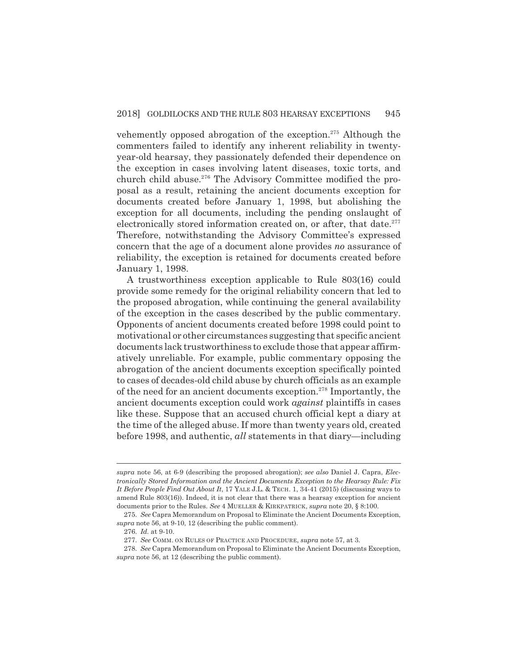vehemently opposed abrogation of the exception.275 Although the commenters failed to identify any inherent reliability in twentyyear-old hearsay, they passionately defended their dependence on the exception in cases involving latent diseases, toxic torts, and church child abuse.<sup>276</sup> The Advisory Committee modified the proposal as a result, retaining the ancient documents exception for documents created before January 1, 1998, but abolishing the exception for all documents, including the pending onslaught of electronically stored information created on, or after, that date.<sup>277</sup> Therefore, notwithstanding the Advisory Committee's expressed concern that the age of a document alone provides *no* assurance of reliability, the exception is retained for documents created before January 1, 1998.

A trustworthiness exception applicable to Rule 803(16) could provide some remedy for the original reliability concern that led to the proposed abrogation, while continuing the general availability of the exception in the cases described by the public commentary. Opponents of ancient documents created before 1998 could point to motivational or other circumstances suggesting that specific ancient documents lack trustworthiness to exclude those that appear affirmatively unreliable. For example, public commentary opposing the abrogation of the ancient documents exception specifically pointed to cases of decades-old child abuse by church officials as an example of the need for an ancient documents exception.278 Importantly, the ancient documents exception could work *against* plaintiffs in cases like these. Suppose that an accused church official kept a diary at the time of the alleged abuse. If more than twenty years old, created before 1998, and authentic, *all* statements in that diary—including

*supra* note 56, at 6-9 (describing the proposed abrogation); *see also* Daniel J. Capra, *Electronically Stored Information and the Ancient Documents Exception to the Hearsay Rule: Fix It Before People Find Out About It*, 17 YALE J.L. & TECH. 1, 34-41 (2015) (discussing ways to amend Rule 803(16)). Indeed, it is not clear that there was a hearsay exception for ancient documents prior to the Rules. *See* 4 MUELLER & KIRKPATRICK, *supra* note 20, § 8:100.

<sup>275.</sup> *See* Capra Memorandum on Proposal to Eliminate the Ancient Documents Exception, *supra* note 56, at 9-10, 12 (describing the public comment).

<sup>276.</sup> *Id.* at 9-10.

<sup>277.</sup> *See* COMM. ON RULES OF PRACTICE AND PROCEDURE, *supra* note 57, at 3.

<sup>278.</sup> *See* Capra Memorandum on Proposal to Eliminate the Ancient Documents Exception, *supra* note 56, at 12 (describing the public comment).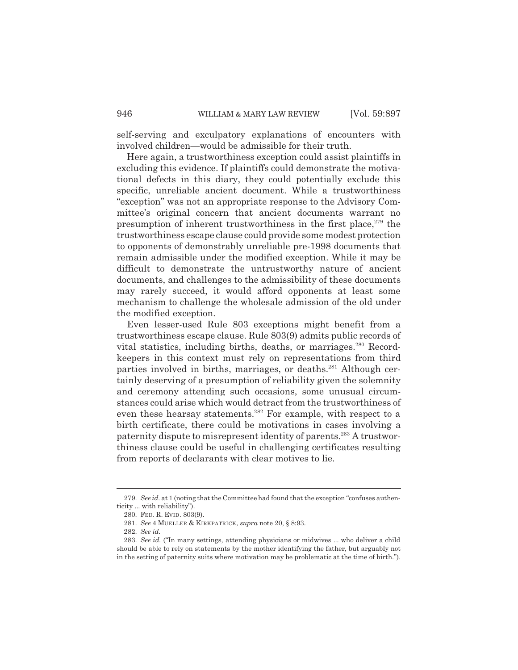self-serving and exculpatory explanations of encounters with involved children—would be admissible for their truth.

Here again, a trustworthiness exception could assist plaintiffs in excluding this evidence. If plaintiffs could demonstrate the motivational defects in this diary, they could potentially exclude this specific, unreliable ancient document. While a trustworthiness "exception" was not an appropriate response to the Advisory Committee's original concern that ancient documents warrant no presumption of inherent trustworthiness in the first place, $279$  the trustworthiness escape clause could provide some modest protection to opponents of demonstrably unreliable pre-1998 documents that remain admissible under the modified exception. While it may be difficult to demonstrate the untrustworthy nature of ancient documents, and challenges to the admissibility of these documents may rarely succeed, it would afford opponents at least some mechanism to challenge the wholesale admission of the old under the modified exception.

Even lesser-used Rule 803 exceptions might benefit from a trustworthiness escape clause. Rule 803(9) admits public records of vital statistics, including births, deaths, or marriages.<sup>280</sup> Recordkeepers in this context must rely on representations from third parties involved in births, marriages, or deaths.<sup>281</sup> Although certainly deserving of a presumption of reliability given the solemnity and ceremony attending such occasions, some unusual circumstances could arise which would detract from the trustworthiness of even these hearsay statements.<sup>282</sup> For example, with respect to a birth certificate, there could be motivations in cases involving a paternity dispute to misrepresent identity of parents.283 A trustworthiness clause could be useful in challenging certificates resulting from reports of declarants with clear motives to lie.

<sup>279.</sup> *See id.* at 1 (noting that the Committee had found that the exception "confuses authenticity ... with reliability").

<sup>280.</sup> FED. R. EVID. 803(9).

<sup>281.</sup> *See* 4 MUELLER & KIRKPATRICK, *supra* note 20, § 8:93.

<sup>282.</sup> *See id.*

<sup>283.</sup> *See id.* ("In many settings, attending physicians or midwives ... who deliver a child should be able to rely on statements by the mother identifying the father, but arguably not in the setting of paternity suits where motivation may be problematic at the time of birth.").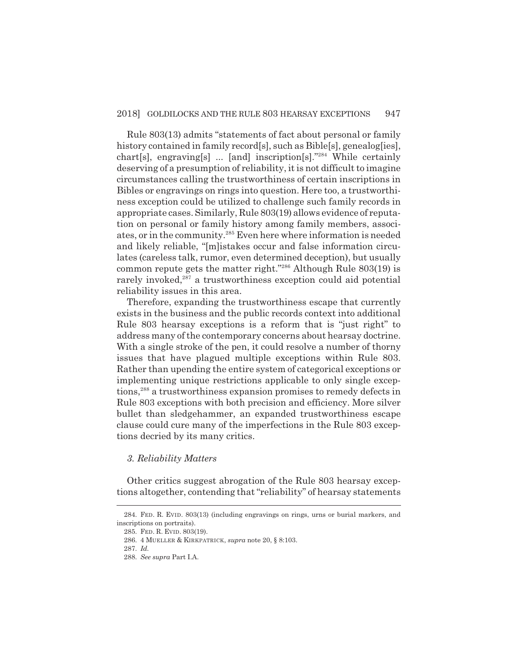Rule 803(13) admits "statements of fact about personal or family history contained in family record[s], such as Bible[s], genealog[ies], chart[s], engraving[s] ... [and] inscription[s]."284 While certainly deserving of a presumption of reliability, it is not difficult to imagine circumstances calling the trustworthiness of certain inscriptions in Bibles or engravings on rings into question. Here too, a trustworthiness exception could be utilized to challenge such family records in appropriate cases. Similarly, Rule 803(19) allows evidence of reputation on personal or family history among family members, associates, or in the community.285 Even here where information is needed and likely reliable, "[m]istakes occur and false information circulates (careless talk, rumor, even determined deception), but usually common repute gets the matter right."286 Although Rule 803(19) is rarely invoked, $287$  a trustworthiness exception could aid potential reliability issues in this area.

Therefore, expanding the trustworthiness escape that currently exists in the business and the public records context into additional Rule 803 hearsay exceptions is a reform that is "just right" to address many of the contemporary concerns about hearsay doctrine. With a single stroke of the pen, it could resolve a number of thorny issues that have plagued multiple exceptions within Rule 803. Rather than upending the entire system of categorical exceptions or implementing unique restrictions applicable to only single exceptions,288 a trustworthiness expansion promises to remedy defects in Rule 803 exceptions with both precision and efficiency. More silver bullet than sledgehammer, an expanded trustworthiness escape clause could cure many of the imperfections in the Rule 803 exceptions decried by its many critics.

## *3. Reliability Matters*

Other critics suggest abrogation of the Rule 803 hearsay exceptions altogether, contending that "reliability" of hearsay statements

<sup>284.</sup> FED. R. EVID. 803(13) (including engravings on rings, urns or burial markers, and inscriptions on portraits).

<sup>285.</sup> FED. R. EVID. 803(19).

<sup>286. 4</sup> MUELLER & KIRKPATRICK, *supra* note 20, § 8:103.

<sup>287.</sup> *Id.*

<sup>288.</sup> *See supra* Part I.A.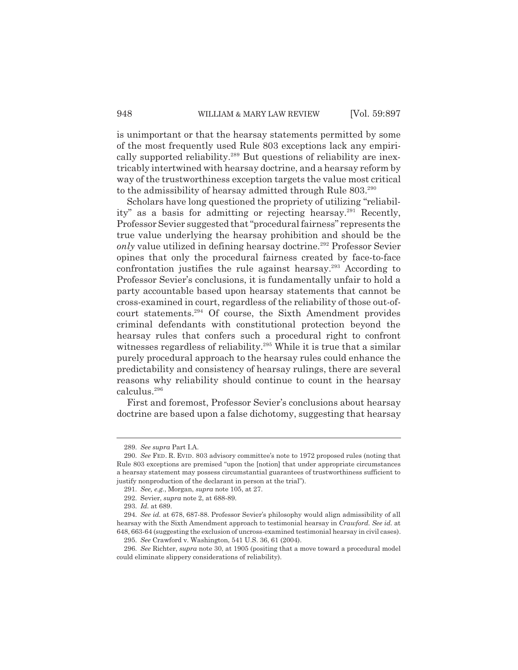is unimportant or that the hearsay statements permitted by some of the most frequently used Rule 803 exceptions lack any empirically supported reliability.<sup>289</sup> But questions of reliability are inextricably intertwined with hearsay doctrine, and a hearsay reform by way of the trustworthiness exception targets the value most critical to the admissibility of hearsay admitted through Rule 803.<sup>290</sup>

Scholars have long questioned the propriety of utilizing "reliability" as a basis for admitting or rejecting hearsay.<sup>291</sup> Recently, Professor Sevier suggested that "procedural fairness" represents the true value underlying the hearsay prohibition and should be the *only* value utilized in defining hearsay doctrine.<sup>292</sup> Professor Sevier opines that only the procedural fairness created by face-to-face confrontation justifies the rule against hearsay.<sup>293</sup> According to Professor Sevier's conclusions, it is fundamentally unfair to hold a party accountable based upon hearsay statements that cannot be cross-examined in court, regardless of the reliability of those out-ofcourt statements.294 Of course, the Sixth Amendment provides criminal defendants with constitutional protection beyond the hearsay rules that confers such a procedural right to confront witnesses regardless of reliability.<sup>295</sup> While it is true that a similar purely procedural approach to the hearsay rules could enhance the predictability and consistency of hearsay rulings, there are several reasons why reliability should continue to count in the hearsay calculus.296

First and foremost, Professor Sevier's conclusions about hearsay doctrine are based upon a false dichotomy, suggesting that hearsay

<sup>289.</sup> *See supra* Part I.A.

<sup>290.</sup> *See* FED. R. EVID. 803 advisory committee's note to 1972 proposed rules (noting that Rule 803 exceptions are premised "upon the [notion] that under appropriate circumstances a hearsay statement may possess circumstantial guarantees of trustworthiness sufficient to justify nonproduction of the declarant in person at the trial").

<sup>291.</sup> *See, e.g.*, Morgan, *supra* note 105, at 27.

<sup>292.</sup> Sevier, *supra* note 2, at 688-89.

<sup>293.</sup> *Id.* at 689.

<sup>294.</sup> *See id.* at 678, 687-88. Professor Sevier's philosophy would align admissibility of all hearsay with the Sixth Amendment approach to testimonial hearsay in *Crawford. See id.* at 648, 663-64 (suggesting the exclusion of uncross-examined testimonial hearsay in civil cases). 295. *See* Crawford v. Washington, 541 U.S. 36, 61 (2004).

<sup>296.</sup> *See* Richter, *supra* note 30, at 1905 (positing that a move toward a procedural model could eliminate slippery considerations of reliability).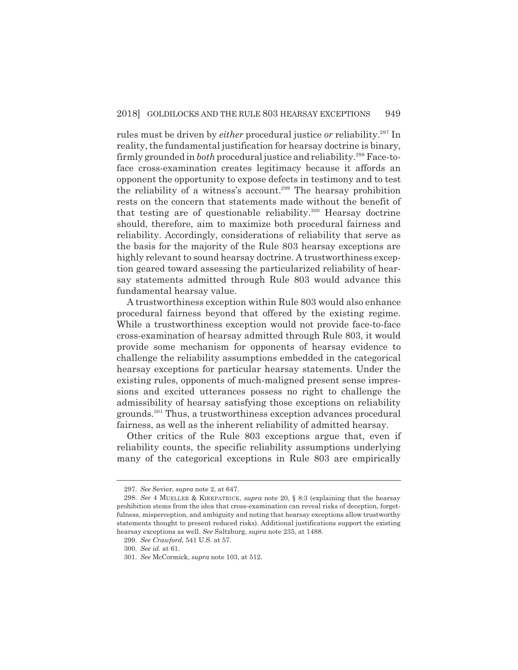rules must be driven by *either* procedural justice *or* reliability.297 In reality, the fundamental justification for hearsay doctrine is binary, firmly grounded in *both* procedural justice and reliability.<sup>298</sup> Face-toface cross-examination creates legitimacy because it affords an opponent the opportunity to expose defects in testimony and to test the reliability of a witness's account.<sup>299</sup> The hearsay prohibition rests on the concern that statements made without the benefit of that testing are of questionable reliability.300 Hearsay doctrine should, therefore, aim to maximize both procedural fairness and reliability. Accordingly, considerations of reliability that serve as the basis for the majority of the Rule 803 hearsay exceptions are highly relevant to sound hearsay doctrine. A trustworthiness exception geared toward assessing the particularized reliability of hearsay statements admitted through Rule 803 would advance this fundamental hearsay value.

A trustworthiness exception within Rule 803 would also enhance procedural fairness beyond that offered by the existing regime. While a trustworthiness exception would not provide face-to-face cross-examination of hearsay admitted through Rule 803, it would provide some mechanism for opponents of hearsay evidence to challenge the reliability assumptions embedded in the categorical hearsay exceptions for particular hearsay statements. Under the existing rules, opponents of much-maligned present sense impressions and excited utterances possess no right to challenge the admissibility of hearsay satisfying those exceptions on reliability grounds.301 Thus, a trustworthiness exception advances procedural fairness, as well as the inherent reliability of admitted hearsay.

Other critics of the Rule 803 exceptions argue that, even if reliability counts, the specific reliability assumptions underlying many of the categorical exceptions in Rule 803 are empirically

<sup>297.</sup> *See* Sevier, *supra* note 2, at 647.

<sup>298.</sup> *See* 4 MUELLER & KIRKPATRICK, *supra* note 20, § 8:3 (explaining that the hearsay prohibition stems from the idea that cross-examination can reveal risks of deception, forgetfulness, misperception, and ambiguity and noting that hearsay exceptions allow trustworthy statements thought to present reduced risks). Additional justifications support the existing hearsay exceptions as well. *See* Saltzburg, *supra* note 235, at 1488.

<sup>299.</sup> *See Crawford*, 541 U.S. at 57.

<sup>300.</sup> *See id.* at 61.

<sup>301.</sup> *See* McCormick, *supra* note 103, at 512.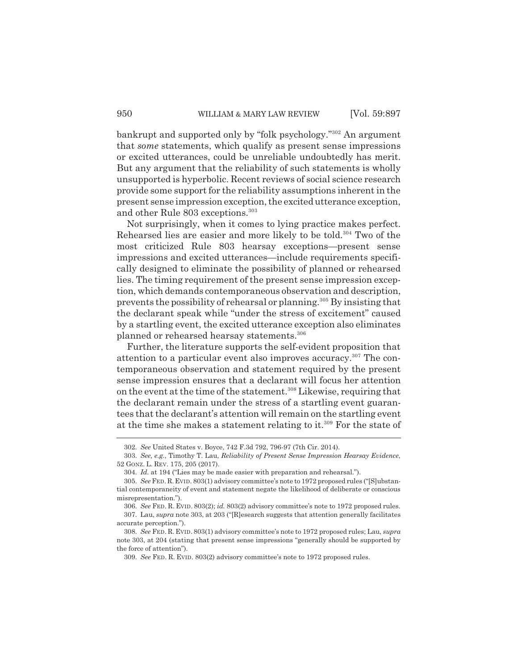bankrupt and supported only by "folk psychology."302 An argument that *some* statements, which qualify as present sense impressions or excited utterances, could be unreliable undoubtedly has merit. But any argument that the reliability of such statements is wholly unsupported is hyperbolic. Recent reviews of social science research provide some support for the reliability assumptions inherent in the present sense impression exception, the excited utterance exception, and other Rule 803 exceptions.<sup>303</sup>

Not surprisingly, when it comes to lying practice makes perfect. Rehearsed lies are easier and more likely to be told.<sup>304</sup> Two of the most criticized Rule 803 hearsay exceptions—present sense impressions and excited utterances—include requirements specifically designed to eliminate the possibility of planned or rehearsed lies. The timing requirement of the present sense impression exception, which demands contemporaneous observation and description, prevents the possibility of rehearsal or planning.305 By insisting that the declarant speak while "under the stress of excitement" caused by a startling event, the excited utterance exception also eliminates planned or rehearsed hearsay statements.<sup>306</sup>

Further, the literature supports the self-evident proposition that attention to a particular event also improves accuracy.<sup>307</sup> The contemporaneous observation and statement required by the present sense impression ensures that a declarant will focus her attention on the event at the time of the statement.308 Likewise, requiring that the declarant remain under the stress of a startling event guarantees that the declarant's attention will remain on the startling event at the time she makes a statement relating to it.<sup>309</sup> For the state of

<sup>302.</sup> *See* United States v. Boyce, 742 F.3d 792, 796-97 (7th Cir. 2014).

<sup>303.</sup> *See, e.g.*, Timothy T. Lau, *Reliability of Present Sense Impression Hearsay Evidence*, 52 GONZ. L. REV. 175, 205 (2017).

<sup>304.</sup> *Id.* at 194 ("Lies may be made easier with preparation and rehearsal.").

<sup>305.</sup> *See* FED.R.EVID. 803(1) advisory committee's note to 1972 proposed rules ("[S]ubstantial contemporaneity of event and statement negate the likelihood of deliberate or conscious misrepresentation.").

<sup>306.</sup> *See* FED. R. EVID. 803(2); *id.* 803(2) advisory committee's note to 1972 proposed rules. 307. Lau, *supra* note 303, at 203 ("[R]esearch suggests that attention generally facilitates accurate perception.").

<sup>308.</sup> *See* FED. R. EVID. 803(1) advisory committee's note to 1972 proposed rules; Lau, *supra* note 303, at 204 (stating that present sense impressions "generally should be supported by the force of attention").

<sup>309.</sup> *See* FED. R. EVID. 803(2) advisory committee's note to 1972 proposed rules.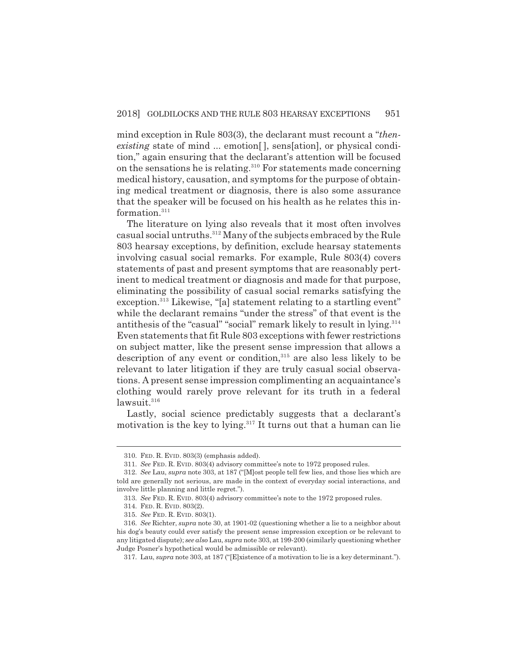mind exception in Rule 803(3), the declarant must recount a "*thenexisting* state of mind ... emotion , sens [ation], or physical condition," again ensuring that the declarant's attention will be focused on the sensations he is relating.310 For statements made concerning medical history, causation, and symptoms for the purpose of obtaining medical treatment or diagnosis, there is also some assurance that the speaker will be focused on his health as he relates this information.<sup>311</sup>

The literature on lying also reveals that it most often involves casual social untruths.312 Many of the subjects embraced by the Rule 803 hearsay exceptions, by definition, exclude hearsay statements involving casual social remarks. For example, Rule 803(4) covers statements of past and present symptoms that are reasonably pertinent to medical treatment or diagnosis and made for that purpose, eliminating the possibility of casual social remarks satisfying the exception.<sup>313</sup> Likewise, "[a] statement relating to a startling event" while the declarant remains "under the stress" of that event is the antithesis of the "casual" "social" remark likely to result in lying.<sup>314</sup> Even statements that fit Rule 803 exceptions with fewer restrictions on subject matter, like the present sense impression that allows a description of any event or condition, $315$  are also less likely to be relevant to later litigation if they are truly casual social observations. A present sense impression complimenting an acquaintance's clothing would rarely prove relevant for its truth in a federal  $lawsuit.<sup>316</sup>$ 

Lastly, social science predictably suggests that a declarant's motivation is the key to lying. $317$  It turns out that a human can lie

<sup>310.</sup> FED. R. EVID. 803(3) (emphasis added).

<sup>311.</sup> *See* FED. R. EVID. 803(4) advisory committee's note to 1972 proposed rules.

<sup>312.</sup> *See* Lau, *supra* note 303, at 187 ("[M]ost people tell few lies, and those lies which are told are generally not serious, are made in the context of everyday social interactions, and involve little planning and little regret.").

<sup>313.</sup> *See* FED. R. EVID. 803(4) advisory committee's note to the 1972 proposed rules.

<sup>314.</sup> FED. R. EVID. 803(2).

<sup>315.</sup> *See* FED. R. EVID. 803(1).

<sup>316.</sup> *See* Richter, *supra* note 30, at 1901-02 (questioning whether a lie to a neighbor about his dog's beauty could ever satisfy the present sense impression exception or be relevant to any litigated dispute); *see also* Lau, *supra* note 303, at 199-200 (similarly questioning whether Judge Posner's hypothetical would be admissible or relevant).

<sup>317.</sup> Lau, *supra* note 303, at 187 ("[E]xistence of a motivation to lie is a key determinant.").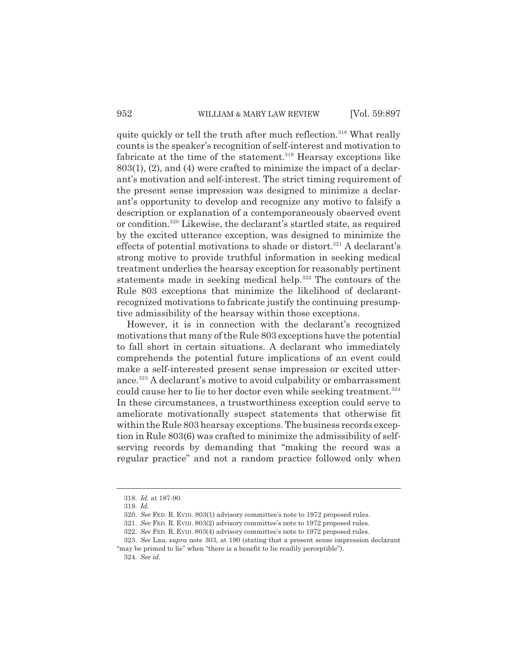quite quickly or tell the truth after much reflection.<sup>318</sup> What really counts is the speaker's recognition of self-interest and motivation to fabricate at the time of the statement.<sup>319</sup> Hearsay exceptions like 803(1), (2), and (4) were crafted to minimize the impact of a declarant's motivation and self-interest. The strict timing requirement of the present sense impression was designed to minimize a declarant's opportunity to develop and recognize any motive to falsify a description or explanation of a contemporaneously observed event or condition.320 Likewise, the declarant's startled state, as required by the excited utterance exception, was designed to minimize the effects of potential motivations to shade or distort.<sup>321</sup> A declarant's strong motive to provide truthful information in seeking medical treatment underlies the hearsay exception for reasonably pertinent statements made in seeking medical help.<sup>322</sup> The contours of the Rule 803 exceptions that minimize the likelihood of declarantrecognized motivations to fabricate justify the continuing presumptive admissibility of the hearsay within those exceptions.

However, it is in connection with the declarant's recognized motivations that many of the Rule 803 exceptions have the potential to fall short in certain situations. A declarant who immediately comprehends the potential future implications of an event could make a self-interested present sense impression or excited utterance.323 A declarant's motive to avoid culpability or embarrassment could cause her to lie to her doctor even while seeking treatment.<sup>324</sup> In these circumstances, a trustworthiness exception could serve to ameliorate motivationally suspect statements that otherwise fit within the Rule 803 hearsay exceptions. The business records exception in Rule 803(6) was crafted to minimize the admissibility of selfserving records by demanding that "making the record was a regular practice" and not a random practice followed only when

<sup>318.</sup> *Id.* at 187-90.

<sup>319.</sup> *Id.*

<sup>320.</sup> *See* FED. R. EVID. 803(1) advisory committee's note to 1972 proposed rules.

<sup>321.</sup> *See* FED. R. EVID. 803(2) advisory committee's note to 1972 proposed rules.

<sup>322.</sup> *See* FED. R. EVID. 803(4) advisory committee's note to 1972 proposed rules.

<sup>323.</sup> *See* Lau, *supra* note 303, at 190 (stating that a present sense impression declarant "may be primed to lie" when "there is a benefit to lie readily perceptible").

<sup>324.</sup> *See id.*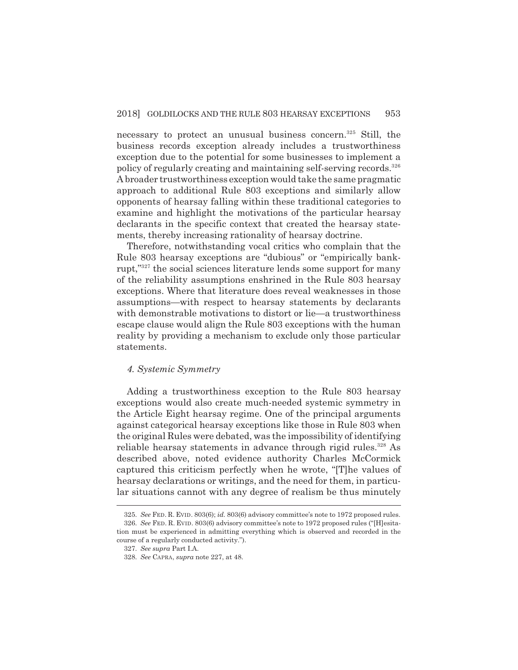necessary to protect an unusual business concern.<sup>325</sup> Still, the business records exception already includes a trustworthiness exception due to the potential for some businesses to implement a policy of regularly creating and maintaining self-serving records.326 A broader trustworthiness exception would take the same pragmatic approach to additional Rule 803 exceptions and similarly allow opponents of hearsay falling within these traditional categories to examine and highlight the motivations of the particular hearsay declarants in the specific context that created the hearsay statements, thereby increasing rationality of hearsay doctrine.

Therefore, notwithstanding vocal critics who complain that the Rule 803 hearsay exceptions are "dubious" or "empirically bankrupt,"327 the social sciences literature lends some support for many of the reliability assumptions enshrined in the Rule 803 hearsay exceptions. Where that literature does reveal weaknesses in those assumptions—with respect to hearsay statements by declarants with demonstrable motivations to distort or lie—a trustworthiness escape clause would align the Rule 803 exceptions with the human reality by providing a mechanism to exclude only those particular statements.

# *4. Systemic Symmetry*

Adding a trustworthiness exception to the Rule 803 hearsay exceptions would also create much-needed systemic symmetry in the Article Eight hearsay regime. One of the principal arguments against categorical hearsay exceptions like those in Rule 803 when the original Rules were debated, was the impossibility of identifying reliable hearsay statements in advance through rigid rules.<sup>328</sup> As described above, noted evidence authority Charles McCormick captured this criticism perfectly when he wrote, "[T]he values of hearsay declarations or writings, and the need for them, in particular situations cannot with any degree of realism be thus minutely

<sup>325.</sup> *See* FED. R. EVID. 803(6); *id.* 803(6) advisory committee's note to 1972 proposed rules. 326. *See* FED. R. EVID. 803(6) advisory committee's note to 1972 proposed rules ("[H]esitation must be experienced in admitting everything which is observed and recorded in the course of a regularly conducted activity.").

<sup>327.</sup> *See supra* Part I.A.

<sup>328.</sup> *See* CAPRA, *supra* note 227, at 48.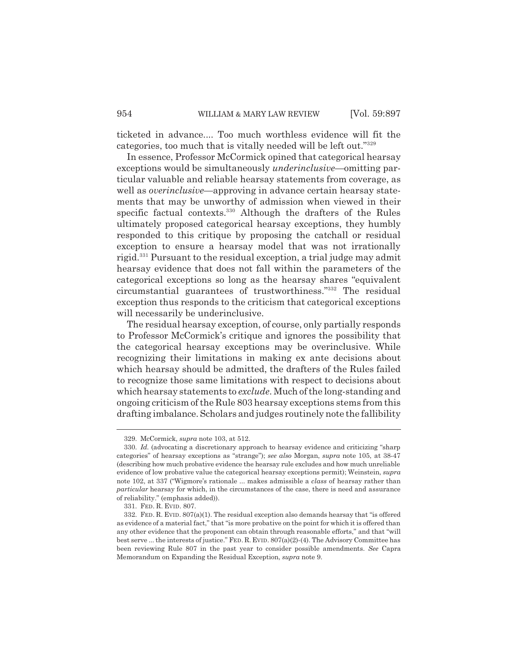ticketed in advance.... Too much worthless evidence will fit the categories, too much that is vitally needed will be left out."329

In essence, Professor McCormick opined that categorical hearsay exceptions would be simultaneously *underinclusive*—omitting particular valuable and reliable hearsay statements from coverage, as well as *overinclusive—*approving in advance certain hearsay statements that may be unworthy of admission when viewed in their specific factual contexts.330 Although the drafters of the Rules ultimately proposed categorical hearsay exceptions, they humbly responded to this critique by proposing the catchall or residual exception to ensure a hearsay model that was not irrationally rigid.331 Pursuant to the residual exception, a trial judge may admit hearsay evidence that does not fall within the parameters of the categorical exceptions so long as the hearsay shares "equivalent circumstantial guarantees of trustworthiness."332 The residual exception thus responds to the criticism that categorical exceptions will necessarily be underinclusive.

The residual hearsay exception, of course, only partially responds to Professor McCormick's critique and ignores the possibility that the categorical hearsay exceptions may be overinclusive. While recognizing their limitations in making ex ante decisions about which hearsay should be admitted, the drafters of the Rules failed to recognize those same limitations with respect to decisions about which hearsay statements to *exclude*. Much of the long-standing and ongoing criticism of the Rule 803 hearsay exceptions stems from this drafting imbalance. Scholars and judges routinely note the fallibility

<sup>329.</sup> McCormick, *supra* note 103, at 512.

<sup>330.</sup> *Id.* (advocating a discretionary approach to hearsay evidence and criticizing "sharp categories" of hearsay exceptions as "strange"); *see also* Morgan, *supra* note 105, at 38-47 (describing how much probative evidence the hearsay rule excludes and how much unreliable evidence of low probative value the categorical hearsay exceptions permit); Weinstein, *supra* note 102, at 337 ("Wigmore's rationale ... makes admissible a *class* of hearsay rather than *particular* hearsay for which, in the circumstances of the case, there is need and assurance of reliability." (emphasis added)).

<sup>331.</sup> FED. R. EVID. 807.

<sup>332.</sup> FED. R. EVID. 807(a)(1). The residual exception also demands hearsay that "is offered as evidence of a material fact," that "is more probative on the point for which it is offered than any other evidence that the proponent can obtain through reasonable efforts," and that "will best serve ... the interests of justice." FED. R. EVID. 807(a)(2)-(4). The Advisory Committee has been reviewing Rule 807 in the past year to consider possible amendments. *See* Capra Memorandum on Expanding the Residual Exception, *supra* note 9.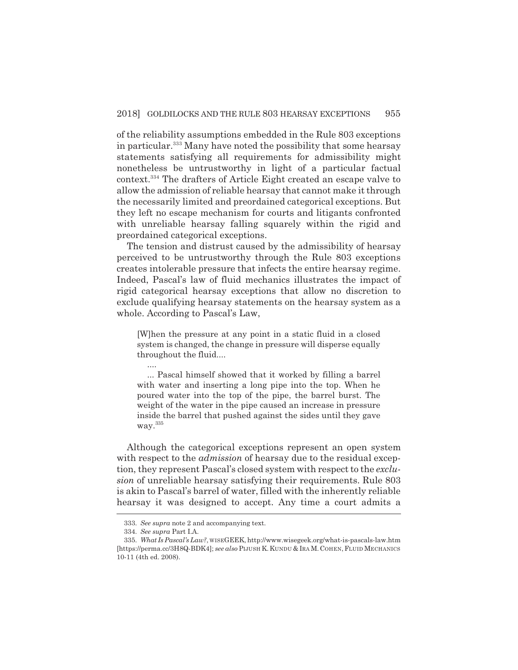of the reliability assumptions embedded in the Rule 803 exceptions in particular.<sup>333</sup> Many have noted the possibility that some hearsay statements satisfying all requirements for admissibility might nonetheless be untrustworthy in light of a particular factual context.334 The drafters of Article Eight created an escape valve to allow the admission of reliable hearsay that cannot make it through the necessarily limited and preordained categorical exceptions. But they left no escape mechanism for courts and litigants confronted with unreliable hearsay falling squarely within the rigid and preordained categorical exceptions.

The tension and distrust caused by the admissibility of hearsay perceived to be untrustworthy through the Rule 803 exceptions creates intolerable pressure that infects the entire hearsay regime. Indeed, Pascal's law of fluid mechanics illustrates the impact of rigid categorical hearsay exceptions that allow no discretion to exclude qualifying hearsay statements on the hearsay system as a whole. According to Pascal's Law,

[W]hen the pressure at any point in a static fluid in a closed system is changed, the change in pressure will disperse equally throughout the fluid....

... Pascal himself showed that it worked by filling a barrel with water and inserting a long pipe into the top. When he poured water into the top of the pipe, the barrel burst. The weight of the water in the pipe caused an increase in pressure inside the barrel that pushed against the sides until they gave way.335

Although the categorical exceptions represent an open system with respect to the *admission* of hearsay due to the residual exception, they represent Pascal's closed system with respect to the *exclusion* of unreliable hearsay satisfying their requirements. Rule 803 is akin to Pascal's barrel of water, filled with the inherently reliable hearsay it was designed to accept. Any time a court admits a

....

<sup>333.</sup> *See supra* note 2 and accompanying text.

<sup>334.</sup> *See supra* Part I.A.

<sup>335.</sup> *What Is Pascal's Law?*, WISEGEEK, http://www.wisegeek.org/what-is-pascals-law.htm [https://perma.cc/3H8Q-BDK4]; *see also* PIJUSH K.KUNDU & IRA M.COHEN,FLUID MECHANICS 10-11 (4th ed. 2008).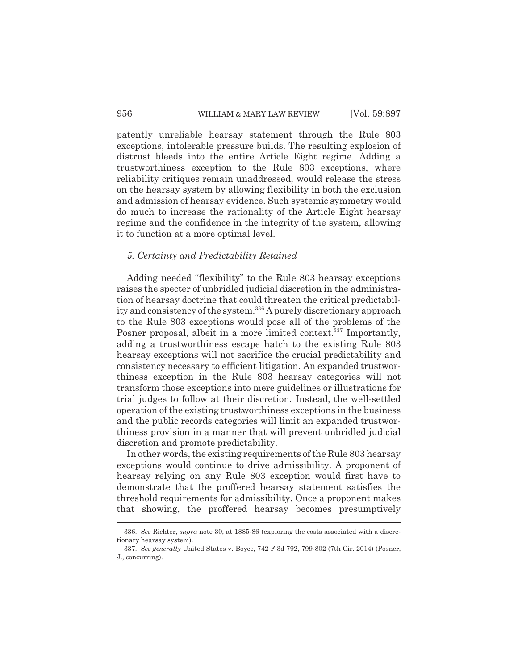patently unreliable hearsay statement through the Rule 803 exceptions, intolerable pressure builds. The resulting explosion of distrust bleeds into the entire Article Eight regime. Adding a trustworthiness exception to the Rule 803 exceptions, where reliability critiques remain unaddressed, would release the stress on the hearsay system by allowing flexibility in both the exclusion and admission of hearsay evidence. Such systemic symmetry would do much to increase the rationality of the Article Eight hearsay regime and the confidence in the integrity of the system, allowing it to function at a more optimal level.

# *5. Certainty and Predictability Retained*

Adding needed "flexibility" to the Rule 803 hearsay exceptions raises the specter of unbridled judicial discretion in the administration of hearsay doctrine that could threaten the critical predictability and consistency of the system.<sup>336</sup> A purely discretionary approach to the Rule 803 exceptions would pose all of the problems of the Posner proposal, albeit in a more limited context.<sup>337</sup> Importantly, adding a trustworthiness escape hatch to the existing Rule 803 hearsay exceptions will not sacrifice the crucial predictability and consistency necessary to efficient litigation. An expanded trustworthiness exception in the Rule 803 hearsay categories will not transform those exceptions into mere guidelines or illustrations for trial judges to follow at their discretion. Instead, the well-settled operation of the existing trustworthiness exceptions in the business and the public records categories will limit an expanded trustworthiness provision in a manner that will prevent unbridled judicial discretion and promote predictability.

In other words, the existing requirements of the Rule 803 hearsay exceptions would continue to drive admissibility. A proponent of hearsay relying on any Rule 803 exception would first have to demonstrate that the proffered hearsay statement satisfies the threshold requirements for admissibility. Once a proponent makes that showing, the proffered hearsay becomes presumptively

<sup>336.</sup> *See* Richter, *supra* note 30, at 1885-86 (exploring the costs associated with a discretionary hearsay system).

<sup>337.</sup> *See generally* United States v. Boyce, 742 F.3d 792, 799-802 (7th Cir. 2014) (Posner, J., concurring).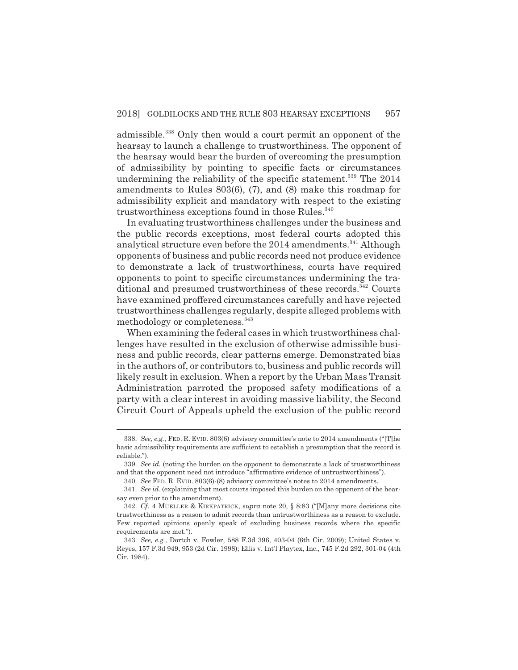admissible.338 Only then would a court permit an opponent of the hearsay to launch a challenge to trustworthiness. The opponent of the hearsay would bear the burden of overcoming the presumption of admissibility by pointing to specific facts or circumstances undermining the reliability of the specific statement.<sup>339</sup> The 2014 amendments to Rules 803(6), (7), and (8) make this roadmap for admissibility explicit and mandatory with respect to the existing trustworthiness exceptions found in those Rules.<sup>340</sup>

In evaluating trustworthiness challenges under the business and the public records exceptions, most federal courts adopted this analytical structure even before the 2014 amendments.<sup>341</sup> Although opponents of business and public records need not produce evidence to demonstrate a lack of trustworthiness, courts have required opponents to point to specific circumstances undermining the traditional and presumed trustworthiness of these records.<sup>342</sup> Courts have examined proffered circumstances carefully and have rejected trustworthiness challenges regularly, despite alleged problems with methodology or completeness.<sup>343</sup>

When examining the federal cases in which trustworthiness challenges have resulted in the exclusion of otherwise admissible business and public records, clear patterns emerge. Demonstrated bias in the authors of, or contributors to, business and public records will likely result in exclusion. When a report by the Urban Mass Transit Administration parroted the proposed safety modifications of a party with a clear interest in avoiding massive liability, the Second Circuit Court of Appeals upheld the exclusion of the public record

<sup>338.</sup> *See, e.g.*, FED. R. EVID. 803(6) advisory committee's note to 2014 amendments ("[T]he basic admissibility requirements are sufficient to establish a presumption that the record is reliable.").

<sup>339.</sup> *See id.* (noting the burden on the opponent to demonstrate a lack of trustworthiness and that the opponent need not introduce "affirmative evidence of untrustworthiness").

<sup>340.</sup> *See* FED. R. EVID. 803(6)-(8) advisory committee's notes to 2014 amendments.

<sup>341.</sup> *See id.* (explaining that most courts imposed this burden on the opponent of the hearsay even prior to the amendment).

<sup>342.</sup> *Cf.* 4 MUELLER & KIRKPATRICK, *supra* note 20, § 8:83 ("[M]any more decisions cite trustworthiness as a reason to admit records than untrustworthiness as a reason to exclude. Few reported opinions openly speak of excluding business records where the specific requirements are met.").

<sup>343.</sup> *See, e.g.*, Dortch v. Fowler, 588 F.3d 396, 403-04 (6th Cir. 2009); United States v. Reyes, 157 F.3d 949, 953 (2d Cir. 1998); Ellis v. Int'l Playtex, Inc., 745 F.2d 292, 301-04 (4th Cir. 1984).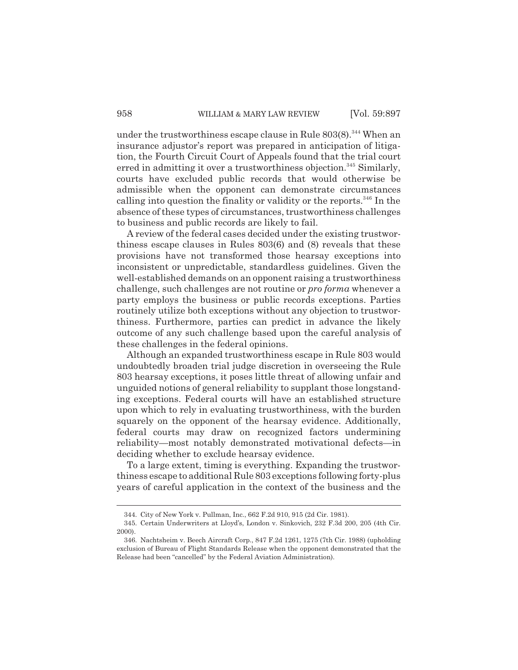under the trustworthiness escape clause in Rule  $803(8)$ .<sup>344</sup> When an insurance adjustor's report was prepared in anticipation of litigation, the Fourth Circuit Court of Appeals found that the trial court erred in admitting it over a trustworthiness objection.<sup>345</sup> Similarly, courts have excluded public records that would otherwise be admissible when the opponent can demonstrate circumstances calling into question the finality or validity or the reports.<sup>346</sup> In the absence of these types of circumstances, trustworthiness challenges to business and public records are likely to fail.

A review of the federal cases decided under the existing trustworthiness escape clauses in Rules 803(6) and (8) reveals that these provisions have not transformed those hearsay exceptions into inconsistent or unpredictable, standardless guidelines. Given the well-established demands on an opponent raising a trustworthiness challenge, such challenges are not routine or *pro forma* whenever a party employs the business or public records exceptions. Parties routinely utilize both exceptions without any objection to trustworthiness. Furthermore, parties can predict in advance the likely outcome of any such challenge based upon the careful analysis of these challenges in the federal opinions.

Although an expanded trustworthiness escape in Rule 803 would undoubtedly broaden trial judge discretion in overseeing the Rule 803 hearsay exceptions, it poses little threat of allowing unfair and unguided notions of general reliability to supplant those longstanding exceptions. Federal courts will have an established structure upon which to rely in evaluating trustworthiness, with the burden squarely on the opponent of the hearsay evidence. Additionally, federal courts may draw on recognized factors undermining reliability—most notably demonstrated motivational defects—in deciding whether to exclude hearsay evidence.

To a large extent, timing is everything. Expanding the trustworthiness escape to additional Rule 803 exceptions following forty-plus years of careful application in the context of the business and the

<sup>344.</sup> City of New York v. Pullman, Inc., 662 F.2d 910, 915 (2d Cir. 1981).

<sup>345.</sup> Certain Underwriters at Lloyd's, London v. Sinkovich, 232 F.3d 200, 205 (4th Cir. 2000).

<sup>346.</sup> Nachtsheim v. Beech Aircraft Corp., 847 F.2d 1261, 1275 (7th Cir. 1988) (upholding exclusion of Bureau of Flight Standards Release when the opponent demonstrated that the Release had been "cancelled" by the Federal Aviation Administration).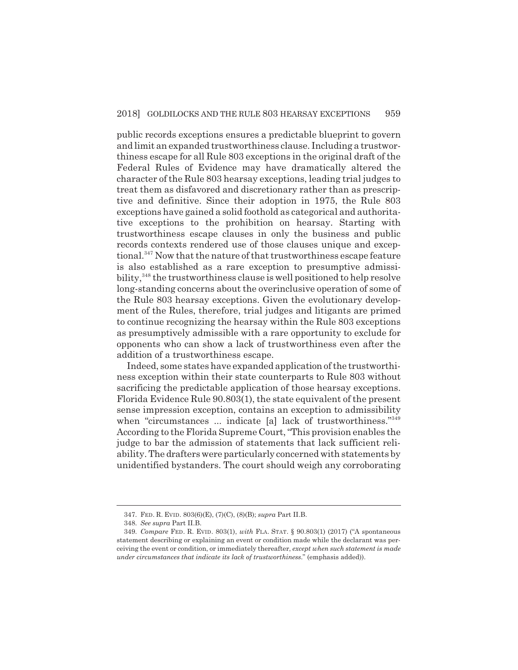public records exceptions ensures a predictable blueprint to govern and limit an expanded trustworthiness clause. Including a trustworthiness escape for all Rule 803 exceptions in the original draft of the Federal Rules of Evidence may have dramatically altered the character of the Rule 803 hearsay exceptions, leading trial judges to treat them as disfavored and discretionary rather than as prescriptive and definitive. Since their adoption in 1975, the Rule 803 exceptions have gained a solid foothold as categorical and authoritative exceptions to the prohibition on hearsay. Starting with trustworthiness escape clauses in only the business and public records contexts rendered use of those clauses unique and exceptional.<sup>347</sup> Now that the nature of that trustworthiness escape feature is also established as a rare exception to presumptive admissibility,<sup>348</sup> the trustworthiness clause is well positioned to help resolve long-standing concerns about the overinclusive operation of some of the Rule 803 hearsay exceptions. Given the evolutionary development of the Rules, therefore, trial judges and litigants are primed to continue recognizing the hearsay within the Rule 803 exceptions as presumptively admissible with a rare opportunity to exclude for opponents who can show a lack of trustworthiness even after the addition of a trustworthiness escape.

Indeed, some states have expanded application of the trustworthiness exception within their state counterparts to Rule 803 without sacrificing the predictable application of those hearsay exceptions. Florida Evidence Rule 90.803(1), the state equivalent of the present sense impression exception, contains an exception to admissibility when "circumstances ... indicate [a] lack of trustworthiness."349 According to the Florida Supreme Court, "This provision enables the judge to bar the admission of statements that lack sufficient reliability. The drafters were particularly concerned with statements by unidentified bystanders. The court should weigh any corroborating

<sup>347.</sup> FED. R. EVID. 803(6)(E), (7)(C), (8)(B); *supra* Part II.B.

<sup>348.</sup> *See supra* Part II.B.

<sup>349.</sup> *Compare* FED. R. EVID. 803(1), *with* FLA. STAT. § 90.803(1) (2017) ("A spontaneous statement describing or explaining an event or condition made while the declarant was perceiving the event or condition, or immediately thereafter, *except when such statement is made under circumstances that indicate its lack of trustworthiness*." (emphasis added)).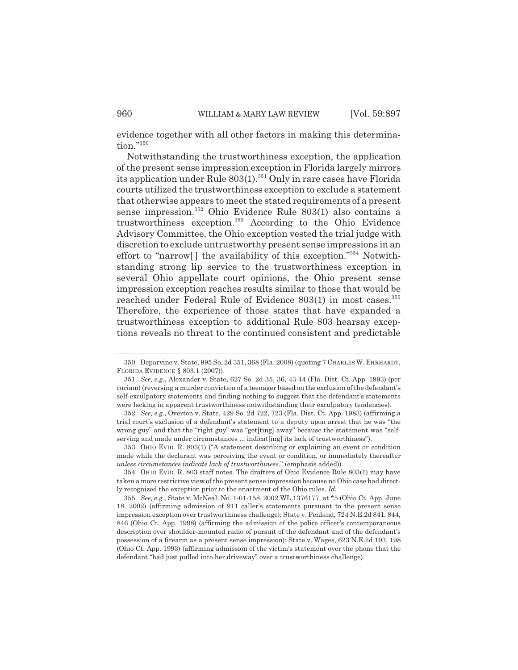evidence together with all other factors in making this determination."350

Notwithstanding the trustworthiness exception, the application of the present sense impression exception in Florida largely mirrors its application under Rule  $803(1).^{351}$  Only in rare cases have Florida courts utilized the trustworthiness exception to exclude a statement that otherwise appears to meet the stated requirements of a present sense impression.352 Ohio Evidence Rule 803(1) also contains a trustworthiness exception.353 According to the Ohio Evidence Advisory Committee, the Ohio exception vested the trial judge with discretion to exclude untrustworthy present sense impressions in an effort to "narrow<sup>[]</sup> the availability of this exception."<sup>354</sup> Notwithstanding strong lip service to the trustworthiness exception in several Ohio appellate court opinions, the Ohio present sense impression exception reaches results similar to those that would be reached under Federal Rule of Evidence 803(1) in most cases.<sup>355</sup> Therefore, the experience of those states that have expanded a trustworthiness exception to additional Rule 803 hearsay exceptions reveals no threat to the continued consistent and predictable

<sup>350.</sup> Deparvine v. State, 995 So. 2d 351, 368 (Fla. 2008) (quoting 7 CHARLES W. EHRHARDT, FLORIDA EVIDENCE § 803.1 (2007)).

<sup>351.</sup> *See, e.g.*, Alexander v. State, 627 So. 2d 35, 36, 43-44 (Fla. Dist. Ct. App. 1993) (per curiam) (reversing a murder conviction of a teenager based on the exclusion of the defendant's self-exculpatory statements and finding nothing to suggest that the defendant's statements were lacking in apparent trustworthiness notwithstanding their exculpatory tendencies).

<sup>352.</sup> *See, e.g.*, Overton v. State, 429 So. 2d 722, 723 (Fla. Dist. Ct. App. 1983) (affirming a trial court's exclusion of a defendant's statement to a deputy upon arrest that he was "the wrong guy" and that the "right guy" was "get[ting] away" because the statement was "selfserving and made under circumstances ... indicat[ing] its lack of trustworthiness").

<sup>353.</sup> OHIO EVID. R. 803(1) ("A statement describing or explaining an event or condition made while the declarant was perceiving the event or condition, or immediately thereafter *unless circumstances indicate lack of trustworthiness.*" (emphasis added)).

<sup>354.</sup> OHIO EVID. R. 803 staff notes. The drafters of Ohio Evidence Rule 803(1) may have taken a more restrictive view of the present sense impression because no Ohio case had directly recognized the exception prior to the enactment of the Ohio rules. *Id.*

<sup>355.</sup> *See, e.g.*, State v. McNeal, No. 1-01-158, 2002 WL 1376177, at \*5 (Ohio Ct. App. June 18, 2002) (affirming admission of 911 caller's statements pursuant to the present sense impression exception over trustworthiness challenge); State v. Penland, 724 N.E.2d 841, 844, 846 (Ohio Ct. App. 1998) (affirming the admission of the police officer's contemporaneous description over shoulder-mounted radio of pursuit of the defendant and of the defendant's possession of a firearm as a present sense impression); State v. Wages, 623 N.E.2d 193, 198 (Ohio Ct. App. 1993) (affirming admission of the victim's statement over the phone that the defendant "had just pulled into her driveway" over a trustworthiness challenge).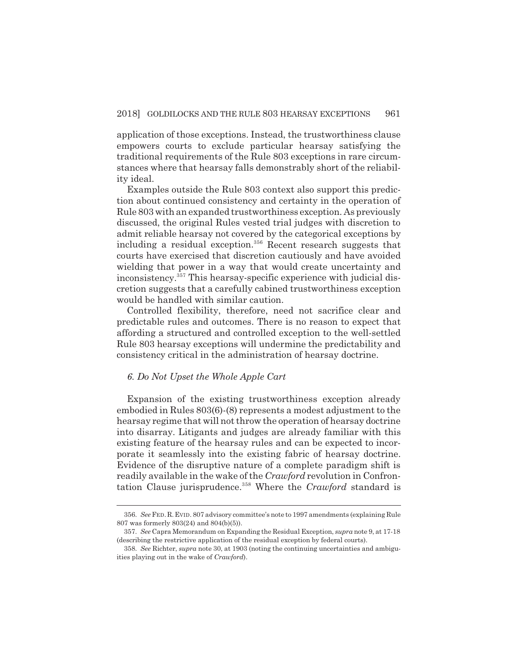application of those exceptions. Instead, the trustworthiness clause empowers courts to exclude particular hearsay satisfying the traditional requirements of the Rule 803 exceptions in rare circumstances where that hearsay falls demonstrably short of the reliability ideal.

Examples outside the Rule 803 context also support this prediction about continued consistency and certainty in the operation of Rule 803 with an expanded trustworthiness exception. As previously discussed, the original Rules vested trial judges with discretion to admit reliable hearsay not covered by the categorical exceptions by including a residual exception.<sup>356</sup> Recent research suggests that courts have exercised that discretion cautiously and have avoided wielding that power in a way that would create uncertainty and inconsistency.357 This hearsay-specific experience with judicial discretion suggests that a carefully cabined trustworthiness exception would be handled with similar caution.

Controlled flexibility, therefore, need not sacrifice clear and predictable rules and outcomes. There is no reason to expect that affording a structured and controlled exception to the well-settled Rule 803 hearsay exceptions will undermine the predictability and consistency critical in the administration of hearsay doctrine.

# *6. Do Not Upset the Whole Apple Cart*

Expansion of the existing trustworthiness exception already embodied in Rules 803(6)-(8) represents a modest adjustment to the hearsay regime that will not throw the operation of hearsay doctrine into disarray. Litigants and judges are already familiar with this existing feature of the hearsay rules and can be expected to incorporate it seamlessly into the existing fabric of hearsay doctrine. Evidence of the disruptive nature of a complete paradigm shift is readily available in the wake of the *Crawford* revolution in Confrontation Clause jurisprudence.358 Where the *Crawford* standard is

<sup>356.</sup> *See* FED.R.EVID. 807 advisory committee's note to 1997 amendments (explaining Rule 807 was formerly 803(24) and 804(b)(5)).

<sup>357.</sup> *See* Capra Memorandum on Expanding the Residual Exception, *supra* note 9, at 17-18 (describing the restrictive application of the residual exception by federal courts).

<sup>358.</sup> *See* Richter, *supra* note 30, at 1903 (noting the continuing uncertainties and ambiguities playing out in the wake of *Crawford*).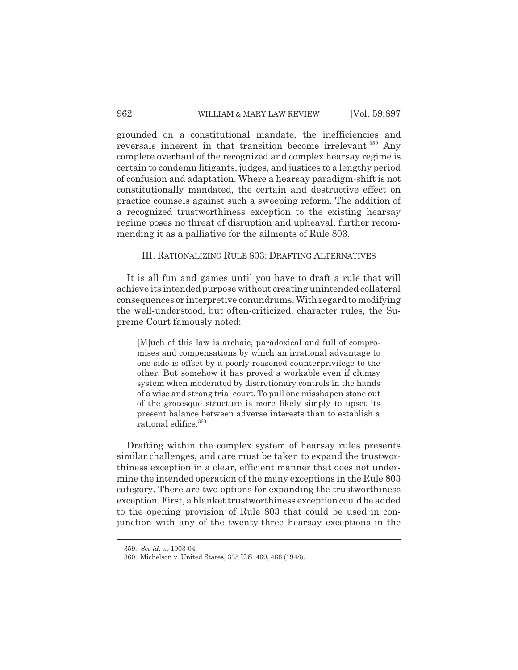grounded on a constitutional mandate, the inefficiencies and reversals inherent in that transition become irrelevant.<sup>359</sup> Any complete overhaul of the recognized and complex hearsay regime is certain to condemn litigants, judges, and justices to a lengthy period of confusion and adaptation. Where a hearsay paradigm-shift is not constitutionally mandated, the certain and destructive effect on practice counsels against such a sweeping reform. The addition of a recognized trustworthiness exception to the existing hearsay regime poses no threat of disruption and upheaval, further recommending it as a palliative for the ailments of Rule 803.

# III. RATIONALIZING RULE 803: DRAFTING ALTERNATIVES

It is all fun and games until you have to draft a rule that will achieve its intended purpose without creating unintended collateral consequences or interpretive conundrums. With regard to modifying the well-understood, but often-criticized, character rules, the Supreme Court famously noted:

[M]uch of this law is archaic, paradoxical and full of compromises and compensations by which an irrational advantage to one side is offset by a poorly reasoned counterprivilege to the other. But somehow it has proved a workable even if clumsy system when moderated by discretionary controls in the hands of a wise and strong trial court. To pull one misshapen stone out of the grotesque structure is more likely simply to upset its present balance between adverse interests than to establish a rational edifice.  $^\mathrm{360}$ 

Drafting within the complex system of hearsay rules presents similar challenges, and care must be taken to expand the trustworthiness exception in a clear, efficient manner that does not undermine the intended operation of the many exceptions in the Rule 803 category. There are two options for expanding the trustworthiness exception. First, a blanket trustworthiness exception could be added to the opening provision of Rule 803 that could be used in conjunction with any of the twenty-three hearsay exceptions in the

<sup>359.</sup> *See id.* at 1903-04.

<sup>360.</sup> Michelson v. United States, 335 U.S. 469, 486 (1948).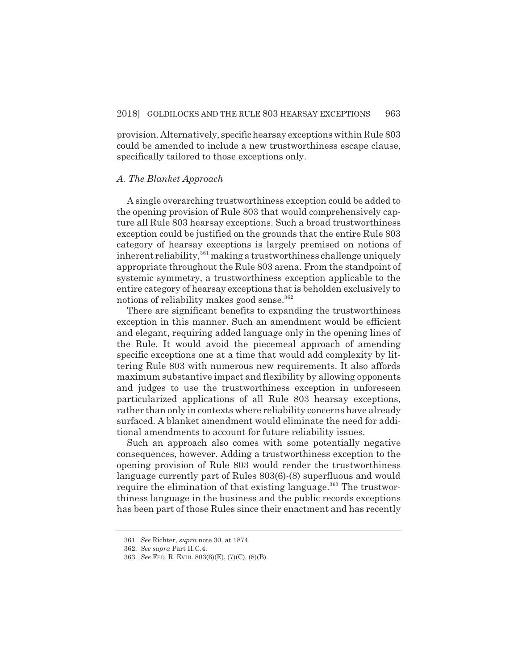provision. Alternatively, specific hearsay exceptions within Rule 803 could be amended to include a new trustworthiness escape clause, specifically tailored to those exceptions only.

#### *A. The Blanket Approach*

A single overarching trustworthiness exception could be added to the opening provision of Rule 803 that would comprehensively capture all Rule 803 hearsay exceptions. Such a broad trustworthiness exception could be justified on the grounds that the entire Rule 803 category of hearsay exceptions is largely premised on notions of inherent reliability, $361$  making a trustworthiness challenge uniquely appropriate throughout the Rule 803 arena. From the standpoint of systemic symmetry, a trustworthiness exception applicable to the entire category of hearsay exceptions that is beholden exclusively to notions of reliability makes good sense.<sup>362</sup>

There are significant benefits to expanding the trustworthiness exception in this manner. Such an amendment would be efficient and elegant, requiring added language only in the opening lines of the Rule. It would avoid the piecemeal approach of amending specific exceptions one at a time that would add complexity by littering Rule 803 with numerous new requirements. It also affords maximum substantive impact and flexibility by allowing opponents and judges to use the trustworthiness exception in unforeseen particularized applications of all Rule 803 hearsay exceptions, rather than only in contexts where reliability concerns have already surfaced. A blanket amendment would eliminate the need for additional amendments to account for future reliability issues.

Such an approach also comes with some potentially negative consequences, however. Adding a trustworthiness exception to the opening provision of Rule 803 would render the trustworthiness language currently part of Rules 803(6)-(8) superfluous and would require the elimination of that existing language.<sup>363</sup> The trustworthiness language in the business and the public records exceptions has been part of those Rules since their enactment and has recently

<sup>361.</sup> *See* Richter, *supra* note 30, at 1874.

<sup>362.</sup> *See supra* Part II.C.4.

<sup>363.</sup> *See* FED. R. EVID. 803(6)(E), (7)(C), (8)(B).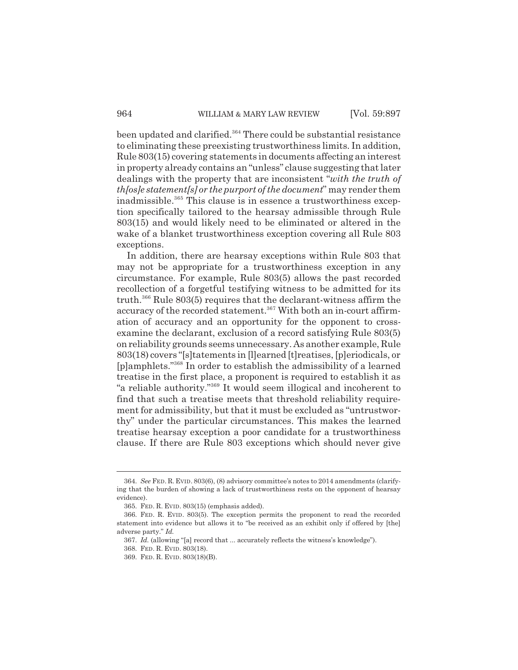been updated and clarified.<sup>364</sup> There could be substantial resistance to eliminating these preexisting trustworthiness limits. In addition, Rule 803(15) covering statements in documents affecting an interest in property already contains an "unless" clause suggesting that later dealings with the property that are inconsistent "*with the truth of th[os]e statement[s] or the purport of the document*" may render them inadmissible.<sup>365</sup> This clause is in essence a trustworthiness exception specifically tailored to the hearsay admissible through Rule 803(15) and would likely need to be eliminated or altered in the wake of a blanket trustworthiness exception covering all Rule 803 exceptions.

In addition, there are hearsay exceptions within Rule 803 that may not be appropriate for a trustworthiness exception in any circumstance. For example, Rule 803(5) allows the past recorded recollection of a forgetful testifying witness to be admitted for its truth.366 Rule 803(5) requires that the declarant-witness affirm the accuracy of the recorded statement.<sup>367</sup> With both an in-court affirmation of accuracy and an opportunity for the opponent to crossexamine the declarant, exclusion of a record satisfying Rule 803(5) on reliability grounds seems unnecessary. As another example, Rule 803(18) covers "[s]tatements in [l]earned [t]reatises, [p]eriodicals, or [p]amphlets."368 In order to establish the admissibility of a learned treatise in the first place, a proponent is required to establish it as "a reliable authority."369 It would seem illogical and incoherent to find that such a treatise meets that threshold reliability requirement for admissibility, but that it must be excluded as "untrustworthy" under the particular circumstances. This makes the learned treatise hearsay exception a poor candidate for a trustworthiness clause. If there are Rule 803 exceptions which should never give

<sup>364.</sup> *See* FED. R. EVID. 803(6), (8) advisory committee's notes to 2014 amendments (clarifying that the burden of showing a lack of trustworthiness rests on the opponent of hearsay evidence).

<sup>365.</sup> FED. R. EVID. 803(15) (emphasis added).

<sup>366.</sup> FED. R. EVID. 803(5). The exception permits the proponent to read the recorded statement into evidence but allows it to "be received as an exhibit only if offered by [the] adverse party." *Id.*

<sup>367.</sup> *Id.* (allowing "[a] record that ... accurately reflects the witness's knowledge").

<sup>368.</sup> FED. R. EVID. 803(18).

<sup>369.</sup> FED. R. EVID. 803(18)(B).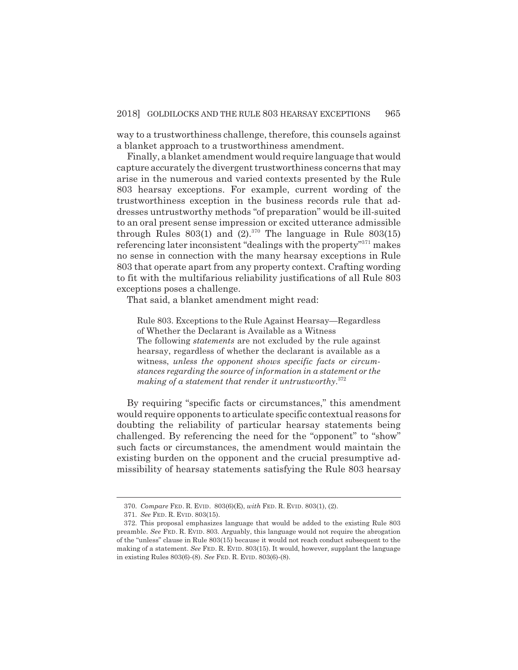way to a trustworthiness challenge, therefore, this counsels against a blanket approach to a trustworthiness amendment.

Finally, a blanket amendment would require language that would capture accurately the divergent trustworthiness concerns that may arise in the numerous and varied contexts presented by the Rule 803 hearsay exceptions. For example, current wording of the trustworthiness exception in the business records rule that addresses untrustworthy methods "of preparation" would be ill-suited to an oral present sense impression or excited utterance admissible through Rules  $803(1)$  and  $(2).^{370}$  The language in Rule  $803(15)$ referencing later inconsistent "dealings with the property"371 makes no sense in connection with the many hearsay exceptions in Rule 803 that operate apart from any property context. Crafting wording to fit with the multifarious reliability justifications of all Rule 803 exceptions poses a challenge.

That said, a blanket amendment might read:

Rule 803. Exceptions to the Rule Against Hearsay—Regardless of Whether the Declarant is Available as a Witness The following *statements* are not excluded by the rule against hearsay, regardless of whether the declarant is available as a witness, *unless the opponent shows specific facts or circumstances regarding the source of information in a statement or the making of a statement that render it untrustworthy*. 372

By requiring "specific facts or circumstances," this amendment would require opponents to articulate specific contextual reasons for doubting the reliability of particular hearsay statements being challenged. By referencing the need for the "opponent" to "show" such facts or circumstances, the amendment would maintain the existing burden on the opponent and the crucial presumptive admissibility of hearsay statements satisfying the Rule 803 hearsay

<sup>370.</sup> *Compare* FED. R. EVID. 803(6)(E), *with* FED. R. EVID. 803(1), (2).

<sup>371.</sup> *See* FED. R. EVID. 803(15).

<sup>372.</sup> This proposal emphasizes language that would be added to the existing Rule 803 preamble. *See* FED. R. EVID. 803. Arguably, this language would not require the abrogation of the "unless" clause in Rule 803(15) because it would not reach conduct subsequent to the making of a statement. *See* FED. R. EVID. 803(15). It would, however, supplant the language in existing Rules 803(6)-(8). *See* FED. R. EVID. 803(6)-(8).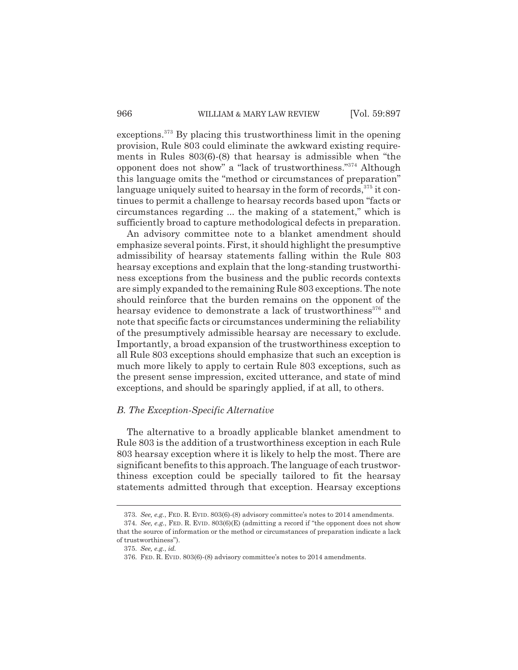exceptions.373 By placing this trustworthiness limit in the opening provision, Rule 803 could eliminate the awkward existing requirements in Rules 803(6)-(8) that hearsay is admissible when "the opponent does not show" a "lack of trustworthiness."374 Although this language omits the "method or circumstances of preparation" language uniquely suited to hearsay in the form of records,<sup>375</sup> it continues to permit a challenge to hearsay records based upon "facts or circumstances regarding ... the making of a statement," which is sufficiently broad to capture methodological defects in preparation.

An advisory committee note to a blanket amendment should emphasize several points. First, it should highlight the presumptive admissibility of hearsay statements falling within the Rule 803 hearsay exceptions and explain that the long-standing trustworthiness exceptions from the business and the public records contexts are simply expanded to the remaining Rule 803 exceptions. The note should reinforce that the burden remains on the opponent of the hearsay evidence to demonstrate a lack of trustworthiness<sup>376</sup> and note that specific facts or circumstances undermining the reliability of the presumptively admissible hearsay are necessary to exclude. Importantly, a broad expansion of the trustworthiness exception to all Rule 803 exceptions should emphasize that such an exception is much more likely to apply to certain Rule 803 exceptions, such as the present sense impression, excited utterance, and state of mind exceptions, and should be sparingly applied, if at all, to others.

## *B. The Exception-Specific Alternative*

The alternative to a broadly applicable blanket amendment to Rule 803 is the addition of a trustworthiness exception in each Rule 803 hearsay exception where it is likely to help the most. There are significant benefits to this approach. The language of each trustworthiness exception could be specially tailored to fit the hearsay statements admitted through that exception. Hearsay exceptions

<sup>373.</sup> *See, e.g.*, FED. R. EVID. 803(6)-(8) advisory committee's notes to 2014 amendments.

<sup>374.</sup> *See, e.g.*, FED. R. EVID. 803(6)(E) (admitting a record if "the opponent does not show that the source of information or the method or circumstances of preparation indicate a lack of trustworthiness").

<sup>375.</sup> *See, e.g.*, *id.*

<sup>376.</sup> FED. R. EVID. 803(6)-(8) advisory committee's notes to 2014 amendments.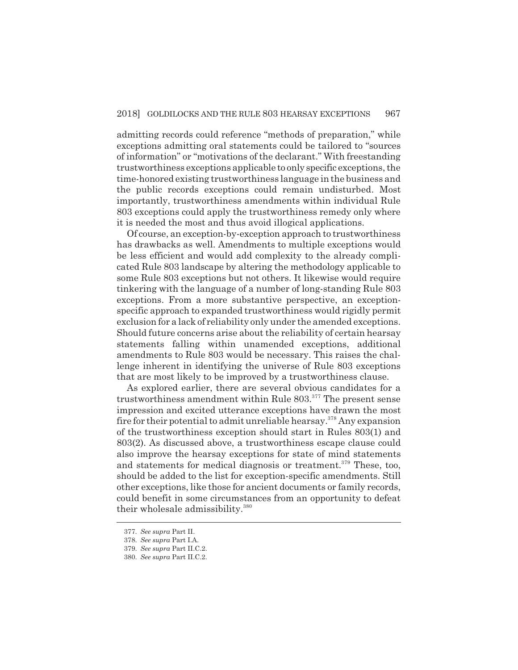admitting records could reference "methods of preparation," while exceptions admitting oral statements could be tailored to "sources of information" or "motivations of the declarant." With freestanding trustworthiness exceptions applicable to only specific exceptions, the time-honored existing trustworthiness language in the business and the public records exceptions could remain undisturbed. Most importantly, trustworthiness amendments within individual Rule 803 exceptions could apply the trustworthiness remedy only where it is needed the most and thus avoid illogical applications.

Of course, an exception-by-exception approach to trustworthiness has drawbacks as well. Amendments to multiple exceptions would be less efficient and would add complexity to the already complicated Rule 803 landscape by altering the methodology applicable to some Rule 803 exceptions but not others. It likewise would require tinkering with the language of a number of long-standing Rule 803 exceptions. From a more substantive perspective, an exceptionspecific approach to expanded trustworthiness would rigidly permit exclusion for a lack of reliability only under the amended exceptions. Should future concerns arise about the reliability of certain hearsay statements falling within unamended exceptions, additional amendments to Rule 803 would be necessary. This raises the challenge inherent in identifying the universe of Rule 803 exceptions that are most likely to be improved by a trustworthiness clause.

As explored earlier, there are several obvious candidates for a trustworthiness amendment within Rule 803.<sup>377</sup> The present sense impression and excited utterance exceptions have drawn the most fire for their potential to admit unreliable hearsay.378 Any expansion of the trustworthiness exception should start in Rules 803(1) and 803(2). As discussed above, a trustworthiness escape clause could also improve the hearsay exceptions for state of mind statements and statements for medical diagnosis or treatment.<sup>379</sup> These, too, should be added to the list for exception-specific amendments. Still other exceptions, like those for ancient documents or family records, could benefit in some circumstances from an opportunity to defeat their wholesale admissibility.<sup>380</sup>

<sup>377.</sup> *See supra* Part II.

<sup>378.</sup> *See supra* Part I.A.

<sup>379.</sup> *See supra* Part II.C.2.

<sup>380.</sup> *See supra* Part II.C.2.